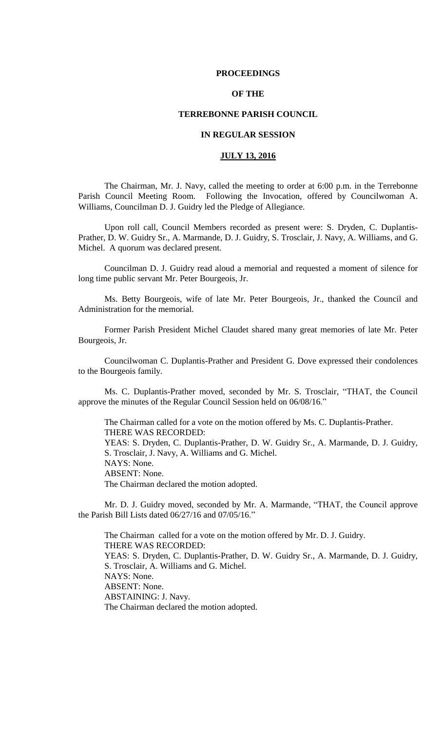### **PROCEEDINGS**

# **OF THE**

## **TERREBONNE PARISH COUNCIL**

# **IN REGULAR SESSION**

# **JULY 13, 2016**

The Chairman, Mr. J. Navy, called the meeting to order at 6:00 p.m. in the Terrebonne Parish Council Meeting Room. Following the Invocation, offered by Councilwoman A. Williams, Councilman D. J. Guidry led the Pledge of Allegiance.

Upon roll call, Council Members recorded as present were: S. Dryden, C. Duplantis-Prather, D. W. Guidry Sr., A. Marmande, D. J. Guidry, S. Trosclair, J. Navy, A. Williams, and G. Michel. A quorum was declared present.

Councilman D. J. Guidry read aloud a memorial and requested a moment of silence for long time public servant Mr. Peter Bourgeois, Jr.

Ms. Betty Bourgeois, wife of late Mr. Peter Bourgeois, Jr., thanked the Council and Administration for the memorial.

Former Parish President Michel Claudet shared many great memories of late Mr. Peter Bourgeois, Jr.

Councilwoman C. Duplantis-Prather and President G. Dove expressed their condolences to the Bourgeois family.

Ms. C. Duplantis-Prather moved, seconded by Mr. S. Trosclair, "THAT, the Council approve the minutes of the Regular Council Session held on 06/08/16."

The Chairman called for a vote on the motion offered by Ms. C. Duplantis-Prather. THERE WAS RECORDED: YEAS: S. Dryden, C. Duplantis-Prather, D. W. Guidry Sr., A. Marmande, D. J. Guidry, S. Trosclair, J. Navy, A. Williams and G. Michel. NAYS: None. ABSENT: None. The Chairman declared the motion adopted.

Mr. D. J. Guidry moved, seconded by Mr. A. Marmande, "THAT, the Council approve the Parish Bill Lists dated 06/27/16 and 07/05/16."

The Chairman called for a vote on the motion offered by Mr. D. J. Guidry. THERE WAS RECORDED: YEAS: S. Dryden, C. Duplantis-Prather, D. W. Guidry Sr., A. Marmande, D. J. Guidry, S. Trosclair, A. Williams and G. Michel. NAYS: None. ABSENT: None. ABSTAINING: J. Navy. The Chairman declared the motion adopted.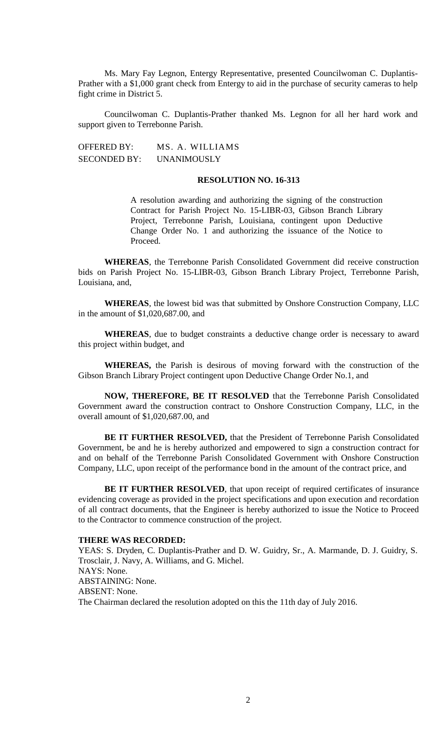Ms. Mary Fay Legnon, Entergy Representative, presented Councilwoman C. Duplantis-Prather with a \$1,000 grant check from Entergy to aid in the purchase of security cameras to help fight crime in District 5.

Councilwoman C. Duplantis-Prather thanked Ms. Legnon for all her hard work and support given to Terrebonne Parish.

OFFERED BY: MS. A. WILLIAMS SECONDED BY: UNANIMOUSLY

### **RESOLUTION NO. 16-313**

A resolution awarding and authorizing the signing of the construction Contract for Parish Project No. 15-LIBR-03, Gibson Branch Library Project, Terrebonne Parish, Louisiana, contingent upon Deductive Change Order No. 1 and authorizing the issuance of the Notice to Proceed.

**WHEREAS**, the Terrebonne Parish Consolidated Government did receive construction bids on Parish Project No. 15-LIBR-03, Gibson Branch Library Project, Terrebonne Parish, Louisiana, and,

**WHEREAS**, the lowest bid was that submitted by Onshore Construction Company, LLC in the amount of \$1,020,687.00, and

**WHEREAS**, due to budget constraints a deductive change order is necessary to award this project within budget, and

**WHEREAS,** the Parish is desirous of moving forward with the construction of the Gibson Branch Library Project contingent upon Deductive Change Order No.1, and

**NOW, THEREFORE, BE IT RESOLVED** that the Terrebonne Parish Consolidated Government award the construction contract to Onshore Construction Company, LLC, in the overall amount of \$1,020,687.00, and

**BE IT FURTHER RESOLVED,** that the President of Terrebonne Parish Consolidated Government, be and he is hereby authorized and empowered to sign a construction contract for and on behalf of the Terrebonne Parish Consolidated Government with Onshore Construction Company, LLC, upon receipt of the performance bond in the amount of the contract price, and

**BE IT FURTHER RESOLVED**, that upon receipt of required certificates of insurance evidencing coverage as provided in the project specifications and upon execution and recordation of all contract documents, that the Engineer is hereby authorized to issue the Notice to Proceed to the Contractor to commence construction of the project.

# **THERE WAS RECORDED:**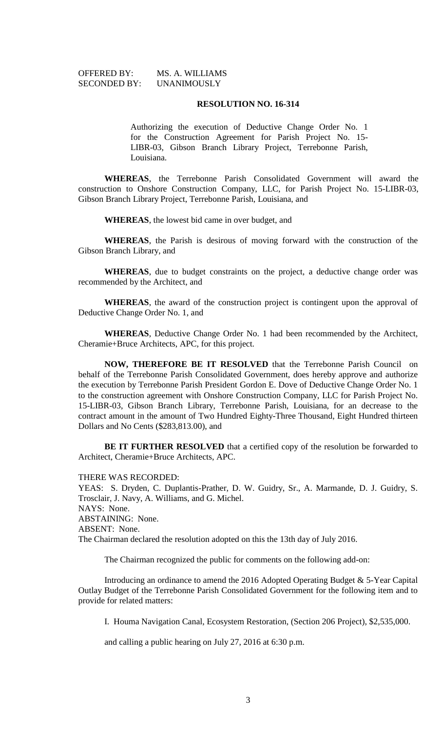| <b>OFFERED BY:</b>  | MS. A. WILLIAMS |
|---------------------|-----------------|
| <b>SECONDED BY:</b> | UNANIMOUSLY     |

Authorizing the execution of Deductive Change Order No. 1 for the Construction Agreement for Parish Project No. 15- LIBR-03, Gibson Branch Library Project, Terrebonne Parish, Louisiana.

**WHEREAS**, the Terrebonne Parish Consolidated Government will award the construction to Onshore Construction Company, LLC, for Parish Project No. 15-LIBR-03, Gibson Branch Library Project, Terrebonne Parish, Louisiana, and

**WHEREAS**, the lowest bid came in over budget, and

**WHEREAS**, the Parish is desirous of moving forward with the construction of the Gibson Branch Library, and

**WHEREAS**, due to budget constraints on the project, a deductive change order was recommended by the Architect, and

**WHEREAS**, the award of the construction project is contingent upon the approval of Deductive Change Order No. 1, and

**WHEREAS**, Deductive Change Order No. 1 had been recommended by the Architect, Cheramie+Bruce Architects, APC, for this project.

**NOW, THEREFORE BE IT RESOLVED** that the Terrebonne Parish Council on behalf of the Terrebonne Parish Consolidated Government, does hereby approve and authorize the execution by Terrebonne Parish President Gordon E. Dove of Deductive Change Order No. 1 to the construction agreement with Onshore Construction Company, LLC for Parish Project No. 15-LIBR-03, Gibson Branch Library, Terrebonne Parish, Louisiana, for an decrease to the contract amount in the amount of Two Hundred Eighty-Three Thousand, Eight Hundred thirteen Dollars and No Cents (\$283,813.00), and

**BE IT FURTHER RESOLVED** that a certified copy of the resolution be forwarded to Architect, Cheramie+Bruce Architects, APC.

THERE WAS RECORDED:

YEAS: S. Dryden, C. Duplantis-Prather, D. W. Guidry, Sr., A. Marmande, D. J. Guidry, S. Trosclair, J. Navy, A. Williams, and G. Michel. NAYS: None. ABSTAINING: None. ABSENT: None. The Chairman declared the resolution adopted on this the 13th day of July 2016.

The Chairman recognized the public for comments on the following add-on:

Introducing an ordinance to amend the 2016 Adopted Operating Budget & 5-Year Capital Outlay Budget of the Terrebonne Parish Consolidated Government for the following item and to provide for related matters:

I. Houma Navigation Canal, Ecosystem Restoration, (Section 206 Project), \$2,535,000.

and calling a public hearing on July 27, 2016 at 6:30 p.m.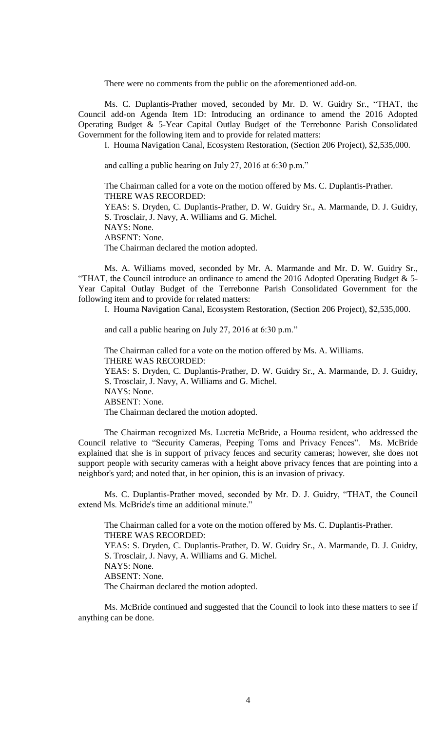There were no comments from the public on the aforementioned add-on.

Ms. C. Duplantis-Prather moved, seconded by Mr. D. W. Guidry Sr., "THAT, the Council add-on Agenda Item 1D: Introducing an ordinance to amend the 2016 Adopted Operating Budget & 5-Year Capital Outlay Budget of the Terrebonne Parish Consolidated Government for the following item and to provide for related matters:

I. Houma Navigation Canal, Ecosystem Restoration, (Section 206 Project), \$2,535,000.

and calling a public hearing on July 27, 2016 at 6:30 p.m."

The Chairman called for a vote on the motion offered by Ms. C. Duplantis-Prather. THERE WAS RECORDED: YEAS: S. Dryden, C. Duplantis-Prather, D. W. Guidry Sr., A. Marmande, D. J. Guidry, S. Trosclair, J. Navy, A. Williams and G. Michel. NAYS: None. ABSENT: None. The Chairman declared the motion adopted.

Ms. A. Williams moved, seconded by Mr. A. Marmande and Mr. D. W. Guidry Sr., "THAT, the Council introduce an ordinance to amend the 2016 Adopted Operating Budget & 5- Year Capital Outlay Budget of the Terrebonne Parish Consolidated Government for the following item and to provide for related matters:

I. Houma Navigation Canal, Ecosystem Restoration, (Section 206 Project), \$2,535,000.

and call a public hearing on July 27, 2016 at 6:30 p.m."

The Chairman called for a vote on the motion offered by Ms. A. Williams. THERE WAS RECORDED: YEAS: S. Dryden, C. Duplantis-Prather, D. W. Guidry Sr., A. Marmande, D. J. Guidry, S. Trosclair, J. Navy, A. Williams and G. Michel. NAYS: None. ABSENT: None. The Chairman declared the motion adopted.

The Chairman recognized Ms. Lucretia McBride, a Houma resident, who addressed the Council relative to "Security Cameras, Peeping Toms and Privacy Fences". Ms. McBride explained that she is in support of privacy fences and security cameras; however, she does not support people with security cameras with a height above privacy fences that are pointing into a neighbor's yard; and noted that, in her opinion, this is an invasion of privacy.

Ms. C. Duplantis-Prather moved, seconded by Mr. D. J. Guidry, "THAT, the Council extend Ms. McBride's time an additional minute."

The Chairman called for a vote on the motion offered by Ms. C. Duplantis-Prather. THERE WAS RECORDED: YEAS: S. Dryden, C. Duplantis-Prather, D. W. Guidry Sr., A. Marmande, D. J. Guidry, S. Trosclair, J. Navy, A. Williams and G. Michel. NAYS: None. ABSENT: None. The Chairman declared the motion adopted.

Ms. McBride continued and suggested that the Council to look into these matters to see if anything can be done.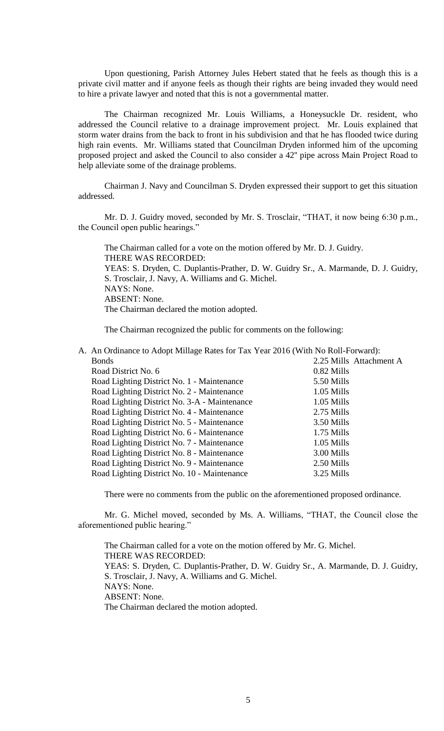Upon questioning, Parish Attorney Jules Hebert stated that he feels as though this is a private civil matter and if anyone feels as though their rights are being invaded they would need to hire a private lawyer and noted that this is not a governmental matter.

The Chairman recognized Mr. Louis Williams, a Honeysuckle Dr. resident, who addressed the Council relative to a drainage improvement project. Mr. Louis explained that storm water drains from the back to front in his subdivision and that he has flooded twice during high rain events. Mr. Williams stated that Councilman Dryden informed him of the upcoming proposed project and asked the Council to also consider a 42'' pipe across Main Project Road to help alleviate some of the drainage problems.

Chairman J. Navy and Councilman S. Dryden expressed their support to get this situation addressed.

Mr. D. J. Guidry moved, seconded by Mr. S. Trosclair, "THAT, it now being 6:30 p.m., the Council open public hearings."

The Chairman called for a vote on the motion offered by Mr. D. J. Guidry. THERE WAS RECORDED: YEAS: S. Dryden, C. Duplantis-Prather, D. W. Guidry Sr., A. Marmande, D. J. Guidry, S. Trosclair, J. Navy, A. Williams and G. Michel. NAYS: None. ABSENT: None. The Chairman declared the motion adopted.

The Chairman recognized the public for comments on the following:

A. An Ordinance to Adopt Millage Rates for Tax Year 2016 (With No Roll-Forward): Bonds 2.25 Mills Attachment A

| Road District No. 6                          | 0.82 Mills   |  |
|----------------------------------------------|--------------|--|
| Road Lighting District No. 1 - Maintenance   | 5.50 Mills   |  |
| Road Lighting District No. 2 - Maintenance   | 1.05 Mills   |  |
| Road Lighting District No. 3-A - Maintenance | 1.05 Mills   |  |
| Road Lighting District No. 4 - Maintenance   | 2.75 Mills   |  |
| Road Lighting District No. 5 - Maintenance   | 3.50 Mills   |  |
| Road Lighting District No. 6 - Maintenance   | $1.75$ Mills |  |
| Road Lighting District No. 7 - Maintenance   | 1.05 Mills   |  |
| Road Lighting District No. 8 - Maintenance   | 3.00 Mills   |  |
| Road Lighting District No. 9 - Maintenance   | 2.50 Mills   |  |
| Road Lighting District No. 10 - Maintenance  | 3.25 Mills   |  |

There were no comments from the public on the aforementioned proposed ordinance.

Mr. G. Michel moved, seconded by Ms. A. Williams, "THAT, the Council close the aforementioned public hearing."

The Chairman called for a vote on the motion offered by Mr. G. Michel. THERE WAS RECORDED: YEAS: S. Dryden, C. Duplantis-Prather, D. W. Guidry Sr., A. Marmande, D. J. Guidry, S. Trosclair, J. Navy, A. Williams and G. Michel. NAYS: None. ABSENT: None. The Chairman declared the motion adopted.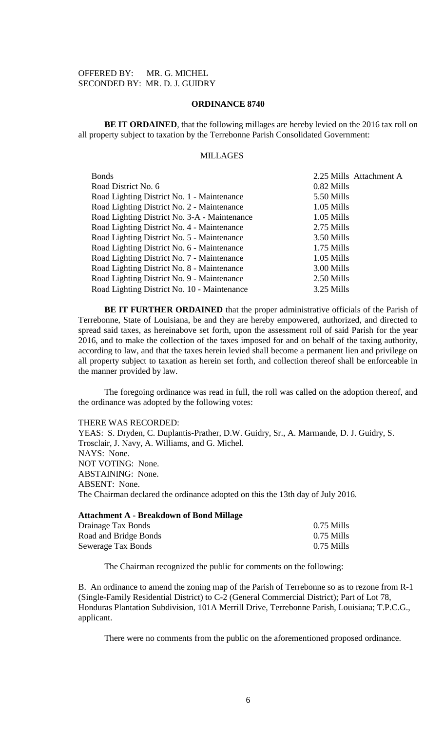OFFERED BY: MR. G. MICHEL SECONDED BY: MR. D. J. GUIDRY

### **ORDINANCE 8740**

**BE IT ORDAINED**, that the following millages are hereby levied on the 2016 tax roll on all property subject to taxation by the Terrebonne Parish Consolidated Government:

# MILLAGES

| <b>Bonds</b>                                 | 2.25 Mills Attachment A |
|----------------------------------------------|-------------------------|
| Road District No. 6                          | 0.82 Mills              |
| Road Lighting District No. 1 - Maintenance   | 5.50 Mills              |
| Road Lighting District No. 2 - Maintenance   | 1.05 Mills              |
| Road Lighting District No. 3-A - Maintenance | 1.05 Mills              |
| Road Lighting District No. 4 - Maintenance   | 2.75 Mills              |
| Road Lighting District No. 5 - Maintenance   | 3.50 Mills              |
| Road Lighting District No. 6 - Maintenance   | 1.75 Mills              |
| Road Lighting District No. 7 - Maintenance   | 1.05 Mills              |
| Road Lighting District No. 8 - Maintenance   | 3.00 Mills              |
| Road Lighting District No. 9 - Maintenance   | 2.50 Mills              |
| Road Lighting District No. 10 - Maintenance  | 3.25 Mills              |

**BE IT FURTHER ORDAINED** that the proper administrative officials of the Parish of Terrebonne, State of Louisiana, be and they are hereby empowered, authorized, and directed to spread said taxes, as hereinabove set forth, upon the assessment roll of said Parish for the year 2016, and to make the collection of the taxes imposed for and on behalf of the taxing authority, according to law, and that the taxes herein levied shall become a permanent lien and privilege on all property subject to taxation as herein set forth, and collection thereof shall be enforceable in the manner provided by law.

The foregoing ordinance was read in full, the roll was called on the adoption thereof, and the ordinance was adopted by the following votes:

#### THERE WAS RECORDED:

YEAS: S. Dryden, C. Duplantis-Prather, D.W. Guidry, Sr., A. Marmande, D. J. Guidry, S. Trosclair, J. Navy, A. Williams, and G. Michel. NAYS: None. NOT VOTING: None. ABSTAINING: None. ABSENT: None. The Chairman declared the ordinance adopted on this the 13th day of July 2016.

| <b>Attachment A - Breakdown of Bond Millage</b> |              |
|-------------------------------------------------|--------------|
| Drainage Tax Bonds                              | 0.75 Mills   |
| Road and Bridge Bonds                           | $0.75$ Mills |
| Sewerage Tax Bonds                              | 0.75 Mills   |

The Chairman recognized the public for comments on the following:

B. An ordinance to amend the zoning map of the Parish of Terrebonne so as to rezone from R-1 (Single-Family Residential District) to C-2 (General Commercial District); Part of Lot 78, Honduras Plantation Subdivision, 101A Merrill Drive, Terrebonne Parish, Louisiana; T.P.C.G., applicant.

There were no comments from the public on the aforementioned proposed ordinance.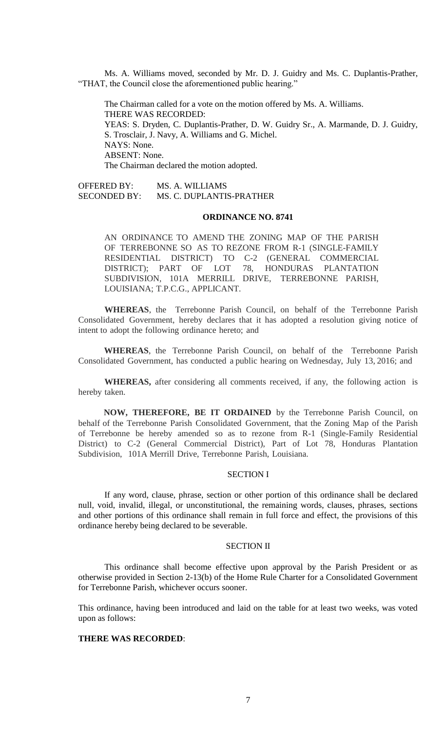Ms. A. Williams moved, seconded by Mr. D. J. Guidry and Ms. C. Duplantis-Prather, "THAT, the Council close the aforementioned public hearing."

The Chairman called for a vote on the motion offered by Ms. A. Williams. THERE WAS RECORDED: YEAS: S. Dryden, C. Duplantis-Prather, D. W. Guidry Sr., A. Marmande, D. J. Guidry, S. Trosclair, J. Navy, A. Williams and G. Michel. NAYS: None. ABSENT: None. The Chairman declared the motion adopted.

OFFERED BY: MS. A. WILLIAMS<br>SECONDED BY: MS. C. DUPLANTIS MS. C. DUPLANTIS-PRATHER

#### **ORDINANCE NO. 8741**

AN ORDINANCE TO AMEND THE ZONING MAP OF THE PARISH OF TERREBONNE SO AS TO REZONE FROM R-1 (SINGLE-FAMILY RESIDENTIAL DISTRICT) TO C-2 (GENERAL COMMERCIAL DISTRICT); PART OF LOT 78, HONDURAS PLANTATION SUBDIVISION, 101A MERRILL DRIVE, TERREBONNE PARISH, LOUISIANA; T.P.C.G., APPLICANT.

**WHEREAS**, the Terrebonne Parish Council, on behalf of the Terrebonne Parish Consolidated Government, hereby declares that it has adopted a resolution giving notice of intent to adopt the following ordinance hereto; and

**WHEREAS**, the Terrebonne Parish Council, on behalf of the Terrebonne Parish Consolidated Government, has conducted a public hearing on Wednesday, July 13, 2016; and

**WHEREAS,** after considering all comments received, if any, the following action is hereby taken.

**NOW, THEREFORE, BE IT ORDAINED** by the Terrebonne Parish Council, on behalf of the Terrebonne Parish Consolidated Government, that the Zoning Map of the Parish of Terrebonne be hereby amended so as to rezone from R-1 (Single-Family Residential District) to C-2 (General Commercial District), Part of Lot 78, Honduras Plantation Subdivision, 101A Merrill Drive, Terrebonne Parish, Louisiana.

# SECTION I

If any word, clause, phrase, section or other portion of this ordinance shall be declared null, void, invalid, illegal, or unconstitutional, the remaining words, clauses, phrases, sections and other portions of this ordinance shall remain in full force and effect, the provisions of this ordinance hereby being declared to be severable.

### SECTION II

This ordinance shall become effective upon approval by the Parish President or as otherwise provided in Section 2-13(b) of the Home Rule Charter for a Consolidated Government for Terrebonne Parish, whichever occurs sooner.

This ordinance, having been introduced and laid on the table for at least two weeks, was voted upon as follows:

### **THERE WAS RECORDED**: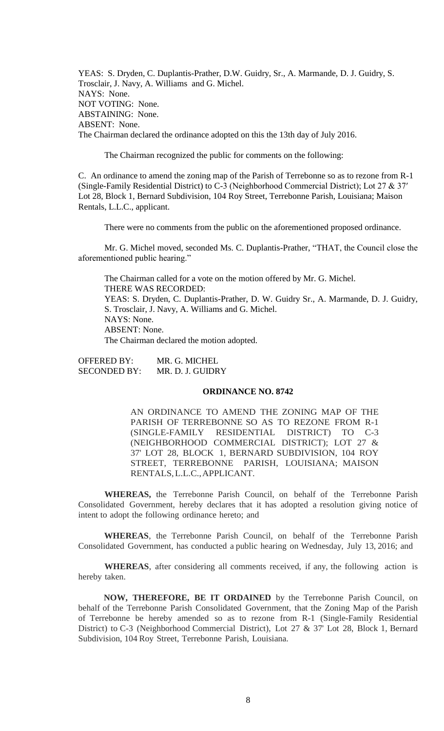YEAS: S. Dryden, C. Duplantis-Prather, D.W. Guidry, Sr., A. Marmande, D. J. Guidry, S. Trosclair, J. Navy, A. Williams and G. Michel. NAYS: None. NOT VOTING: None. ABSTAINING: None. ABSENT: None. The Chairman declared the ordinance adopted on this the 13th day of July 2016.

The Chairman recognized the public for comments on the following:

C. An ordinance to amend the zoning map of the Parish of Terrebonne so as to rezone from R-1 (Single-Family Residential District) to C-3 (Neighborhood Commercial District); Lot 27 & 37′ Lot 28, Block 1, Bernard Subdivision, 104 Roy Street, Terrebonne Parish, Louisiana; Maison Rentals, L.L.C., applicant.

There were no comments from the public on the aforementioned proposed ordinance.

Mr. G. Michel moved, seconded Ms. C. Duplantis-Prather, "THAT, the Council close the aforementioned public hearing."

The Chairman called for a vote on the motion offered by Mr. G. Michel. THERE WAS RECORDED: YEAS: S. Dryden, C. Duplantis-Prather, D. W. Guidry Sr., A. Marmande, D. J. Guidry, S. Trosclair, J. Navy, A. Williams and G. Michel. NAYS: None. ABSENT: None. The Chairman declared the motion adopted.

OFFERED BY: MR. G. MICHEL SECONDED BY: MR. D. J. GUIDRY

### **ORDINANCE NO. 8742**

AN ORDINANCE TO AMEND THE ZONING MAP OF THE PARISH OF TERREBONNE SO AS TO REZONE FROM R-1 (SINGLE-FAMILY RESIDENTIAL DISTRICT) TO C-3 (NEIGHBORHOOD COMMERCIAL DISTRICT); LOT 27 & 37' LOT 28, BLOCK 1, BERNARD SUBDIVISION, 104 ROY STREET, TERREBONNE PARISH, LOUISIANA; MAISON RENTALS,L.L.C.,APPLICANT.

**WHEREAS,** the Terrebonne Parish Council, on behalf of the Terrebonne Parish Consolidated Government, hereby declares that it has adopted a resolution giving notice of intent to adopt the following ordinance hereto; and

**WHEREAS**, the Terrebonne Parish Council, on behalf of the Terrebonne Parish Consolidated Government, has conducted a public hearing on Wednesday, July 13, 2016; and

**WHEREAS**, after considering all comments received, if any, the following action is hereby taken.

**NOW, THEREFORE, BE IT ORDAINED** by the Terrebonne Parish Council, on behalf of the Terrebonne Parish Consolidated Government, that the Zoning Map of the Parish of Terrebonne be hereby amended so as to rezone from R-1 (Single-Family Residential District) to C-3 (Neighborhood Commercial District), Lot 27 & 37' Lot 28, Block 1, Bernard Subdivision, 104 Roy Street, Terrebonne Parish, Louisiana.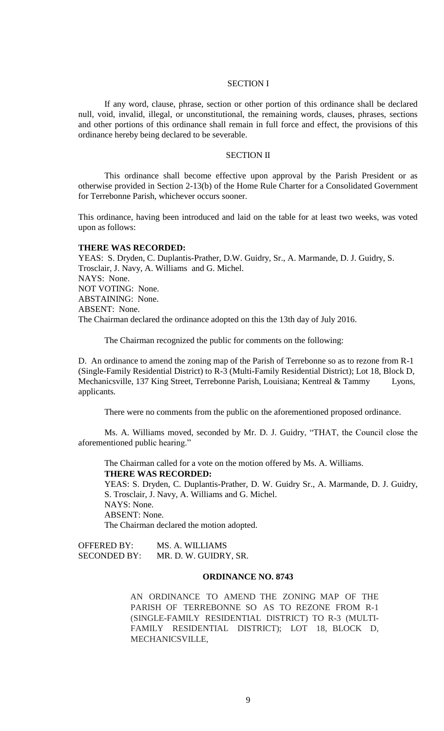## SECTION I

If any word, clause, phrase, section or other portion of this ordinance shall be declared null, void, invalid, illegal, or unconstitutional, the remaining words, clauses, phrases, sections and other portions of this ordinance shall remain in full force and effect, the provisions of this ordinance hereby being declared to be severable.

### SECTION II

This ordinance shall become effective upon approval by the Parish President or as otherwise provided in Section 2-13(b) of the Home Rule Charter for a Consolidated Government for Terrebonne Parish, whichever occurs sooner.

This ordinance, having been introduced and laid on the table for at least two weeks, was voted upon as follows:

#### **THERE WAS RECORDED:**

YEAS: S. Dryden, C. Duplantis-Prather, D.W. Guidry, Sr., A. Marmande, D. J. Guidry, S. Trosclair, J. Navy, A. Williams and G. Michel. NAYS: None. NOT VOTING: None. ABSTAINING: None. ABSENT: None. The Chairman declared the ordinance adopted on this the 13th day of July 2016.

The Chairman recognized the public for comments on the following:

D. An ordinance to amend the zoning map of the Parish of Terrebonne so as to rezone from R-1 (Single-Family Residential District) to R-3 (Multi-Family Residential District); Lot 18, Block D, Mechanicsville, 137 King Street, Terrebonne Parish, Louisiana; Kentreal & Tammy Lyons, applicants.

There were no comments from the public on the aforementioned proposed ordinance.

Ms. A. Williams moved, seconded by Mr. D. J. Guidry, "THAT, the Council close the aforementioned public hearing."

The Chairman called for a vote on the motion offered by Ms. A. Williams. **THERE WAS RECORDED:**

YEAS: S. Dryden, C. Duplantis-Prather, D. W. Guidry Sr., A. Marmande, D. J. Guidry, S. Trosclair, J. Navy, A. Williams and G. Michel. NAYS: None. ABSENT: None. The Chairman declared the motion adopted.

OFFERED BY: MS. A. WILLIAMS SECONDED BY: MR. D. W. GUIDRY, SR.

## **ORDINANCE NO. 8743**

AN ORDINANCE TO AMEND THE ZONING MAP OF THE PARISH OF TERREBONNE SO AS TO REZONE FROM R-1 (SINGLE-FAMILY RESIDENTIAL DISTRICT) TO R-3 (MULTI-FAMILY RESIDENTIAL DISTRICT); LOT 18, BLOCK D, MECHANICSVILLE,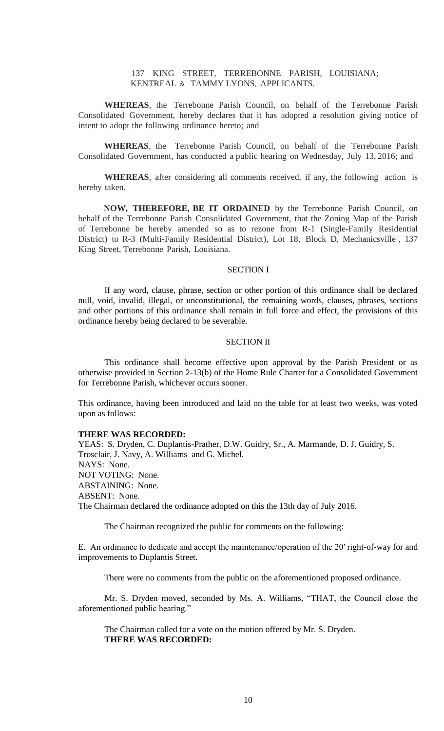# 137 KING STREET, TERREBONNE PARISH, LOUISIANA; KENTREAL & TAMMY LYONS, APPLICANTS.

**WHEREAS**, the Terrebonne Parish Council, on behalf of the Terrebonne Parish Consolidated Government, hereby declares that it has adopted a resolution giving notice of intent to adopt the following ordinance hereto; and

**WHEREAS**, the Terrebonne Parish Council, on behalf of the Terrebonne Parish Consolidated Government, has conducted a public hearing on Wednesday, July 13, 2016; and

**WHEREAS**, after considering all comments received, if any, the following action is hereby taken.

**NOW, THEREFORE, BE IT ORDAINED** by the Terrebonne Parish Council, on behalf of the Terrebonne Parish Consolidated Government, that the Zoning Map of the Parish of Terrebonne be hereby amended so as to rezone from R-1 (Single-Family Residential District) to R-3 (Multi-Family Residential District), Lot 18, Block D, Mechanicsville , 137 King Street, Terrebonne Parish, Louisiana.

## SECTION I

If any word, clause, phrase, section or other portion of this ordinance shall be declared null, void, invalid, illegal, or unconstitutional, the remaining words, clauses, phrases, sections and other portions of this ordinance shall remain in full force and effect, the provisions of this ordinance hereby being declared to be severable.

### SECTION II

This ordinance shall become effective upon approval by the Parish President or as otherwise provided in Section 2-13(b) of the Home Rule Charter for a Consolidated Government for Terrebonne Parish, whichever occurs sooner.

This ordinance, having been introduced and laid on the table for at least two weeks, was voted upon as follows:

## **THERE WAS RECORDED:**

YEAS: S. Dryden, C. Duplantis-Prather, D.W. Guidry, Sr., A. Marmande, D. J. Guidry, S. Trosclair, J. Navy, A. Williams and G. Michel. NAYS: None. NOT VOTING: None. ABSTAINING: None. ABSENT: None. The Chairman declared the ordinance adopted on this the 13th day of July 2016.

The Chairman recognized the public for comments on the following:

E. An ordinance to dedicate and accept the maintenance/operation of the 20′ right-of-way for and improvements to Duplantis Street.

There were no comments from the public on the aforementioned proposed ordinance.

Mr. S. Dryden moved, seconded by Ms. A. Williams, "THAT, the Council close the aforementioned public hearing."

The Chairman called for a vote on the motion offered by Mr. S. Dryden. **THERE WAS RECORDED:**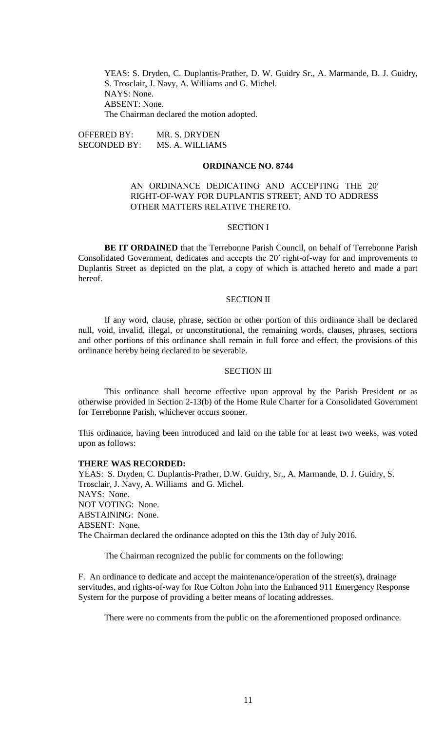YEAS: S. Dryden, C. Duplantis-Prather, D. W. Guidry Sr., A. Marmande, D. J. Guidry, S. Trosclair, J. Navy, A. Williams and G. Michel. NAYS: None. ABSENT: None. The Chairman declared the motion adopted.

OFFERED BY: MR. S. DRYDEN<br>SECONDED BY: MS. A. WILLIAM MS. A. WILLIAMS

### **ORDINANCE NO. 8744**

# AN ORDINANCE DEDICATING AND ACCEPTING THE 20′ RIGHT-OF-WAY FOR DUPLANTIS STREET; AND TO ADDRESS OTHER MATTERS RELATIVE THERETO.

#### SECTION I

**BE IT ORDAINED** that the Terrebonne Parish Council, on behalf of Terrebonne Parish Consolidated Government, dedicates and accepts the 20′ right-of-way for and improvements to Duplantis Street as depicted on the plat, a copy of which is attached hereto and made a part hereof.

### SECTION II

If any word, clause, phrase, section or other portion of this ordinance shall be declared null, void, invalid, illegal, or unconstitutional, the remaining words, clauses, phrases, sections and other portions of this ordinance shall remain in full force and effect, the provisions of this ordinance hereby being declared to be severable.

#### SECTION III

This ordinance shall become effective upon approval by the Parish President or as otherwise provided in Section 2-13(b) of the Home Rule Charter for a Consolidated Government for Terrebonne Parish, whichever occurs sooner.

This ordinance, having been introduced and laid on the table for at least two weeks, was voted upon as follows:

#### **THERE WAS RECORDED:**

YEAS: S. Dryden, C. Duplantis-Prather, D.W. Guidry, Sr., A. Marmande, D. J. Guidry, S. Trosclair, J. Navy, A. Williams and G. Michel. NAYS: None. NOT VOTING: None. ABSTAINING: None. ABSENT: None. The Chairman declared the ordinance adopted on this the 13th day of July 2016.

The Chairman recognized the public for comments on the following:

F. An ordinance to dedicate and accept the maintenance/operation of the street(s), drainage servitudes, and rights-of-way for Rue Colton John into the Enhanced 911 Emergency Response System for the purpose of providing a better means of locating addresses.

There were no comments from the public on the aforementioned proposed ordinance.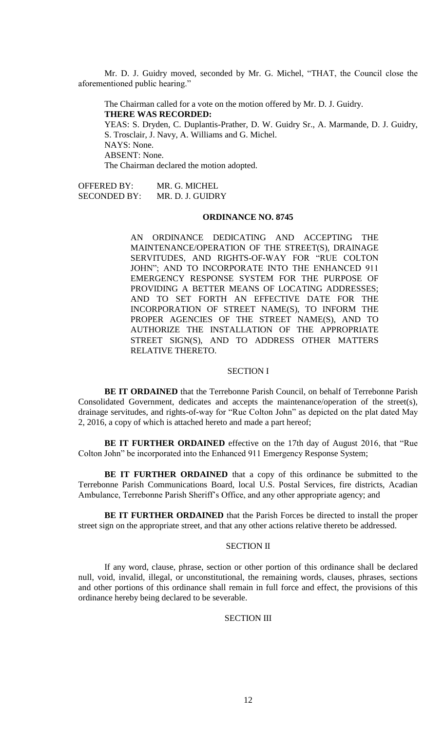Mr. D. J. Guidry moved, seconded by Mr. G. Michel, "THAT, the Council close the aforementioned public hearing."

The Chairman called for a vote on the motion offered by Mr. D. J. Guidry. **THERE WAS RECORDED:** YEAS: S. Dryden, C. Duplantis-Prather, D. W. Guidry Sr., A. Marmande, D. J. Guidry, S. Trosclair, J. Navy, A. Williams and G. Michel. NAYS: None. ABSENT: None. The Chairman declared the motion adopted.

OFFERED BY: MR. G. MICHEL SECONDED BY: MR. D. J. GUIDRY

#### **ORDINANCE NO. 8745**

AN ORDINANCE DEDICATING AND ACCEPTING THE MAINTENANCE/OPERATION OF THE STREET(S), DRAINAGE SERVITUDES, AND RIGHTS-OF-WAY FOR "RUE COLTON JOHN"; AND TO INCORPORATE INTO THE ENHANCED 911 EMERGENCY RESPONSE SYSTEM FOR THE PURPOSE OF PROVIDING A BETTER MEANS OF LOCATING ADDRESSES; AND TO SET FORTH AN EFFECTIVE DATE FOR THE INCORPORATION OF STREET NAME(S), TO INFORM THE PROPER AGENCIES OF THE STREET NAME(S), AND TO AUTHORIZE THE INSTALLATION OF THE APPROPRIATE STREET SIGN(S), AND TO ADDRESS OTHER MATTERS RELATIVE THERETO.

### SECTION I

**BE IT ORDAINED** that the Terrebonne Parish Council, on behalf of Terrebonne Parish Consolidated Government, dedicates and accepts the maintenance/operation of the street(s), drainage servitudes, and rights-of-way for "Rue Colton John" as depicted on the plat dated May 2, 2016, a copy of which is attached hereto and made a part hereof;

**BE IT FURTHER ORDAINED** effective on the 17th day of August 2016, that "Rue Colton John" be incorporated into the Enhanced 911 Emergency Response System;

**BE IT FURTHER ORDAINED** that a copy of this ordinance be submitted to the Terrebonne Parish Communications Board, local U.S. Postal Services, fire districts, Acadian Ambulance, Terrebonne Parish Sheriff's Office, and any other appropriate agency; and

**BE IT FURTHER ORDAINED** that the Parish Forces be directed to install the proper street sign on the appropriate street, and that any other actions relative thereto be addressed.

# SECTION II

If any word, clause, phrase, section or other portion of this ordinance shall be declared null, void, invalid, illegal, or unconstitutional, the remaining words, clauses, phrases, sections and other portions of this ordinance shall remain in full force and effect, the provisions of this ordinance hereby being declared to be severable.

### SECTION III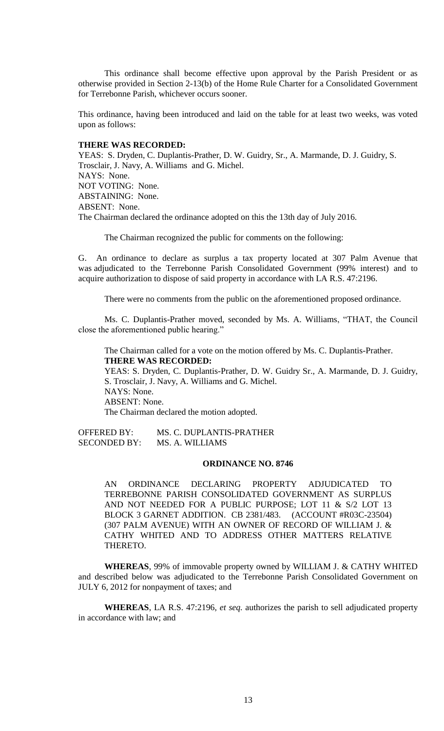This ordinance shall become effective upon approval by the Parish President or as otherwise provided in Section 2-13(b) of the Home Rule Charter for a Consolidated Government for Terrebonne Parish, whichever occurs sooner.

This ordinance, having been introduced and laid on the table for at least two weeks, was voted upon as follows:

# **THERE WAS RECORDED:**

YEAS: S. Dryden, C. Duplantis-Prather, D. W. Guidry, Sr., A. Marmande, D. J. Guidry, S. Trosclair, J. Navy, A. Williams and G. Michel. NAYS: None. NOT VOTING: None. ABSTAINING: None. ABSENT: None. The Chairman declared the ordinance adopted on this the 13th day of July 2016.

The Chairman recognized the public for comments on the following:

G. An ordinance to declare as surplus a tax property located at 307 Palm Avenue that was adjudicated to the Terrebonne Parish Consolidated Government (99% interest) and to acquire authorization to dispose of said property in accordance with LA R.S. 47:2196.

There were no comments from the public on the aforementioned proposed ordinance.

Ms. C. Duplantis-Prather moved, seconded by Ms. A. Williams, "THAT, the Council close the aforementioned public hearing."

The Chairman called for a vote on the motion offered by Ms. C. Duplantis-Prather. **THERE WAS RECORDED:** YEAS: S. Dryden, C. Duplantis-Prather, D. W. Guidry Sr., A. Marmande, D. J. Guidry, S. Trosclair, J. Navy, A. Williams and G. Michel. NAYS: None. ABSENT: None. The Chairman declared the motion adopted.

OFFERED BY: MS. C. DUPLANTIS-PRATHER SECONDED BY: MS. A. WILLIAMS

### **ORDINANCE NO. 8746**

AN ORDINANCE DECLARING PROPERTY ADJUDICATED TO TERREBONNE PARISH CONSOLIDATED GOVERNMENT AS SURPLUS AND NOT NEEDED FOR A PUBLIC PURPOSE; LOT 11 & S/2 LOT 13 BLOCK 3 GARNET ADDITION. CB 2381/483. (ACCOUNT #R03C-23504) (307 PALM AVENUE) WITH AN OWNER OF RECORD OF WILLIAM J. & CATHY WHITED AND TO ADDRESS OTHER MATTERS RELATIVE THERETO.

**WHEREAS**, 99% of immovable property owned by WILLIAM J. & CATHY WHITED and described below was adjudicated to the Terrebonne Parish Consolidated Government on JULY 6, 2012 for nonpayment of taxes; and

**WHEREAS**, LA R.S. 47:2196, *et seq.* authorizes the parish to sell adjudicated property in accordance with law; and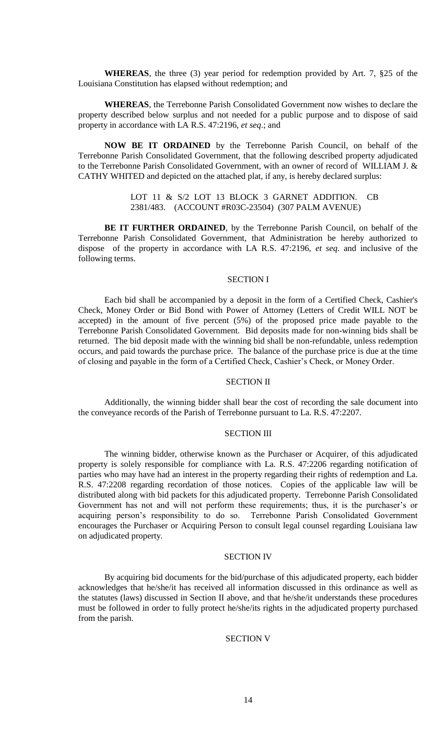**WHEREAS**, the three (3) year period for redemption provided by Art. 7, §25 of the Louisiana Constitution has elapsed without redemption; and

**WHEREAS**, the Terrebonne Parish Consolidated Government now wishes to declare the property described below surplus and not needed for a public purpose and to dispose of said property in accordance with LA R.S. 47:2196, *et seq*.; and

**NOW BE IT ORDAINED** by the Terrebonne Parish Council, on behalf of the Terrebonne Parish Consolidated Government, that the following described property adjudicated to the Terrebonne Parish Consolidated Government, with an owner of record of WILLIAM J. & CATHY WHITED and depicted on the attached plat, if any, is hereby declared surplus:

> LOT 11 & S/2 LOT 13 BLOCK 3 GARNET ADDITION. CB 2381/483. (ACCOUNT #R03C-23504) (307 PALM AVENUE)

**BE IT FURTHER ORDAINED**, by the Terrebonne Parish Council, on behalf of the Terrebonne Parish Consolidated Government, that Administration be hereby authorized to dispose of the property in accordance with LA R.S. 47:2196, *et seq*. and inclusive of the following terms.

### SECTION I

Each bid shall be accompanied by a deposit in the form of a Certified Check, Cashier's Check, Money Order or Bid Bond with Power of Attorney (Letters of Credit WILL NOT be accepted) in the amount of five percent (5%) of the proposed price made payable to the Terrebonne Parish Consolidated Government. Bid deposits made for non-winning bids shall be returned. The bid deposit made with the winning bid shall be non-refundable, unless redemption occurs, and paid towards the purchase price. The balance of the purchase price is due at the time of closing and payable in the form of a Certified Check, Cashier's Check, or Money Order.

## SECTION II

Additionally, the winning bidder shall bear the cost of recording the sale document into the conveyance records of the Parish of Terrebonne pursuant to La. R.S. 47:2207.

### SECTION III

The winning bidder, otherwise known as the Purchaser or Acquirer, of this adjudicated property is solely responsible for compliance with La. R.S. 47:2206 regarding notification of parties who may have had an interest in the property regarding their rights of redemption and La. R.S. 47:2208 regarding recordation of those notices. Copies of the applicable law will be distributed along with bid packets for this adjudicated property. Terrebonne Parish Consolidated Government has not and will not perform these requirements; thus, it is the purchaser's or acquiring person's responsibility to do so. Terrebonne Parish Consolidated Government encourages the Purchaser or Acquiring Person to consult legal counsel regarding Louisiana law on adjudicated property.

## SECTION IV

By acquiring bid documents for the bid/purchase of this adjudicated property, each bidder acknowledges that he/she/it has received all information discussed in this ordinance as well as the statutes (laws) discussed in Section II above, and that he/she/it understands these procedures must be followed in order to fully protect he/she/its rights in the adjudicated property purchased from the parish.

### SECTION V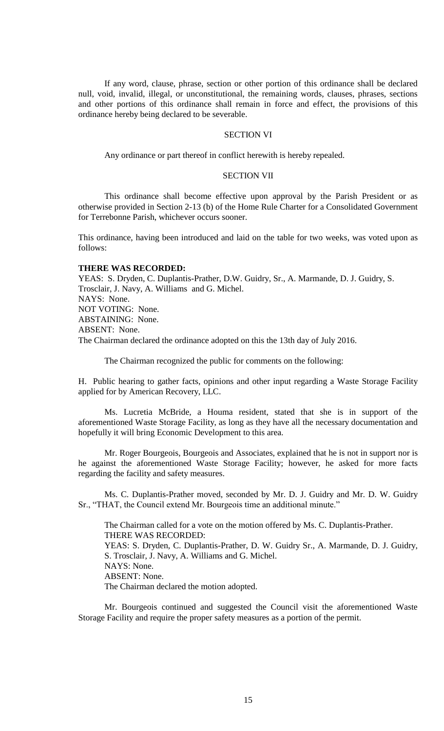If any word, clause, phrase, section or other portion of this ordinance shall be declared null, void, invalid, illegal, or unconstitutional, the remaining words, clauses, phrases, sections and other portions of this ordinance shall remain in force and effect, the provisions of this ordinance hereby being declared to be severable.

### SECTION VI

Any ordinance or part thereof in conflict herewith is hereby repealed.

## SECTION VII

This ordinance shall become effective upon approval by the Parish President or as otherwise provided in Section 2-13 (b) of the Home Rule Charter for a Consolidated Government for Terrebonne Parish, whichever occurs sooner.

This ordinance, having been introduced and laid on the table for two weeks, was voted upon as follows:

#### **THERE WAS RECORDED:**

YEAS: S. Dryden, C. Duplantis-Prather, D.W. Guidry, Sr., A. Marmande, D. J. Guidry, S. Trosclair, J. Navy, A. Williams and G. Michel. NAYS: None. NOT VOTING: None. ABSTAINING: None. ABSENT: None. The Chairman declared the ordinance adopted on this the 13th day of July 2016.

The Chairman recognized the public for comments on the following:

H. [Public hearing to gather facts, opinions and other input regarding a Waste Storage Facility](file:///C:/Users/coun02/Downloads/CoverSheet.aspx%3fItemID=19361&MeetingID=1475)  [applied for by American Recovery, LLC.](file:///C:/Users/coun02/Downloads/CoverSheet.aspx%3fItemID=19361&MeetingID=1475)

Ms. Lucretia McBride, a Houma resident, stated that she is in support of the aforementioned Waste Storage Facility, as long as they have all the necessary documentation and hopefully it will bring Economic Development to this area.

Mr. Roger Bourgeois, Bourgeois and Associates, explained that he is not in support nor is he against the aforementioned Waste Storage Facility; however, he asked for more facts regarding the facility and safety measures.

Ms. C. Duplantis-Prather moved, seconded by Mr. D. J. Guidry and Mr. D. W. Guidry Sr., "THAT, the Council extend Mr. Bourgeois time an additional minute."

The Chairman called for a vote on the motion offered by Ms. C. Duplantis-Prather. THERE WAS RECORDED: YEAS: S. Dryden, C. Duplantis-Prather, D. W. Guidry Sr., A. Marmande, D. J. Guidry, S. Trosclair, J. Navy, A. Williams and G. Michel. NAYS: None. ABSENT: None. The Chairman declared the motion adopted.

Mr. Bourgeois continued and suggested the Council visit the aforementioned Waste Storage Facility and require the proper safety measures as a portion of the permit.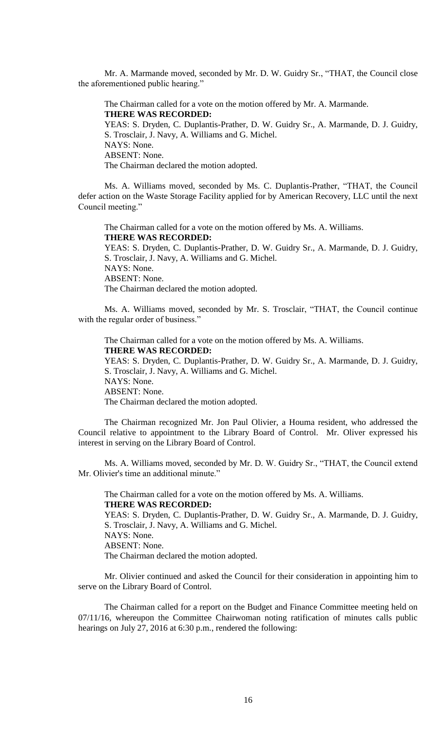Mr. A. Marmande moved, seconded by Mr. D. W. Guidry Sr., "THAT, the Council close the aforementioned public hearing."

The Chairman called for a vote on the motion offered by Mr. A. Marmande. **THERE WAS RECORDED:** YEAS: S. Dryden, C. Duplantis-Prather, D. W. Guidry Sr., A. Marmande, D. J. Guidry, S. Trosclair, J. Navy, A. Williams and G. Michel. NAYS: None. ABSENT: None. The Chairman declared the motion adopted.

Ms. A. Williams moved, seconded by Ms. C. Duplantis-Prather, "THAT, the Council defer action on the Waste Storage Facility applied for by American Recovery, LLC until the next Council meeting."

The Chairman called for a vote on the motion offered by Ms. A. Williams. **THERE WAS RECORDED:** YEAS: S. Dryden, C. Duplantis-Prather, D. W. Guidry Sr., A. Marmande, D. J. Guidry, S. Trosclair, J. Navy, A. Williams and G. Michel. NAYS: None. ABSENT: None. The Chairman declared the motion adopted.

Ms. A. Williams moved, seconded by Mr. S. Trosclair, "THAT, the Council continue with the regular order of business."

The Chairman called for a vote on the motion offered by Ms. A. Williams. **THERE WAS RECORDED:**

YEAS: S. Dryden, C. Duplantis-Prather, D. W. Guidry Sr., A. Marmande, D. J. Guidry, S. Trosclair, J. Navy, A. Williams and G. Michel. NAYS: None.

ABSENT: None.

The Chairman declared the motion adopted.

The Chairman recognized Mr. Jon Paul Olivier, a Houma resident, who addressed the Council relative to appointment to the Library Board of Control. Mr. Oliver expressed his interest in serving on the Library Board of Control.

Ms. A. Williams moved, seconded by Mr. D. W. Guidry Sr., "THAT, the Council extend Mr. Olivier's time an additional minute."

The Chairman called for a vote on the motion offered by Ms. A. Williams. **THERE WAS RECORDED:** YEAS: S. Dryden, C. Duplantis-Prather, D. W. Guidry Sr., A. Marmande, D. J. Guidry,

S. Trosclair, J. Navy, A. Williams and G. Michel. NAYS: None. ABSENT: None. The Chairman declared the motion adopted.

Mr. Olivier continued and asked the Council for their consideration in appointing him to serve on the Library Board of Control.

The Chairman called for a report on the Budget and Finance Committee meeting held on 07/11/16, whereupon the Committee Chairwoman noting ratification of minutes calls public hearings on July 27, 2016 at 6:30 p.m., rendered the following: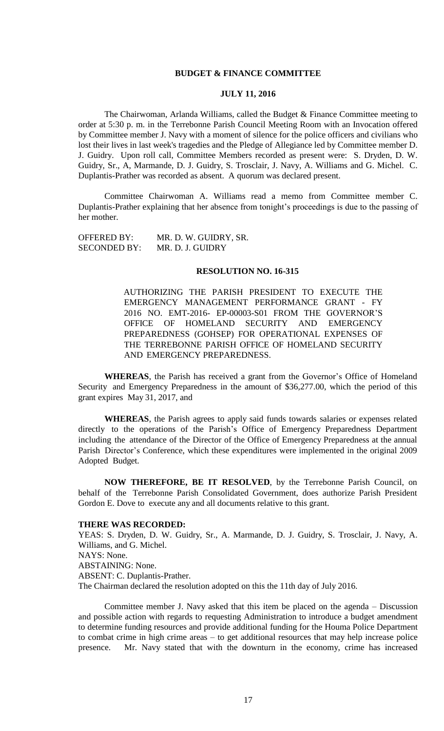## **BUDGET & FINANCE COMMITTEE**

## **JULY 11, 2016**

The Chairwoman, Arlanda Williams, called the Budget & Finance Committee meeting to order at 5:30 p. m. in the Terrebonne Parish Council Meeting Room with an Invocation offered by Committee member J. Navy with a moment of silence for the police officers and civilians who lost their lives in last week's tragedies and the Pledge of Allegiance led by Committee member D. J. Guidry. Upon roll call, Committee Members recorded as present were: S. Dryden, D. W. Guidry, Sr., A, Marmande, D. J. Guidry, S. Trosclair, J. Navy, A. Williams and G. Michel. C. Duplantis-Prather was recorded as absent. A quorum was declared present.

Committee Chairwoman A. Williams read a memo from Committee member C. Duplantis-Prather explaining that her absence from tonight's proceedings is due to the passing of her mother.

OFFERED BY: MR. D. W. GUIDRY, SR. SECONDED BY: MR. D. J. GUIDRY

#### **RESOLUTION NO. 16-315**

AUTHORIZING THE PARISH PRESIDENT TO EXECUTE THE EMERGENCY MANAGEMENT PERFORMANCE GRANT - FY 2016 NO. EMT-2016- EP-00003-S01 FROM THE GOVERNOR'S OFFICE OF HOMELAND SECURITY AND EMERGENCY PREPAREDNESS (GOHSEP) FOR OPERATIONAL EXPENSES OF THE TERREBONNE PARISH OFFICE OF HOMELAND SECURITY AND EMERGENCY PREPAREDNESS.

**WHEREAS**, the Parish has received a grant from the Governor's Office of Homeland Security and Emergency Preparedness in the amount of \$36,277.00, which the period of this grant expires May 31, 2017, and

**WHEREAS**, the Parish agrees to apply said funds towards salaries or expenses related directly to the operations of the Parish's Office of Emergency Preparedness Department including the attendance of the Director of the Office of Emergency Preparedness at the annual Parish Director's Conference, which these expenditures were implemented in the original 2009 Adopted Budget.

**NOW THEREFORE, BE IT RESOLVED**, by the Terrebonne Parish Council, on behalf of the Terrebonne Parish Consolidated Government, does authorize Parish President Gordon E. Dove to execute any and all documents relative to this grant.

#### **THERE WAS RECORDED:**

YEAS: S. Dryden, D. W. Guidry, Sr., A. Marmande, D. J. Guidry, S. Trosclair, J. Navy, A. Williams, and G. Michel. NAYS: None. ABSTAINING: None. ABSENT: C. Duplantis-Prather. The Chairman declared the resolution adopted on this the 11th day of July 2016.

Committee member J. Navy asked that this item be placed on the agenda – Discussion and possible action with regards to requesting Administration to introduce a budget amendment to determine funding resources and provide additional funding for the Houma Police Department to combat crime in high crime areas – to get additional resources that may help increase police presence. Mr. Navy stated that with the downturn in the economy, crime has increased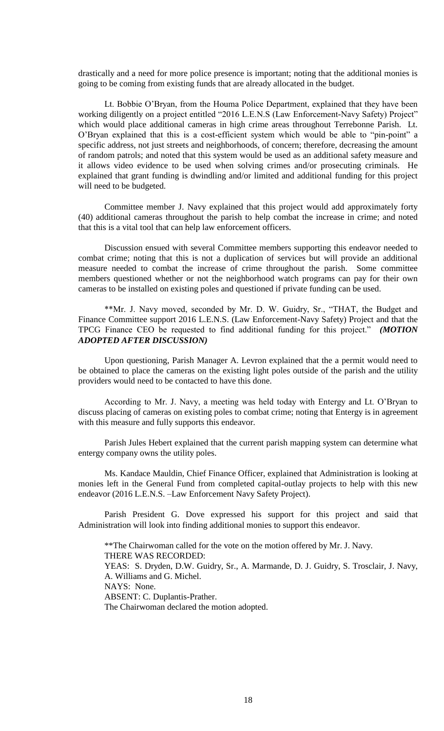drastically and a need for more police presence is important; noting that the additional monies is going to be coming from existing funds that are already allocated in the budget.

Lt. Bobbie O'Bryan, from the Houma Police Department, explained that they have been working diligently on a project entitled "2016 L.E.N.S (Law Enforcement-Navy Safety) Project" which would place additional cameras in high crime areas throughout Terrebonne Parish. Lt. O'Bryan explained that this is a cost-efficient system which would be able to "pin-point" a specific address, not just streets and neighborhoods, of concern; therefore, decreasing the amount of random patrols; and noted that this system would be used as an additional safety measure and it allows video evidence to be used when solving crimes and/or prosecuting criminals. He explained that grant funding is dwindling and/or limited and additional funding for this project will need to be budgeted.

Committee member J. Navy explained that this project would add approximately forty (40) additional cameras throughout the parish to help combat the increase in crime; and noted that this is a vital tool that can help law enforcement officers.

Discussion ensued with several Committee members supporting this endeavor needed to combat crime; noting that this is not a duplication of services but will provide an additional measure needed to combat the increase of crime throughout the parish. Some committee members questioned whether or not the neighborhood watch programs can pay for their own cameras to be installed on existing poles and questioned if private funding can be used.

\*\*Mr. J. Navy moved, seconded by Mr. D. W. Guidry, Sr., "THAT, the Budget and Finance Committee support 2016 L.E.N.S. (Law Enforcement-Navy Safety) Project and that the TPCG Finance CEO be requested to find additional funding for this project." *(MOTION ADOPTED AFTER DISCUSSION)*

Upon questioning, Parish Manager A. Levron explained that the a permit would need to be obtained to place the cameras on the existing light poles outside of the parish and the utility providers would need to be contacted to have this done.

According to Mr. J. Navy, a meeting was held today with Entergy and Lt. O'Bryan to discuss placing of cameras on existing poles to combat crime; noting that Entergy is in agreement with this measure and fully supports this endeavor.

Parish Jules Hebert explained that the current parish mapping system can determine what entergy company owns the utility poles.

Ms. Kandace Mauldin, Chief Finance Officer, explained that Administration is looking at monies left in the General Fund from completed capital-outlay projects to help with this new endeavor (2016 L.E.N.S. –Law Enforcement Navy Safety Project).

Parish President G. Dove expressed his support for this project and said that Administration will look into finding additional monies to support this endeavor.

\*\*The Chairwoman called for the vote on the motion offered by Mr. J. Navy. THERE WAS RECORDED: YEAS: S. Dryden, D.W. Guidry, Sr., A. Marmande, D. J. Guidry, S. Trosclair, J. Navy, A. Williams and G. Michel. NAYS: None. ABSENT: C. Duplantis-Prather. The Chairwoman declared the motion adopted.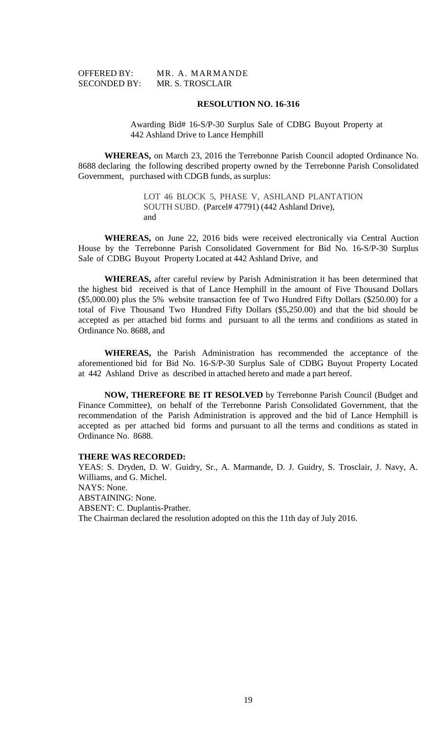| <b>OFFERED BY:</b>  |  |
|---------------------|--|
| <b>SECONDED BY:</b> |  |

MR. A. MARMANDE MR. S. TROSCLAIR

### **RESOLUTION NO. 16-316**

Awarding Bid# 16-S/P-30 Surplus Sale of CDBG Buyout Property at 442 Ashland Drive to Lance Hemphill

**WHEREAS,** on March 23, 2016 the Terrebonne Parish Council adopted Ordinance No. 8688 declaring the following described property owned by the Terrebonne Parish Consolidated Government, purchased with CDGB funds, as surplus:

> LOT 46 BLOCK 5, PHASE V, ASHLAND PLANTATION SOUTH SUBD. (Parcel# 47791) (442 Ashland Drive), and

**WHEREAS,** on June 22, 2016 bids were received electronically via Central Auction House by the Terrebonne Parish Consolidated Government for Bid No. 16-S/P-30 Surplus Sale of CDBG Buyout Property Located at 442 Ashland Drive, and

**WHEREAS,** after careful review by Parish Administration it has been determined that the highest bid received is that of Lance Hemphill in the amount of Five Thousand Dollars (\$5,000.00) plus the 5% website transaction fee of Two Hundred Fifty Dollars (\$250.00) for a total of Five Thousand Two Hundred Fifty Dollars (\$5,250.00) and that the bid should be accepted as per attached bid forms and pursuant to all the terms and conditions as stated in Ordinance No. 8688, and

**WHEREAS,** the Parish Administration has recommended the acceptance of the aforementioned bid for Bid No. 16-S/P-30 Surplus Sale of CDBG Buyout Property Located at 442 Ashland Drive as described in attached hereto and made a part hereof.

**NOW, THEREFORE BE IT RESOLVED** by Terrebonne Parish Council (Budget and Finance Committee), on behalf of the Terrebonne Parish Consolidated Government, that the recommendation of the Parish Administration is approved and the bid of Lance Hemphill is accepted as per attached bid forms and pursuant to all the terms and conditions as stated in Ordinance No. 8688.

### **THERE WAS RECORDED:**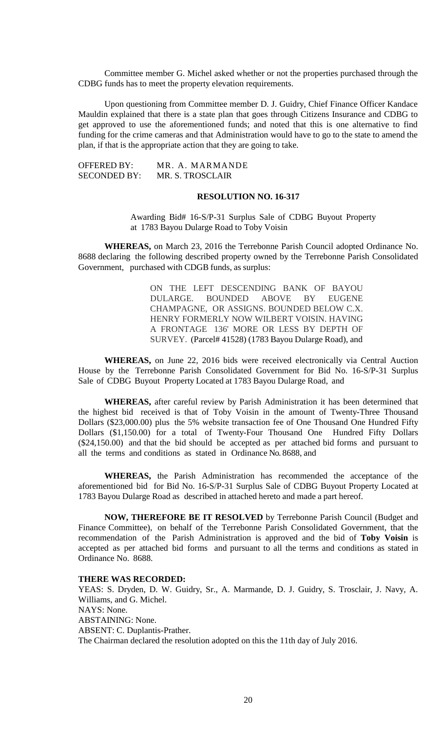Committee member G. Michel asked whether or not the properties purchased through the CDBG funds has to meet the property elevation requirements.

Upon questioning from Committee member D. J. Guidry, Chief Finance Officer Kandace Mauldin explained that there is a state plan that goes through Citizens Insurance and CDBG to get approved to use the aforementioned funds; and noted that this is one alternative to find funding for the crime cameras and that Administration would have to go to the state to amend the plan, if that is the appropriate action that they are going to take.

OFFERED BY: MR. A. MARMANDE SECONDED BY: MR. S. TROSCLAIR

# **RESOLUTION NO. 16-317**

Awarding Bid# 16-S/P-31 Surplus Sale of CDBG Buyout Property at 1783 Bayou Dularge Road to Toby Voisin

**WHEREAS,** on March 23, 2016 the Terrebonne Parish Council adopted Ordinance No. 8688 declaring the following described property owned by the Terrebonne Parish Consolidated Government, purchased with CDGB funds, as surplus:

> ON THE LEFT DESCENDING BANK OF BAYOU DULARGE. BOUNDED ABOVE BY EUGENE CHAMPAGNE, OR ASSIGNS. BOUNDED BELOW C.X. HENRY FORMERLY NOW WILBERT VOISIN. HAVING A FRONTAGE 136' MORE OR LESS BY DEPTH OF SURVEY. (Parcel# 41528) (1783 Bayou Dularge Road), and

**WHEREAS,** on June 22, 2016 bids were received electronically via Central Auction House by the Terrebonne Parish Consolidated Government for Bid No. 16-S/P-31 Surplus Sale of CDBG Buyout Property Located at 1783 Bayou Dularge Road, and

**WHEREAS,** after careful review by Parish Administration it has been determined that the highest bid received is that of Toby Voisin in the amount of Twenty-Three Thousand Dollars (\$23,000.00) plus the 5% website transaction fee of One Thousand One Hundred Fifty Dollars (\$1,150.00) for a total of Twenty-Four Thousand One Hundred Fifty Dollars (\$24,150.00) and that the bid should be accepted as per attached bid forms and pursuant to all the terms and conditions as stated in Ordinance No. 8688, and

**WHEREAS,** the Parish Administration has recommended the acceptance of the aforementioned bid for Bid No. 16-S/P-31 Surplus Sale of CDBG Buyout Property Located at 1783 Bayou Dularge Road as described in attached hereto and made a part hereof.

**NOW, THEREFORE BE IT RESOLVED** by Terrebonne Parish Council (Budget and Finance Committee), on behalf of the Terrebonne Parish Consolidated Government, that the recommendation of the Parish Administration is approved and the bid of **Toby Voisin** is accepted as per attached bid forms and pursuant to all the terms and conditions as stated in Ordinance No. 8688.

### **THERE WAS RECORDED:**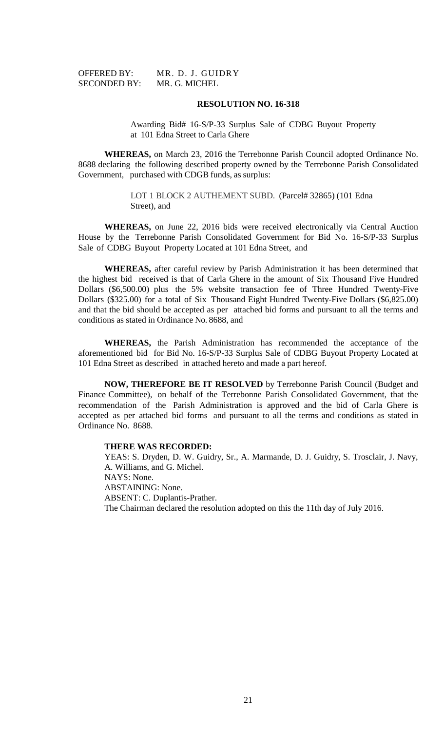| <b>OFFERED BY:</b>  | M |
|---------------------|---|
| <b>SECONDED BY:</b> | N |

IR. D. J. GUIDRY IR. G. MICHEL

### **RESOLUTION NO. 16-318**

Awarding Bid# 16-S/P-33 Surplus Sale of CDBG Buyout Property at 101 Edna Street to Carla Ghere

**WHEREAS,** on March 23, 2016 the Terrebonne Parish Council adopted Ordinance No. 8688 declaring the following described property owned by the Terrebonne Parish Consolidated Government, purchased with CDGB funds, as surplus:

> LOT 1 BLOCK 2 AUTHEMENT SUBD. (Parcel# 32865) (101 Edna Street), and

**WHEREAS,** on June 22, 2016 bids were received electronically via Central Auction House by the Terrebonne Parish Consolidated Government for Bid No. 16-S/P-33 Surplus Sale of CDBG Buyout Property Located at 101 Edna Street, and

**WHEREAS,** after careful review by Parish Administration it has been determined that the highest bid received is that of Carla Ghere in the amount of Six Thousand Five Hundred Dollars (\$6,500.00) plus the 5% website transaction fee of Three Hundred Twenty-Five Dollars (\$325.00) for a total of Six Thousand Eight Hundred Twenty-Five Dollars (\$6,825.00) and that the bid should be accepted as per attached bid forms and pursuant to all the terms and conditions as stated in Ordinance No. 8688, and

**WHEREAS,** the Parish Administration has recommended the acceptance of the aforementioned bid for Bid No. 16-S/P-33 Surplus Sale of CDBG Buyout Property Located at 101 Edna Street as described in attached hereto and made a part hereof.

**NOW, THEREFORE BE IT RESOLVED** by Terrebonne Parish Council (Budget and Finance Committee), on behalf of the Terrebonne Parish Consolidated Government, that the recommendation of the Parish Administration is approved and the bid of Carla Ghere is accepted as per attached bid forms and pursuant to all the terms and conditions as stated in Ordinance No. 8688.

### **THERE WAS RECORDED:**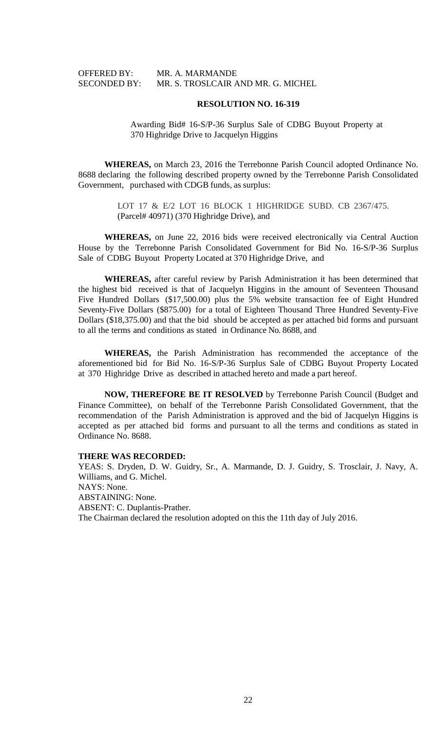OFFERED BY: MR. A. MARMANDE SECONDED BY: MR. S. TROSLCAIR AND MR. G. MICHEL

#### **RESOLUTION NO. 16-319**

Awarding Bid# 16-S/P-36 Surplus Sale of CDBG Buyout Property at 370 Highridge Drive to Jacquelyn Higgins

**WHEREAS,** on March 23, 2016 the Terrebonne Parish Council adopted Ordinance No. 8688 declaring the following described property owned by the Terrebonne Parish Consolidated Government, purchased with CDGB funds, as surplus:

> LOT 17 & E/2 LOT 16 BLOCK 1 HIGHRIDGE SUBD. CB 2367/475. (Parcel# 40971) (370 Highridge Drive), and

**WHEREAS,** on June 22, 2016 bids were received electronically via Central Auction House by the Terrebonne Parish Consolidated Government for Bid No. 16-S/P-36 Surplus Sale of CDBG Buyout Property Located at 370 Highridge Drive, and

**WHEREAS,** after careful review by Parish Administration it has been determined that the highest bid received is that of Jacquelyn Higgins in the amount of Seventeen Thousand Five Hundred Dollars (\$17,500.00) plus the 5% website transaction fee of Eight Hundred Seventy-Five Dollars (\$875.00) for a total of Eighteen Thousand Three Hundred Seventy-Five Dollars (\$18,375.00) and that the bid should be accepted as per attached bid forms and pursuant to all the terms and conditions as stated in Ordinance No. 8688, and

**WHEREAS,** the Parish Administration has recommended the acceptance of the aforementioned bid for Bid No. 16-S/P-36 Surplus Sale of CDBG Buyout Property Located at 370 Highridge Drive as described in attached hereto and made a part hereof.

**NOW, THEREFORE BE IT RESOLVED** by Terrebonne Parish Council (Budget and Finance Committee), on behalf of the Terrebonne Parish Consolidated Government, that the recommendation of the Parish Administration is approved and the bid of Jacquelyn Higgins is accepted as per attached bid forms and pursuant to all the terms and conditions as stated in Ordinance No. 8688.

### **THERE WAS RECORDED:**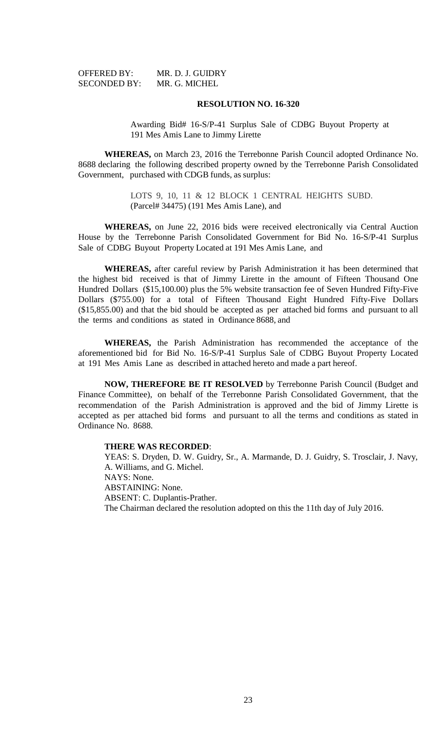| <b>OFFERED BY:</b>  | MR. D. J. GUIDRY |
|---------------------|------------------|
| <b>SECONDED BY:</b> | MR. G. MICHEL    |

Awarding Bid# 16-S/P-41 Surplus Sale of CDBG Buyout Property at 191 Mes Amis Lane to Jimmy Lirette

**WHEREAS,** on March 23, 2016 the Terrebonne Parish Council adopted Ordinance No. 8688 declaring the following described property owned by the Terrebonne Parish Consolidated Government, purchased with CDGB funds, as surplus:

> LOTS 9, 10, 11 & 12 BLOCK 1 CENTRAL HEIGHTS SUBD. (Parcel# 34475) (191 Mes Amis Lane), and

**WHEREAS,** on June 22, 2016 bids were received electronically via Central Auction House by the Terrebonne Parish Consolidated Government for Bid No. 16-S/P-41 Surplus Sale of CDBG Buyout Property Located at 191 Mes Amis Lane, and

**WHEREAS,** after careful review by Parish Administration it has been determined that the highest bid received is that of Jimmy Lirette in the amount of Fifteen Thousand One Hundred Dollars (\$15,100.00) plus the 5% website transaction fee of Seven Hundred Fifty-Five Dollars (\$755.00) for a total of Fifteen Thousand Eight Hundred Fifty-Five Dollars (\$15,855.00) and that the bid should be accepted as per attached bid forms and pursuant to all the terms and conditions as stated in Ordinance 8688, and

**WHEREAS,** the Parish Administration has recommended the acceptance of the aforementioned bid for Bid No. 16-S/P-41 Surplus Sale of CDBG Buyout Property Located at 191 Mes Amis Lane as described in attached hereto and made a part hereof.

**NOW, THEREFORE BE IT RESOLVED** by Terrebonne Parish Council (Budget and Finance Committee), on behalf of the Terrebonne Parish Consolidated Government, that the recommendation of the Parish Administration is approved and the bid of Jimmy Lirette is accepted as per attached bid forms and pursuant to all the terms and conditions as stated in Ordinance No. 8688.

#### **THERE WAS RECORDED**: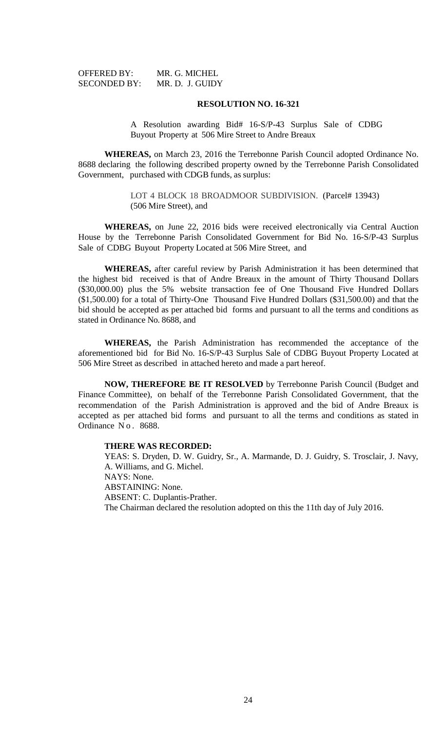| OFFERED BY:         | MR. G. MICHEL   |
|---------------------|-----------------|
| <b>SECONDED BY:</b> | MR. D. J. GUIDY |

A Resolution awarding Bid# 16-S/P-43 Surplus Sale of CDBG Buyout Property at 506 Mire Street to Andre Breaux

**WHEREAS,** on March 23, 2016 the Terrebonne Parish Council adopted Ordinance No. 8688 declaring the following described property owned by the Terrebonne Parish Consolidated Government, purchased with CDGB funds, as surplus:

> LOT 4 BLOCK 18 BROADMOOR SUBDIVISION. (Parcel# 13943) (506 Mire Street), and

**WHEREAS,** on June 22, 2016 bids were received electronically via Central Auction House by the Terrebonne Parish Consolidated Government for Bid No. 16-S/P-43 Surplus Sale of CDBG Buyout Property Located at 506 Mire Street, and

**WHEREAS,** after careful review by Parish Administration it has been determined that the highest bid received is that of Andre Breaux in the amount of Thirty Thousand Dollars (\$30,000.00) plus the 5% website transaction fee of One Thousand Five Hundred Dollars (\$1,500.00) for a total of Thirty-One Thousand Five Hundred Dollars (\$31,500.00) and that the bid should be accepted as per attached bid forms and pursuant to all the terms and conditions as stated in Ordinance No. 8688, and

**WHEREAS,** the Parish Administration has recommended the acceptance of the aforementioned bid for Bid No. 16-S/P-43 Surplus Sale of CDBG Buyout Property Located at 506 Mire Street as described in attached hereto and made a part hereof.

**NOW, THEREFORE BE IT RESOLVED** by Terrebonne Parish Council (Budget and Finance Committee), on behalf of the Terrebonne Parish Consolidated Government, that the recommendation of the Parish Administration is approved and the bid of Andre Breaux is accepted as per attached bid forms and pursuant to all the terms and conditions as stated in Ordinance No. 8688.

#### **THERE WAS RECORDED:**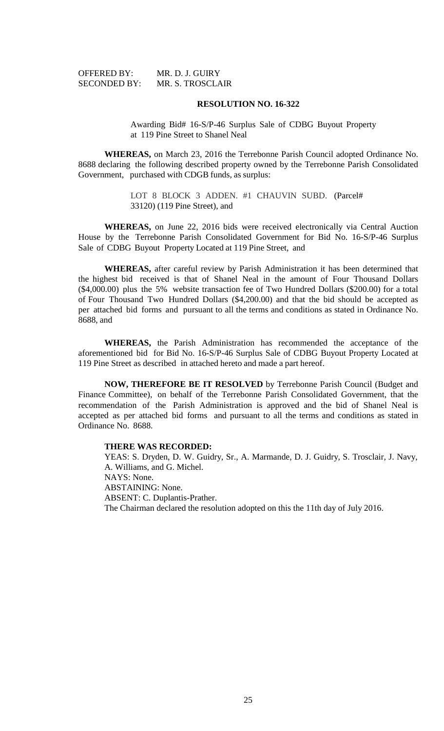| OFFERED BY:         | MR. D. J. GUIRY  |
|---------------------|------------------|
| <b>SECONDED BY:</b> | MR. S. TROSCLAIR |

Awarding Bid# 16-S/P-46 Surplus Sale of CDBG Buyout Property at 119 Pine Street to Shanel Neal

**WHEREAS,** on March 23, 2016 the Terrebonne Parish Council adopted Ordinance No. 8688 declaring the following described property owned by the Terrebonne Parish Consolidated Government, purchased with CDGB funds, as surplus:

> LOT 8 BLOCK 3 ADDEN. #1 CHAUVIN SUBD. (Parcel# 33120) (119 Pine Street), and

**WHEREAS,** on June 22, 2016 bids were received electronically via Central Auction House by the Terrebonne Parish Consolidated Government for Bid No. 16-S/P-46 Surplus Sale of CDBG Buyout Property Located at 119 Pine Street, and

**WHEREAS,** after careful review by Parish Administration it has been determined that the highest bid received is that of Shanel Neal in the amount of Four Thousand Dollars (\$4,000.00) plus the 5% website transaction fee of Two Hundred Dollars (\$200.00) for a total of Four Thousand Two Hundred Dollars (\$4,200.00) and that the bid should be accepted as per attached bid forms and pursuant to all the terms and conditions as stated in Ordinance No. 8688, and

**WHEREAS,** the Parish Administration has recommended the acceptance of the aforementioned bid for Bid No. 16-S/P-46 Surplus Sale of CDBG Buyout Property Located at 119 Pine Street as described in attached hereto and made a part hereof.

**NOW, THEREFORE BE IT RESOLVED** by Terrebonne Parish Council (Budget and Finance Committee), on behalf of the Terrebonne Parish Consolidated Government, that the recommendation of the Parish Administration is approved and the bid of Shanel Neal is accepted as per attached bid forms and pursuant to all the terms and conditions as stated in Ordinance No. 8688.

#### **THERE WAS RECORDED:**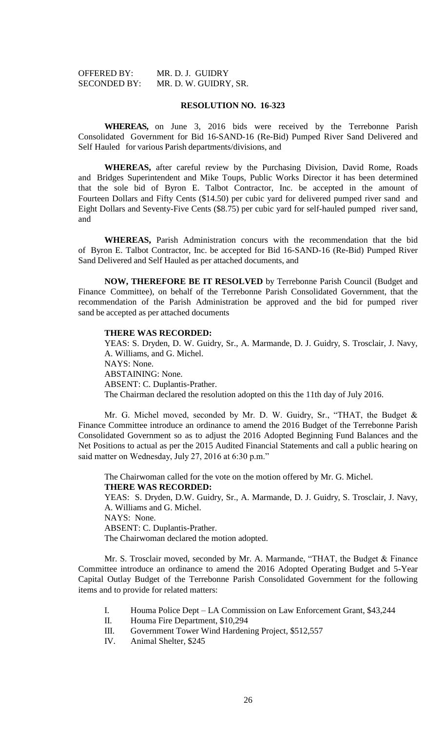| <b>OFFERED BY:</b>  | MR. D. J. GUIDRY      |
|---------------------|-----------------------|
| <b>SECONDED BY:</b> | MR. D. W. GUIDRY, SR. |

**WHEREAS,** on June 3, 2016 bids were received by the Terrebonne Parish Consolidated Government for Bid 16-SAND-16 (Re-Bid) Pumped River Sand Delivered and Self Hauled for various Parish departments/divisions, and

**WHEREAS,** after careful review by the Purchasing Division, David Rome, Roads and Bridges Superintendent and Mike Toups, Public Works Director it has been determined that the sole bid of Byron E. Talbot Contractor, Inc. be accepted in the amount of Fourteen Dollars and Fifty Cents (\$14.50) per cubic yard for delivered pumped river sand and Eight Dollars and Seventy-Five Cents (\$8.75) per cubic yard for self-hauled pumped river sand, and

**WHEREAS,** Parish Administration concurs with the recommendation that the bid of Byron E. Talbot Contractor, Inc. be accepted for Bid 16-SAND-16 (Re-Bid) Pumped River Sand Delivered and Self Hauled as per attached documents, and

**NOW, THEREFORE BE IT RESOLVED** by Terrebonne Parish Council (Budget and Finance Committee), on behalf of the Terrebonne Parish Consolidated Government, that the recommendation of the Parish Administration be approved and the bid for pumped river sand be accepted as per attached documents

#### **THERE WAS RECORDED:**

YEAS: S. Dryden, D. W. Guidry, Sr., A. Marmande, D. J. Guidry, S. Trosclair, J. Navy, A. Williams, and G. Michel. NAYS: None. ABSTAINING: None. ABSENT: C. Duplantis-Prather. The Chairman declared the resolution adopted on this the 11th day of July 2016.

Mr. G. Michel moved, seconded by Mr. D. W. Guidry, Sr., "THAT, the Budget & Finance Committee introduce an ordinance to amend the 2016 Budget of the Terrebonne Parish Consolidated Government so as to adjust the 2016 Adopted Beginning Fund Balances and the Net Positions to actual as per the 2015 Audited Financial Statements and call a public hearing on said matter on Wednesday, July 27, 2016 at 6:30 p.m."

The Chairwoman called for the vote on the motion offered by Mr. G. Michel. **THERE WAS RECORDED:** YEAS: S. Dryden, D.W. Guidry, Sr., A. Marmande, D. J. Guidry, S. Trosclair, J. Navy,

A. Williams and G. Michel. NAYS: None. ABSENT: C. Duplantis-Prather. The Chairwoman declared the motion adopted.

Mr. S. Trosclair moved, seconded by Mr. A. Marmande, "THAT, the Budget & Finance Committee introduce an ordinance to amend the 2016 Adopted Operating Budget and 5-Year Capital Outlay Budget of the Terrebonne Parish Consolidated Government for the following items and to provide for related matters:

- I. Houma Police Dept LA Commission on Law Enforcement Grant, \$43,244
- II. Houma Fire Department, \$10,294
- III. Government Tower Wind Hardening Project, \$512,557
- IV. Animal Shelter, \$245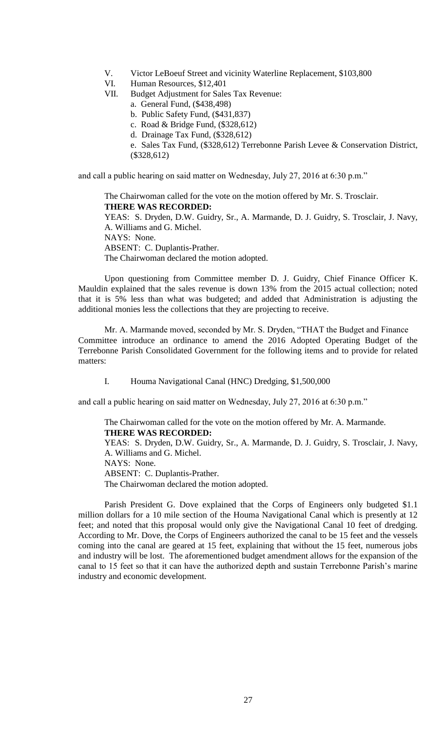- V. Victor LeBoeuf Street and vicinity Waterline Replacement, \$103,800
- VI. Human Resources, \$12,401
- VII. Budget Adjustment for Sales Tax Revenue:
	- a. General Fund, (\$438,498)
	- b. Public Safety Fund, (\$431,837)
	- c. Road & Bridge Fund, (\$328,612)
	- d. Drainage Tax Fund, (\$328,612)

e. Sales Tax Fund, (\$328,612) Terrebonne Parish Levee & Conservation District, (\$328,612)

and call a public hearing on said matter on Wednesday, July 27, 2016 at 6:30 p.m."

The Chairwoman called for the vote on the motion offered by Mr. S. Trosclair. **THERE WAS RECORDED:** YEAS: S. Dryden, D.W. Guidry, Sr., A. Marmande, D. J. Guidry, S. Trosclair, J. Navy, A. Williams and G. Michel. NAYS: None. ABSENT: C. Duplantis-Prather. The Chairwoman declared the motion adopted.

Upon questioning from Committee member D. J. Guidry, Chief Finance Officer K. Mauldin explained that the sales revenue is down 13% from the 2015 actual collection; noted that it is 5% less than what was budgeted; and added that Administration is adjusting the additional monies less the collections that they are projecting to receive.

Mr. A. Marmande moved, seconded by Mr. S. Dryden, "THAT the Budget and Finance Committee introduce an ordinance to amend the 2016 Adopted Operating Budget of the Terrebonne Parish Consolidated Government for the following items and to provide for related matters:

I. Houma Navigational Canal (HNC) Dredging, \$1,500,000

and call a public hearing on said matter on Wednesday, July 27, 2016 at 6:30 p.m."

## The Chairwoman called for the vote on the motion offered by Mr. A. Marmande. **THERE WAS RECORDED:**

YEAS: S. Dryden, D.W. Guidry, Sr., A. Marmande, D. J. Guidry, S. Trosclair, J. Navy, A. Williams and G. Michel. NAYS: None. ABSENT: C. Duplantis-Prather.

The Chairwoman declared the motion adopted.

Parish President G. Dove explained that the Corps of Engineers only budgeted \$1.1 million dollars for a 10 mile section of the Houma Navigational Canal which is presently at 12 feet; and noted that this proposal would only give the Navigational Canal 10 feet of dredging. According to Mr. Dove, the Corps of Engineers authorized the canal to be 15 feet and the vessels coming into the canal are geared at 15 feet, explaining that without the 15 feet, numerous jobs and industry will be lost. The aforementioned budget amendment allows for the expansion of the canal to 15 feet so that it can have the authorized depth and sustain Terrebonne Parish's marine industry and economic development.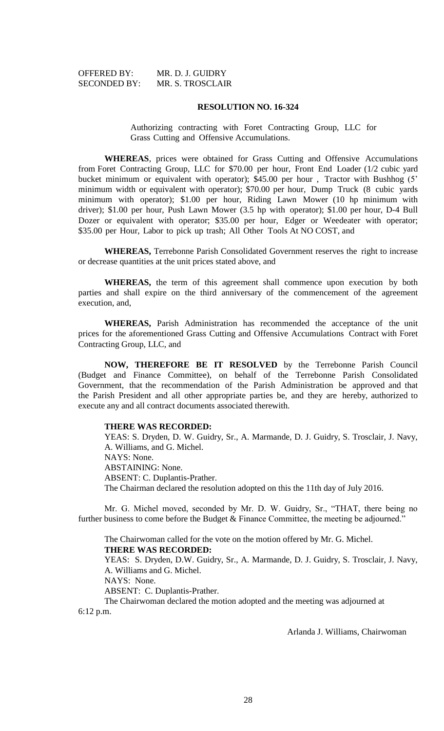| OFFERED BY:         | MR. D. J. GUIDRY        |
|---------------------|-------------------------|
| <b>SECONDED BY:</b> | <b>MR. S. TROSCLAIR</b> |

Authorizing contracting with Foret Contracting Group, LLC for Grass Cutting and Offensive Accumulations.

**WHEREAS**, prices were obtained for Grass Cutting and Offensive Accumulations from Foret Contracting Group, LLC for \$70.00 per hour, Front End Loader (1/2 cubic yard bucket minimum or equivalent with operator); \$45.00 per hour , Tractor with Bushhog (5' minimum width or equivalent with operator); \$70.00 per hour, Dump Truck (8 cubic yards minimum with operator); \$1.00 per hour, Riding Lawn Mower (10 hp minimum with driver); \$1.00 per hour, Push Lawn Mower (3.5 hp with operator); \$1.00 per hour, D-4 Bull Dozer or equivalent with operator; \$35.00 per hour, Edger or Weedeater with operator; \$35.00 per Hour, Labor to pick up trash; All Other Tools At NO COST, and

**WHEREAS,** Terrebonne Parish Consolidated Government reserves the right to increase or decrease quantities at the unit prices stated above, and

**WHEREAS,** the term of this agreement shall commence upon execution by both parties and shall expire on the third anniversary of the commencement of the agreement execution, and,

**WHEREAS,** Parish Administration has recommended the acceptance of the unit prices for the aforementioned Grass Cutting and Offensive Accumulations Contract with Foret Contracting Group, LLC, and

**NOW, THEREFORE BE IT RESOLVED** by the Terrebonne Parish Council (Budget and Finance Committee), on behalf of the Terrebonne Parish Consolidated Government, that the recommendation of the Parish Administration be approved and that the Parish President and all other appropriate parties be, and they are hereby, authorized to execute any and all contract documents associated therewith.

#### **THERE WAS RECORDED:**

YEAS: S. Dryden, D. W. Guidry, Sr., A. Marmande, D. J. Guidry, S. Trosclair, J. Navy, A. Williams, and G. Michel. NAYS: None. ABSTAINING: None. ABSENT: C. Duplantis-Prather. The Chairman declared the resolution adopted on this the 11th day of July 2016.

Mr. G. Michel moved, seconded by Mr. D. W. Guidry, Sr., "THAT, there being no further business to come before the Budget & Finance Committee, the meeting be adjourned."

The Chairwoman called for the vote on the motion offered by Mr. G. Michel. **THERE WAS RECORDED:**

YEAS: S. Dryden, D.W. Guidry, Sr., A. Marmande, D. J. Guidry, S. Trosclair, J. Navy, A. Williams and G. Michel.

NAYS: None.

ABSENT: C. Duplantis-Prather.

The Chairwoman declared the motion adopted and the meeting was adjourned at 6:12 p.m.

Arlanda J. Williams, Chairwoman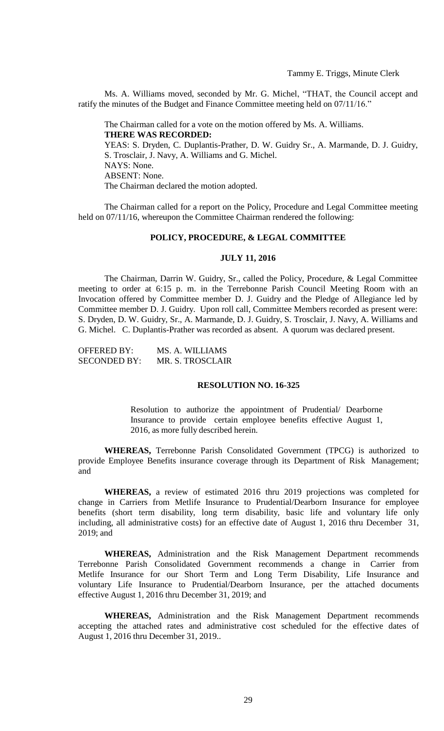Ms. A. Williams moved, seconded by Mr. G. Michel, "THAT, the Council accept and ratify the minutes of the Budget and Finance Committee meeting held on 07/11/16."

The Chairman called for a vote on the motion offered by Ms. A. Williams. **THERE WAS RECORDED:** YEAS: S. Dryden, C. Duplantis-Prather, D. W. Guidry Sr., A. Marmande, D. J. Guidry, S. Trosclair, J. Navy, A. Williams and G. Michel. NAYS: None. ABSENT: None. The Chairman declared the motion adopted.

The Chairman called for a report on the Policy, Procedure and Legal Committee meeting held on 07/11/16, whereupon the Committee Chairman rendered the following:

# **POLICY, PROCEDURE, & LEGAL COMMITTEE**

### **JULY 11, 2016**

The Chairman, Darrin W. Guidry, Sr., called the Policy, Procedure, & Legal Committee meeting to order at 6:15 p. m. in the Terrebonne Parish Council Meeting Room with an Invocation offered by Committee member D. J. Guidry and the Pledge of Allegiance led by Committee member D. J. Guidry. Upon roll call, Committee Members recorded as present were: S. Dryden, D. W. Guidry, Sr., A. Marmande, D. J. Guidry, S. Trosclair, J. Navy, A. Williams and G. Michel. C. Duplantis-Prather was recorded as absent. A quorum was declared present.

OFFERED BY: MS. A. WILLIAMS SECONDED BY: MR. S. TROSCLAIR

### **RESOLUTION NO. 16-325**

Resolution to authorize the appointment of Prudential/ Dearborne Insurance to provide certain employee benefits effective August 1, 2016, as more fully described herein.

**WHEREAS,** Terrebonne Parish Consolidated Government (TPCG) is authorized to provide Employee Benefits insurance coverage through its Department of Risk Management; and

**WHEREAS,** a review of estimated 2016 thru 2019 projections was completed for change in Carriers from Metlife Insurance to Prudential/Dearborn Insurance for employee benefits (short term disability, long term disability, basic life and voluntary life only including, all administrative costs) for an effective date of August 1, 2016 thru December 31, 2019; and

**WHEREAS,** Administration and the Risk Management Department recommends Terrebonne Parish Consolidated Government recommends a change in Carrier from Metlife Insurance for our Short Term and Long Term Disability, Life Insurance and voluntary Life Insurance to Prudential/Dearborn Insurance, per the attached documents effective August 1, 2016 thru December 31, 2019; and

**WHEREAS,** Administration and the Risk Management Department recommends accepting the attached rates and administrative cost scheduled for the effective dates of August 1, 2016 thru December 31, 2019..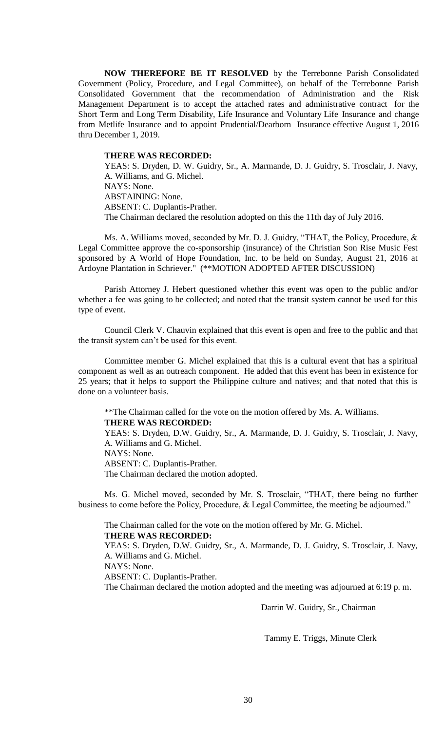**NOW THEREFORE BE IT RESOLVED** by the Terrebonne Parish Consolidated Government (Policy, Procedure, and Legal Committee), on behalf of the Terrebonne Parish Consolidated Government that the recommendation of Administration and the Risk Management Department is to accept the attached rates and administrative contract for the Short Term and Long Term Disability, Life Insurance and Voluntary Life Insurance and change from Metlife Insurance and to appoint Prudential/Dearborn Insurance effective August 1, 2016 thru December 1, 2019.

#### **THERE WAS RECORDED:**

YEAS: S. Dryden, D. W. Guidry, Sr., A. Marmande, D. J. Guidry, S. Trosclair, J. Navy, A. Williams, and G. Michel. NAYS: None. ABSTAINING: None. ABSENT: C. Duplantis-Prather. The Chairman declared the resolution adopted on this the 11th day of July 2016.

Ms. A. Williams moved, seconded by Mr. D. J. Guidry, "THAT, the Policy, Procedure, & Legal Committee approve the co-sponsorship (insurance) of the Christian Son Rise Music Fest sponsored by A World of Hope Foundation, Inc. to be held on Sunday, August 21, 2016 at Ardoyne Plantation in Schriever." (\*\*MOTION ADOPTED AFTER DISCUSSION)

Parish Attorney J. Hebert questioned whether this event was open to the public and/or whether a fee was going to be collected; and noted that the transit system cannot be used for this type of event.

Council Clerk V. Chauvin explained that this event is open and free to the public and that the transit system can't be used for this event.

Committee member G. Michel explained that this is a cultural event that has a spiritual component as well as an outreach component. He added that this event has been in existence for 25 years; that it helps to support the Philippine culture and natives; and that noted that this is done on a volunteer basis.

\*\*The Chairman called for the vote on the motion offered by Ms. A. Williams.

**THERE WAS RECORDED:**

YEAS: S. Dryden, D.W. Guidry, Sr., A. Marmande, D. J. Guidry, S. Trosclair, J. Navy, A. Williams and G. Michel.

NAYS: None.

ABSENT: C. Duplantis-Prather.

The Chairman declared the motion adopted.

Ms. G. Michel moved, seconded by Mr. S. Trosclair, "THAT, there being no further business to come before the Policy, Procedure, & Legal Committee, the meeting be adjourned."

The Chairman called for the vote on the motion offered by Mr. G. Michel. **THERE WAS RECORDED:**

YEAS: S. Dryden, D.W. Guidry, Sr., A. Marmande, D. J. Guidry, S. Trosclair, J. Navy, A. Williams and G. Michel.

NAYS: None.

ABSENT: C. Duplantis-Prather.

The Chairman declared the motion adopted and the meeting was adjourned at 6:19 p. m.

Darrin W. Guidry, Sr., Chairman

Tammy E. Triggs, Minute Clerk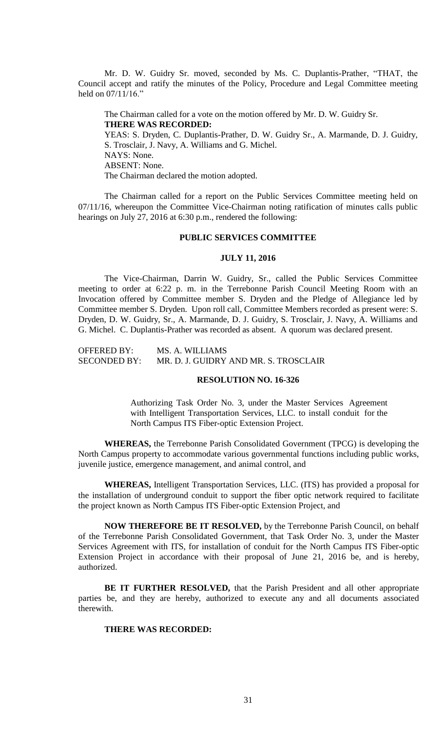Mr. D. W. Guidry Sr. moved, seconded by Ms. C. Duplantis-Prather, "THAT, the Council accept and ratify the minutes of the Policy, Procedure and Legal Committee meeting held on 07/11/16."

The Chairman called for a vote on the motion offered by Mr. D. W. Guidry Sr. **THERE WAS RECORDED:** YEAS: S. Dryden, C. Duplantis-Prather, D. W. Guidry Sr., A. Marmande, D. J. Guidry, S. Trosclair, J. Navy, A. Williams and G. Michel. NAYS: None. ABSENT: None. The Chairman declared the motion adopted.

The Chairman called for a report on the Public Services Committee meeting held on 07/11/16, whereupon the Committee Vice-Chairman noting ratification of minutes calls public hearings on July 27, 2016 at 6:30 p.m., rendered the following:

# **PUBLIC SERVICES COMMITTEE**

#### **JULY 11, 2016**

The Vice-Chairman, Darrin W. Guidry, Sr., called the Public Services Committee meeting to order at 6:22 p. m. in the Terrebonne Parish Council Meeting Room with an Invocation offered by Committee member S. Dryden and the Pledge of Allegiance led by Committee member S. Dryden. Upon roll call, Committee Members recorded as present were: S. Dryden, D. W. Guidry, Sr., A. Marmande, D. J. Guidry, S. Trosclair, J. Navy, A. Williams and G. Michel. C. Duplantis-Prather was recorded as absent. A quorum was declared present.

OFFERED BY: MS. A. WILLIAMS SECONDED BY: MR. D. J. GUIDRY AND MR. S. TROSCLAIR

### **RESOLUTION NO. 16-326**

Authorizing Task Order No. 3, under the Master Services Agreement with Intelligent Transportation Services, LLC. to install conduit for the North Campus ITS Fiber-optic Extension Project.

**WHEREAS,** the Terrebonne Parish Consolidated Government (TPCG) is developing the North Campus property to accommodate various governmental functions including public works, juvenile justice, emergence management, and animal control, and

**WHEREAS,** Intelligent Transportation Services, LLC. (ITS) has provided a proposal for the installation of underground conduit to support the fiber optic network required to facilitate the project known as North Campus ITS Fiber-optic Extension Project, and

**NOW THEREFORE BE IT RESOLVED,** by the Terrebonne Parish Council, on behalf of the Terrebonne Parish Consolidated Government, that Task Order No. 3, under the Master Services Agreement with ITS, for installation of conduit for the North Campus ITS Fiber-optic Extension Project in accordance with their proposal of June 21, 2016 be, and is hereby, authorized.

**BE IT FURTHER RESOLVED,** that the Parish President and all other appropriate parties be, and they are hereby, authorized to execute any and all documents associated therewith.

### **THERE WAS RECORDED:**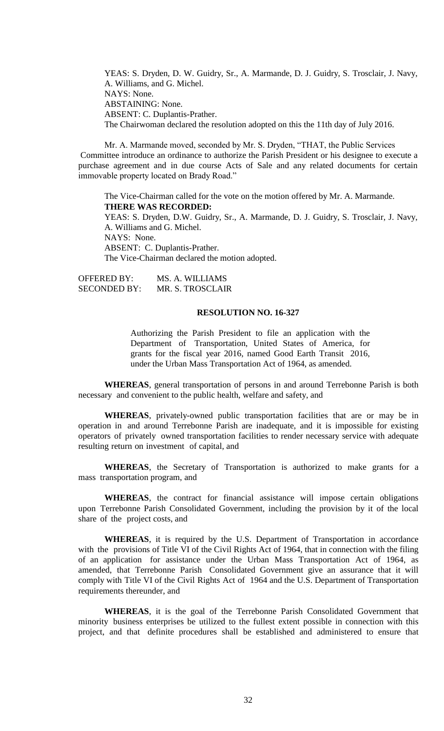YEAS: S. Dryden, D. W. Guidry, Sr., A. Marmande, D. J. Guidry, S. Trosclair, J. Navy, A. Williams, and G. Michel. NAYS: None. ABSTAINING: None. ABSENT: C. Duplantis-Prather. The Chairwoman declared the resolution adopted on this the 11th day of July 2016.

Mr. A. Marmande moved, seconded by Mr. S. Dryden, "THAT, the Public Services Committee introduce an ordinance to authorize the Parish President or his designee to execute a purchase agreement and in due course Acts of Sale and any related documents for certain immovable property located on Brady Road."

The Vice-Chairman called for the vote on the motion offered by Mr. A. Marmande. **THERE WAS RECORDED:** YEAS: S. Dryden, D.W. Guidry, Sr., A. Marmande, D. J. Guidry, S. Trosclair, J. Navy, A. Williams and G. Michel. NAYS: None. ABSENT: C. Duplantis-Prather. The Vice-Chairman declared the motion adopted.

OFFERED BY: MS. A. WILLIAMS SECONDED BY: MR. S. TROSCLAIR

## **RESOLUTION NO. 16-327**

Authorizing the Parish President to file an application with the Department of Transportation, United States of America, for grants for the fiscal year 2016, named Good Earth Transit 2016, under the Urban Mass Transportation Act of 1964, as amended.

**WHEREAS**, general transportation of persons in and around Terrebonne Parish is both necessary and convenient to the public health, welfare and safety, and

**WHEREAS**, privately-owned public transportation facilities that are or may be in operation in and around Terrebonne Parish are inadequate, and it is impossible for existing operators of privately owned transportation facilities to render necessary service with adequate resulting return on investment of capital, and

**WHEREAS**, the Secretary of Transportation is authorized to make grants for a mass transportation program, and

**WHEREAS**, the contract for financial assistance will impose certain obligations upon Terrebonne Parish Consolidated Government, including the provision by it of the local share of the project costs, and

**WHEREAS**, it is required by the U.S. Department of Transportation in accordance with the provisions of Title VI of the Civil Rights Act of 1964, that in connection with the filing of an application for assistance under the Urban Mass Transportation Act of 1964, as amended, that Terrebonne Parish Consolidated Government give an assurance that it will comply with Title VI of the Civil Rights Act of 1964 and the U.S. Department of Transportation requirements thereunder, and

**WHEREAS**, it is the goal of the Terrebonne Parish Consolidated Government that minority business enterprises be utilized to the fullest extent possible in connection with this project, and that definite procedures shall be established and administered to ensure that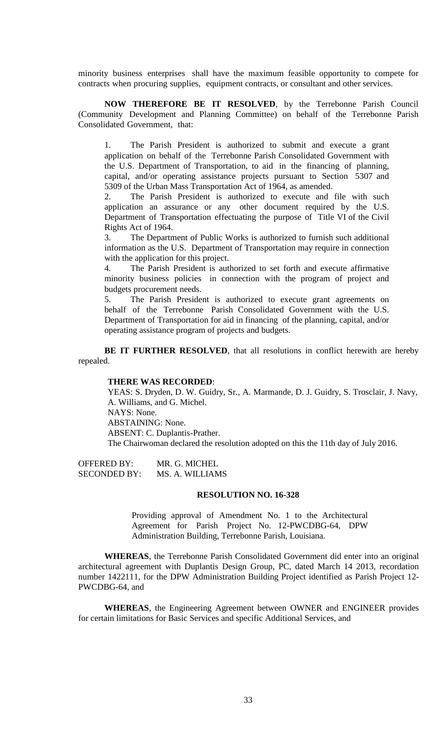minority business enterprises shall have the maximum feasible opportunity to compete for contracts when procuring supplies, equipment contracts, or consultant and other services.

**NOW THEREFORE BE IT RESOLVED**, by the Terrebonne Parish Council (Community Development and Planning Committee) on behalf of the Terrebonne Parish Consolidated Government, that:

1. The Parish President is authorized to submit and execute a grant application on behalf of the Terrebonne Parish Consolidated Government with the U.S. Department of Transportation, to aid in the financing of planning, capital, and/or operating assistance projects pursuant to Section 5307 and 5309 of the Urban Mass Transportation Act of 1964, as amended.

2. The Parish President is authorized to execute and file with such application an assurance or any other document required by the U.S. Department of Transportation effectuating the purpose of Title VI of the Civil Rights Act of 1964.

3. The Department of Public Works is authorized to furnish such additional information as the U.S. Department of Transportation may require in connection with the application for this project.

4. The Parish President is authorized to set forth and execute affirmative minority business policies in connection with the program of project and budgets procurement needs.

5. The Parish President is authorized to execute grant agreements on behalf of the Terrebonne Parish Consolidated Government with the U.S. Department of Transportation for aid in financing of the planning, capital, and/or operating assistance program of projects and budgets.

**BE IT FURTHER RESOLVED**, that all resolutions in conflict herewith are hereby repealed.

#### **THERE WAS RECORDED**:

YEAS: S. Dryden, D. W. Guidry, Sr., A. Marmande, D. J. Guidry, S. Trosclair, J. Navy, A. Williams, and G. Michel. NAYS: None. ABSTAINING: None. ABSENT: C. Duplantis-Prather. The Chairwoman declared the resolution adopted on this the 11th day of July 2016.

OFFERED BY: MR. G. MICHEL SECONDED BY: MS. A. WILLIAMS

### **RESOLUTION NO. 16-328**

Providing approval of Amendment No. 1 to the Architectural Agreement for Parish Project No. 12-PWCDBG-64, DPW Administration Building, Terrebonne Parish, Louisiana.

**WHEREAS**, the Terrebonne Parish Consolidated Government did enter into an original architectural agreement with Duplantis Design Group, PC, dated March 14 2013, recordation number 1422111, for the DPW Administration Building Project identified as Parish Project 12- PWCDBG-64, and

**WHEREAS**, the Engineering Agreement between OWNER and ENGINEER provides for certain limitations for Basic Services and specific Additional Services, and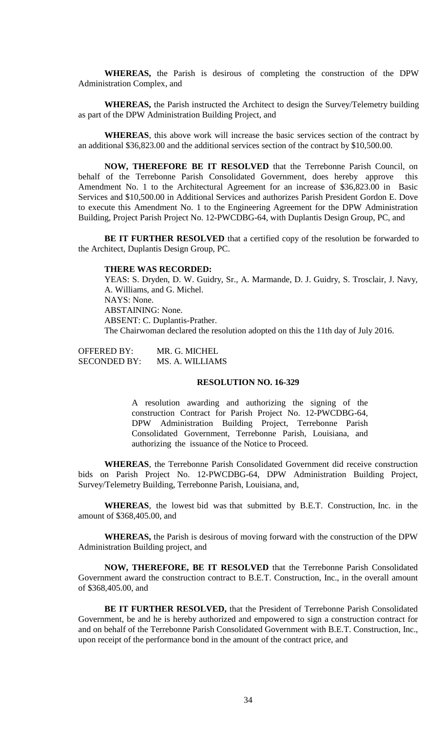**WHEREAS,** the Parish is desirous of completing the construction of the DPW Administration Complex, and

**WHEREAS,** the Parish instructed the Architect to design the Survey/Telemetry building as part of the DPW Administration Building Project, and

**WHEREAS**, this above work will increase the basic services section of the contract by an additional \$36,823.00 and the additional services section of the contract by \$10,500.00.

**NOW, THEREFORE BE IT RESOLVED** that the Terrebonne Parish Council, on behalf of the Terrebonne Parish Consolidated Government, does hereby approve this Amendment No. 1 to the Architectural Agreement for an increase of \$36,823.00 in Basic Services and \$10,500.00 in Additional Services and authorizes Parish President Gordon E. Dove to execute this Amendment No. 1 to the Engineering Agreement for the DPW Administration Building, Project Parish Project No. 12-PWCDBG-64, with Duplantis Design Group, PC, and

**BE IT FURTHER RESOLVED** that a certified copy of the resolution be forwarded to the Architect, Duplantis Design Group, PC.

#### **THERE WAS RECORDED:**

YEAS: S. Dryden, D. W. Guidry, Sr., A. Marmande, D. J. Guidry, S. Trosclair, J. Navy, A. Williams, and G. Michel. NAYS: None. ABSTAINING: None. ABSENT: C. Duplantis-Prather. The Chairwoman declared the resolution adopted on this the 11th day of July 2016.

OFFERED BY: MR. G. MICHEL SECONDED BY: MS. A. WILLIAMS

# **RESOLUTION NO. 16-329**

A resolution awarding and authorizing the signing of the construction Contract for Parish Project No. 12-PWCDBG-64, DPW Administration Building Project, Terrebonne Parish Consolidated Government, Terrebonne Parish, Louisiana, and authorizing the issuance of the Notice to Proceed.

**WHEREAS**, the Terrebonne Parish Consolidated Government did receive construction bids on Parish Project No. 12-PWCDBG-64, DPW Administration Building Project, Survey/Telemetry Building, Terrebonne Parish, Louisiana, and,

**WHEREAS**, the lowest bid was that submitted by B.E.T. Construction, Inc. in the amount of \$368,405.00, and

**WHEREAS,** the Parish is desirous of moving forward with the construction of the DPW Administration Building project, and

**NOW, THEREFORE, BE IT RESOLVED** that the Terrebonne Parish Consolidated Government award the construction contract to B.E.T. Construction, Inc., in the overall amount of \$368,405.00, and

**BE IT FURTHER RESOLVED,** that the President of Terrebonne Parish Consolidated Government, be and he is hereby authorized and empowered to sign a construction contract for and on behalf of the Terrebonne Parish Consolidated Government with B.E.T. Construction, Inc., upon receipt of the performance bond in the amount of the contract price, and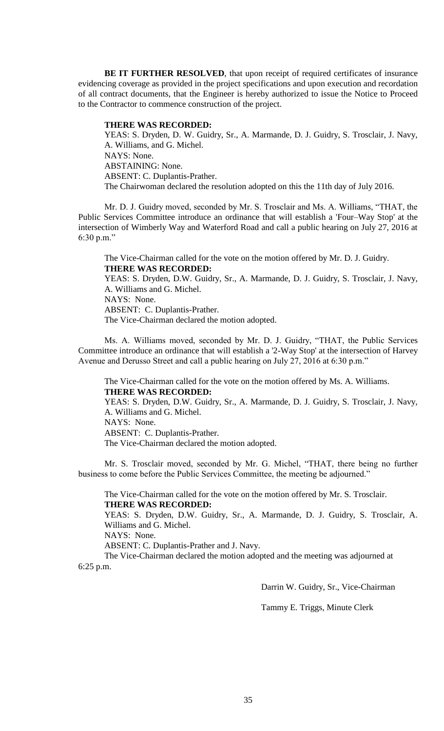**BE IT FURTHER RESOLVED**, that upon receipt of required certificates of insurance evidencing coverage as provided in the project specifications and upon execution and recordation of all contract documents, that the Engineer is hereby authorized to issue the Notice to Proceed to the Contractor to commence construction of the project.

### **THERE WAS RECORDED:**

YEAS: S. Dryden, D. W. Guidry, Sr., A. Marmande, D. J. Guidry, S. Trosclair, J. Navy, A. Williams, and G. Michel. NAYS: None. ABSTAINING: None. ABSENT: C. Duplantis-Prather. The Chairwoman declared the resolution adopted on this the 11th day of July 2016.

Mr. D. J. Guidry moved, seconded by Mr. S. Trosclair and Ms. A. Williams, "THAT, the Public Services Committee introduce an ordinance that will establish a 'Four–Way Stop' at the intersection of Wimberly Way and Waterford Road and call a public hearing on July 27, 2016 at 6:30 p.m."

The Vice-Chairman called for the vote on the motion offered by Mr. D. J. Guidry. **THERE WAS RECORDED:** YEAS: S. Dryden, D.W. Guidry, Sr., A. Marmande, D. J. Guidry, S. Trosclair, J. Navy, A. Williams and G. Michel. NAYS: None. ABSENT: C. Duplantis-Prather. The Vice-Chairman declared the motion adopted.

Ms. A. Williams moved, seconded by Mr. D. J. Guidry, "THAT, the Public Services Committee introduce an ordinance that will establish a '2-Way Stop' at the intersection of Harvey Avenue and Derusso Street and call a public hearing on July 27, 2016 at 6:30 p.m."

The Vice-Chairman called for the vote on the motion offered by Ms. A. Williams. **THERE WAS RECORDED:**

YEAS: S. Dryden, D.W. Guidry, Sr., A. Marmande, D. J. Guidry, S. Trosclair, J. Navy, A. Williams and G. Michel. NAYS: None.

ABSENT: C. Duplantis-Prather.

The Vice-Chairman declared the motion adopted.

Mr. S. Trosclair moved, seconded by Mr. G. Michel, "THAT, there being no further business to come before the Public Services Committee, the meeting be adjourned."

The Vice-Chairman called for the vote on the motion offered by Mr. S. Trosclair. **THERE WAS RECORDED:**

YEAS: S. Dryden, D.W. Guidry, Sr., A. Marmande, D. J. Guidry, S. Trosclair, A. Williams and G. Michel.

NAYS: None.

ABSENT: C. Duplantis-Prather and J. Navy.

The Vice-Chairman declared the motion adopted and the meeting was adjourned at 6:25 p.m.

Darrin W. Guidry, Sr., Vice-Chairman

Tammy E. Triggs, Minute Clerk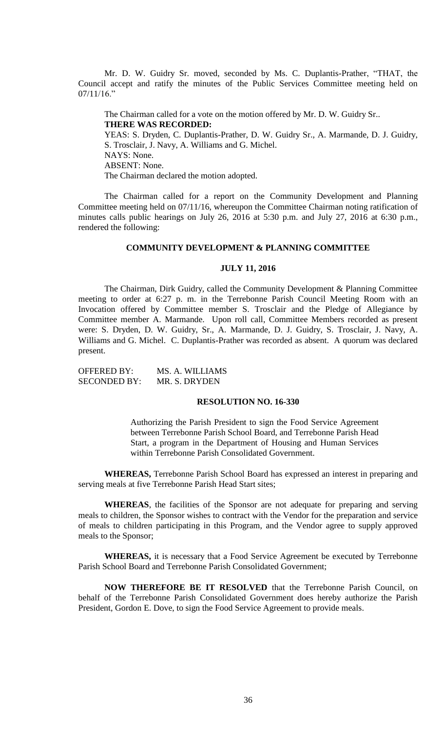Mr. D. W. Guidry Sr. moved, seconded by Ms. C. Duplantis-Prather, "THAT, the Council accept and ratify the minutes of the Public Services Committee meeting held on  $07/11/16."$ 

The Chairman called for a vote on the motion offered by Mr. D. W. Guidry Sr.. **THERE WAS RECORDED:** YEAS: S. Dryden, C. Duplantis-Prather, D. W. Guidry Sr., A. Marmande, D. J. Guidry, S. Trosclair, J. Navy, A. Williams and G. Michel. NAYS: None. ABSENT: None. The Chairman declared the motion adopted.

The Chairman called for a report on the Community Development and Planning Committee meeting held on 07/11/16, whereupon the Committee Chairman noting ratification of minutes calls public hearings on July 26, 2016 at 5:30 p.m. and July 27, 2016 at 6:30 p.m.,

#### **COMMUNITY DEVELOPMENT & PLANNING COMMITTEE**

#### **JULY 11, 2016**

The Chairman, Dirk Guidry, called the Community Development & Planning Committee meeting to order at 6:27 p. m. in the Terrebonne Parish Council Meeting Room with an Invocation offered by Committee member S. Trosclair and the Pledge of Allegiance by Committee member A. Marmande. Upon roll call, Committee Members recorded as present were: S. Dryden, D. W. Guidry, Sr., A. Marmande, D. J. Guidry, S. Trosclair, J. Navy, A. Williams and G. Michel. C. Duplantis-Prather was recorded as absent. A quorum was declared present.

OFFERED BY: MS. A. WILLIAMS SECONDED BY: MR. S. DRYDEN

rendered the following:

## **RESOLUTION NO. 16-330**

Authorizing the Parish President to sign the Food Service Agreement between Terrebonne Parish School Board, and Terrebonne Parish Head Start, a program in the Department of Housing and Human Services within Terrebonne Parish Consolidated Government.

**WHEREAS,** Terrebonne Parish School Board has expressed an interest in preparing and serving meals at five Terrebonne Parish Head Start sites;

**WHEREAS**, the facilities of the Sponsor are not adequate for preparing and serving meals to children, the Sponsor wishes to contract with the Vendor for the preparation and service of meals to children participating in this Program, and the Vendor agree to supply approved meals to the Sponsor;

**WHEREAS,** it is necessary that a Food Service Agreement be executed by Terrebonne Parish School Board and Terrebonne Parish Consolidated Government;

**NOW THEREFORE BE IT RESOLVED** that the Terrebonne Parish Council, on behalf of the Terrebonne Parish Consolidated Government does hereby authorize the Parish President, Gordon E. Dove, to sign the Food Service Agreement to provide meals.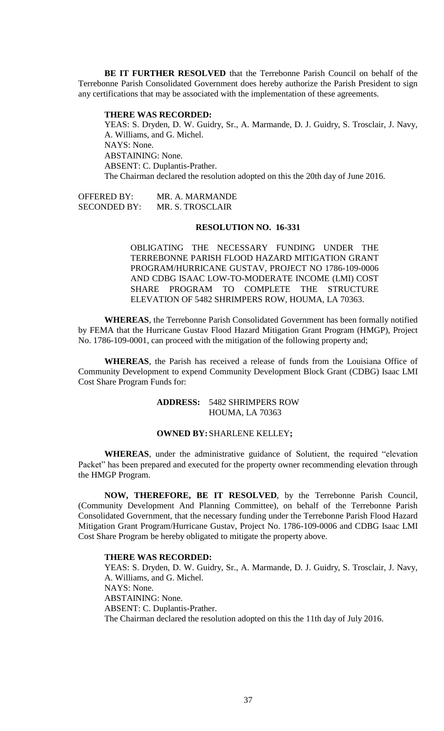**BE IT FURTHER RESOLVED** that the Terrebonne Parish Council on behalf of the Terrebonne Parish Consolidated Government does hereby authorize the Parish President to sign any certifications that may be associated with the implementation of these agreements.

### **THERE WAS RECORDED:**

YEAS: S. Dryden, D. W. Guidry, Sr., A. Marmande, D. J. Guidry, S. Trosclair, J. Navy, A. Williams, and G. Michel. NAYS: None. ABSTAINING: None. ABSENT: C. Duplantis-Prather. The Chairman declared the resolution adopted on this the 20th day of June 2016.

OFFERED BY: MR. A. MARMANDE SECONDED BY: MR. S. TROSCLAIR

### **RESOLUTION NO. 16-331**

OBLIGATING THE NECESSARY FUNDING UNDER THE TERREBONNE PARISH FLOOD HAZARD MITIGATION GRANT PROGRAM/HURRICANE GUSTAV, PROJECT NO 1786-109-0006 AND CDBG ISAAC LOW-TO-MODERATE INCOME (LMI) COST SHARE PROGRAM TO COMPLETE THE STRUCTURE ELEVATION OF 5482 SHRIMPERS ROW, HOUMA, LA 70363.

**WHEREAS**, the Terrebonne Parish Consolidated Government has been formally notified by FEMA that the Hurricane Gustav Flood Hazard Mitigation Grant Program (HMGP), Project No. 1786-109-0001, can proceed with the mitigation of the following property and;

**WHEREAS**, the Parish has received a release of funds from the Louisiana Office of Community Development to expend Community Development Block Grant (CDBG) Isaac LMI Cost Share Program Funds for:

# **ADDRESS:** 5482 SHRIMPERS ROW HOUMA, LA 70363

### **OWNED BY:**SHARLENE KELLEY**;**

**WHEREAS**, under the administrative guidance of Solutient, the required "elevation Packet" has been prepared and executed for the property owner recommending elevation through the HMGP Program.

**NOW, THEREFORE, BE IT RESOLVED**, by the Terrebonne Parish Council, (Community Development And Planning Committee), on behalf of the Terrebonne Parish Consolidated Government, that the necessary funding under the Terrebonne Parish Flood Hazard Mitigation Grant Program/Hurricane Gustav, Project No. 1786-109-0006 and CDBG Isaac LMI Cost Share Program be hereby obligated to mitigate the property above.

### **THERE WAS RECORDED:**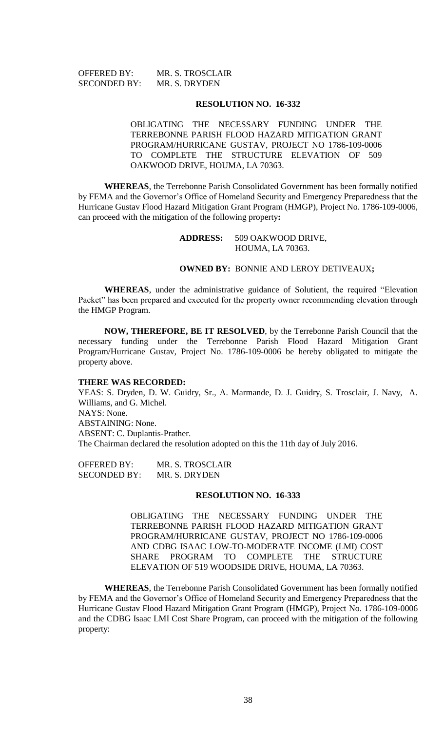| <b>OFFERED BY:</b>  | MR. S. TROSCLAIR |
|---------------------|------------------|
| <b>SECONDED BY:</b> | MR. S. DRYDEN    |

OBLIGATING THE NECESSARY FUNDING UNDER THE TERREBONNE PARISH FLOOD HAZARD MITIGATION GRANT PROGRAM/HURRICANE GUSTAV, PROJECT NO 1786-109-0006 TO COMPLETE THE STRUCTURE ELEVATION OF 509 OAKWOOD DRIVE, HOUMA, LA 70363.

**WHEREAS**, the Terrebonne Parish Consolidated Government has been formally notified by FEMA and the Governor's Office of Homeland Security and Emergency Preparedness that the Hurricane Gustav Flood Hazard Mitigation Grant Program (HMGP), Project No. 1786-109-0006, can proceed with the mitigation of the following property**:**

> **ADDRESS:** 509 OAKWOOD DRIVE, HOUMA, LA 70363.

### **OWNED BY:** BONNIE AND LEROY DETIVEAUX**;**

**WHEREAS**, under the administrative guidance of Solutient, the required "Elevation Packet" has been prepared and executed for the property owner recommending elevation through the HMGP Program.

**NOW, THEREFORE, BE IT RESOLVED**, by the Terrebonne Parish Council that the necessary funding under the Terrebonne Parish Flood Hazard Mitigation Grant Program/Hurricane Gustav, Project No. 1786-109-0006 be hereby obligated to mitigate the property above.

#### **THERE WAS RECORDED:**

YEAS: S. Dryden, D. W. Guidry, Sr., A. Marmande, D. J. Guidry, S. Trosclair, J. Navy, A. Williams, and G. Michel. NAYS: None. ABSTAINING: None. ABSENT: C. Duplantis-Prather. The Chairman declared the resolution adopted on this the 11th day of July 2016.

OFFERED BY: MR. S. TROSCLAIR SECONDED BY: MR. S. DRYDEN

### **RESOLUTION NO. 16-333**

OBLIGATING THE NECESSARY FUNDING UNDER THE TERREBONNE PARISH FLOOD HAZARD MITIGATION GRANT PROGRAM/HURRICANE GUSTAV, PROJECT NO 1786-109-0006 AND CDBG ISAAC LOW-TO-MODERATE INCOME (LMI) COST SHARE PROGRAM TO COMPLETE THE STRUCTURE ELEVATION OF 519 WOODSIDE DRIVE, HOUMA, LA 70363.

**WHEREAS**, the Terrebonne Parish Consolidated Government has been formally notified by FEMA and the Governor's Office of Homeland Security and Emergency Preparedness that the Hurricane Gustav Flood Hazard Mitigation Grant Program (HMGP), Project No. 1786-109-0006 and the CDBG Isaac LMI Cost Share Program, can proceed with the mitigation of the following property: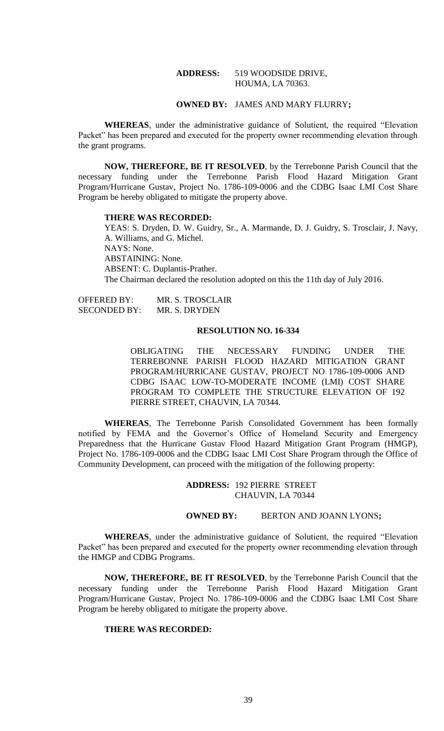## **ADDRESS:** 519 WOODSIDE DRIVE, HOUMA, LA 70363.

# **OWNED BY:** JAMES AND MARY FLURRY**;**

**WHEREAS**, under the administrative guidance of Solutient, the required "Elevation Packet" has been prepared and executed for the property owner recommending elevation through the grant programs.

**NOW, THEREFORE, BE IT RESOLVED**, by the Terrebonne Parish Council that the necessary funding under the Terrebonne Parish Flood Hazard Mitigation Grant Program/Hurricane Gustav, Project No. 1786-109-0006 and the CDBG Isaac LMI Cost Share Program be hereby obligated to mitigate the property above.

#### **THERE WAS RECORDED:**

YEAS: S. Dryden, D. W. Guidry, Sr., A. Marmande, D. J. Guidry, S. Trosclair, J. Navy, A. Williams, and G. Michel. NAYS: None. ABSTAINING: None. ABSENT: C. Duplantis-Prather. The Chairman declared the resolution adopted on this the 11th day of July 2016.

OFFERED BY: MR. S. TROSCLAIR SECONDED BY: MR. S. DRYDEN

### **RESOLUTION NO. 16-334**

OBLIGATING THE NECESSARY FUNDING UNDER THE TERREBONNE PARISH FLOOD HAZARD MITIGATION GRANT PROGRAM/HURRICANE GUSTAV, PROJECT NO 1786-109-0006 AND CDBG ISAAC LOW-TO-MODERATE INCOME (LMI) COST SHARE PROGRAM TO COMPLETE THE STRUCTURE ELEVATION OF 192 PIERRE STREET, CHAUVIN, LA 70344.

**WHEREAS**, The Terrebonne Parish Consolidated Government has been formally notified by FEMA and the Governor's Office of Homeland Security and Emergency Preparedness that the Hurricane Gustav Flood Hazard Mitigation Grant Program (HMGP), Project No. 1786-109-0006 and the CDBG Isaac LMI Cost Share Program through the Office of Community Development, can proceed with the mitigation of the following property:

> **ADDRESS:** 192 PIERRE STREET CHAUVIN, LA 70344

# **OWNED BY:** BERTON AND JOANN LYONS**;**

**WHEREAS**, under the administrative guidance of Solutient, the required "Elevation Packet" has been prepared and executed for the property owner recommending elevation through the HMGP and CDBG Programs.

**NOW, THEREFORE, BE IT RESOLVED**, by the Terrebonne Parish Council that the necessary funding under the Terrebonne Parish Flood Hazard Mitigation Grant Program/Hurricane Gustav, Project No. 1786-109-0006 and the CDBG Isaac LMI Cost Share Program be hereby obligated to mitigate the property above.

## **THERE WAS RECORDED:**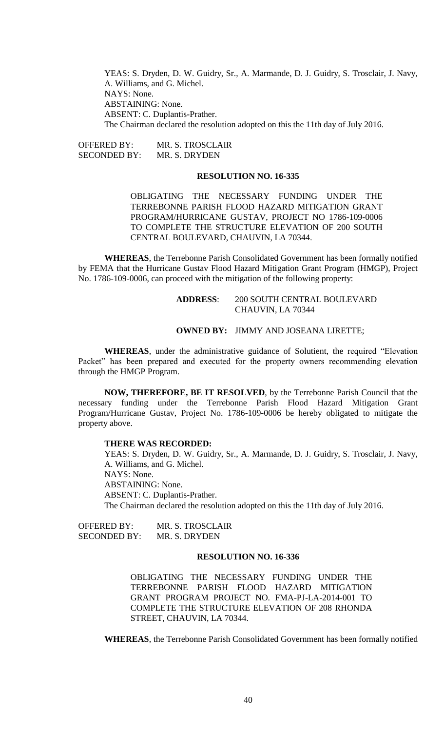YEAS: S. Dryden, D. W. Guidry, Sr., A. Marmande, D. J. Guidry, S. Trosclair, J. Navy, A. Williams, and G. Michel. NAYS: None. ABSTAINING: None. ABSENT: C. Duplantis-Prather. The Chairman declared the resolution adopted on this the 11th day of July 2016.

OFFERED BY: MR. S. TROSCLAIR SECONDED BY: MR. S. DRYDEN

### **RESOLUTION NO. 16-335**

OBLIGATING THE NECESSARY FUNDING UNDER THE TERREBONNE PARISH FLOOD HAZARD MITIGATION GRANT PROGRAM/HURRICANE GUSTAV, PROJECT NO 1786-109-0006 TO COMPLETE THE STRUCTURE ELEVATION OF 200 SOUTH CENTRAL BOULEVARD, CHAUVIN, LA 70344.

**WHEREAS**, the Terrebonne Parish Consolidated Government has been formally notified by FEMA that the Hurricane Gustav Flood Hazard Mitigation Grant Program (HMGP), Project No. 1786-109-0006, can proceed with the mitigation of the following property:

# **ADDRESS**: 200 SOUTH CENTRAL BOULEVARD CHAUVIN, LA 70344

#### **OWNED BY:** JIMMY AND JOSEANA LIRETTE;

**WHEREAS**, under the administrative guidance of Solutient, the required "Elevation Packet" has been prepared and executed for the property owners recommending elevation through the HMGP Program.

**NOW, THEREFORE, BE IT RESOLVED**, by the Terrebonne Parish Council that the necessary funding under the Terrebonne Parish Flood Hazard Mitigation Grant Program/Hurricane Gustav, Project No. 1786-109-0006 be hereby obligated to mitigate the property above.

### **THERE WAS RECORDED:**

YEAS: S. Dryden, D. W. Guidry, Sr., A. Marmande, D. J. Guidry, S. Trosclair, J. Navy, A. Williams, and G. Michel. NAYS: None. ABSTAINING: None. ABSENT: C. Duplantis-Prather. The Chairman declared the resolution adopted on this the 11th day of July 2016.

OFFERED BY: MR. S. TROSCLAIR SECONDED BY: MR. S. DRYDEN

# **RESOLUTION NO. 16-336**

OBLIGATING THE NECESSARY FUNDING UNDER THE TERREBONNE PARISH FLOOD HAZARD MITIGATION GRANT PROGRAM PROJECT NO. FMA-PJ-LA-2014-001 TO COMPLETE THE STRUCTURE ELEVATION OF 208 RHONDA STREET, CHAUVIN, LA 70344.

**WHEREAS**, the Terrebonne Parish Consolidated Government has been formally notified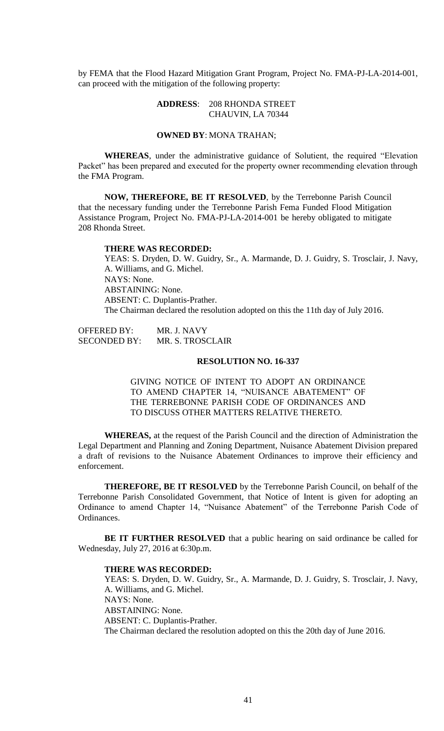by FEMA that the Flood Hazard Mitigation Grant Program, Project No. FMA-PJ-LA-2014-001, can proceed with the mitigation of the following property:

## **ADDRESS**: 208 RHONDA STREET CHAUVIN, LA 70344

# **OWNED BY**: MONA TRAHAN;

**WHEREAS**, under the administrative guidance of Solutient, the required "Elevation Packet" has been prepared and executed for the property owner recommending elevation through the FMA Program.

**NOW, THEREFORE, BE IT RESOLVED**, by the Terrebonne Parish Council that the necessary funding under the Terrebonne Parish Fema Funded Flood Mitigation Assistance Program, Project No. FMA-PJ-LA-2014-001 be hereby obligated to mitigate 208 Rhonda Street.

### **THERE WAS RECORDED:**

YEAS: S. Dryden, D. W. Guidry, Sr., A. Marmande, D. J. Guidry, S. Trosclair, J. Navy, A. Williams, and G. Michel. NAYS: None. ABSTAINING: None. ABSENT: C. Duplantis-Prather. The Chairman declared the resolution adopted on this the 11th day of July 2016.

| <b>OFFERED BY:</b>  | MR. J. NAVY             |
|---------------------|-------------------------|
| <b>SECONDED BY:</b> | <b>MR. S. TROSCLAIR</b> |

### **RESOLUTION NO. 16-337**

GIVING NOTICE OF INTENT TO ADOPT AN ORDINANCE TO AMEND CHAPTER 14, "NUISANCE ABATEMENT" OF THE TERREBONNE PARISH CODE OF ORDINANCES AND TO DISCUSS OTHER MATTERS RELATIVE THERETO.

**WHEREAS,** at the request of the Parish Council and the direction of Administration the Legal Department and Planning and Zoning Department, Nuisance Abatement Division prepared a draft of revisions to the Nuisance Abatement Ordinances to improve their efficiency and enforcement.

**THEREFORE, BE IT RESOLVED** by the Terrebonne Parish Council, on behalf of the Terrebonne Parish Consolidated Government, that Notice of Intent is given for adopting an Ordinance to amend Chapter 14, "Nuisance Abatement" of the Terrebonne Parish Code of Ordinances.

**BE IT FURTHER RESOLVED** that a public hearing on said ordinance be called for Wednesday, July 27, 2016 at 6:30p.m.

#### **THERE WAS RECORDED:**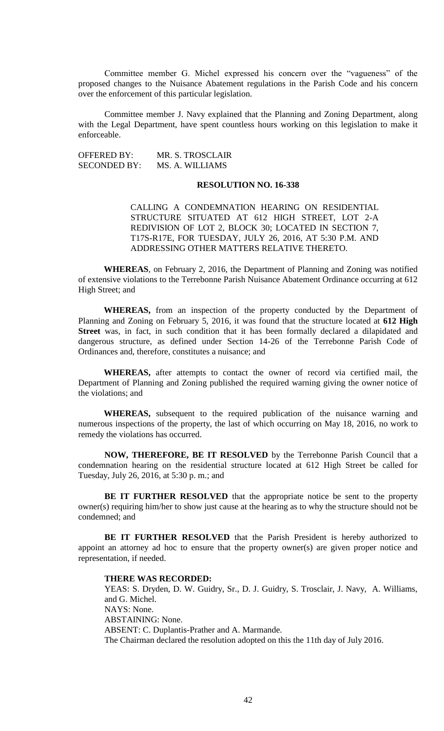Committee member G. Michel expressed his concern over the "vagueness" of the proposed changes to the Nuisance Abatement regulations in the Parish Code and his concern over the enforcement of this particular legislation.

Committee member J. Navy explained that the Planning and Zoning Department, along with the Legal Department, have spent countless hours working on this legislation to make it enforceable.

OFFERED BY: MR. S. TROSCLAIR SECONDED BY: MS. A. WILLIAMS

## **RESOLUTION NO. 16-338**

CALLING A CONDEMNATION HEARING ON RESIDENTIAL STRUCTURE SITUATED AT 612 HIGH STREET, LOT 2-A REDIVISION OF LOT 2, BLOCK 30; LOCATED IN SECTION 7, T17S-R17E, FOR TUESDAY, JULY 26, 2016, AT 5:30 P.M. AND ADDRESSING OTHER MATTERS RELATIVE THERETO.

**WHEREAS**, on February 2, 2016, the Department of Planning and Zoning was notified of extensive violations to the Terrebonne Parish Nuisance Abatement Ordinance occurring at 612 High Street; and

**WHEREAS,** from an inspection of the property conducted by the Department of Planning and Zoning on February 5, 2016, it was found that the structure located at **612 High Street** was, in fact, in such condition that it has been formally declared a dilapidated and dangerous structure, as defined under Section 14-26 of the Terrebonne Parish Code of Ordinances and, therefore, constitutes a nuisance; and

**WHEREAS,** after attempts to contact the owner of record via certified mail, the Department of Planning and Zoning published the required warning giving the owner notice of the violations; and

**WHEREAS,** subsequent to the required publication of the nuisance warning and numerous inspections of the property, the last of which occurring on May 18, 2016, no work to remedy the violations has occurred.

**NOW, THEREFORE, BE IT RESOLVED** by the Terrebonne Parish Council that a condemnation hearing on the residential structure located at 612 High Street be called for Tuesday, July 26, 2016, at 5:30 p. m.; and

**BE IT FURTHER RESOLVED** that the appropriate notice be sent to the property owner(s) requiring him/her to show just cause at the hearing as to why the structure should not be condemned; and

**BE IT FURTHER RESOLVED** that the Parish President is hereby authorized to appoint an attorney ad hoc to ensure that the property owner(s) are given proper notice and representation, if needed.

### **THERE WAS RECORDED:**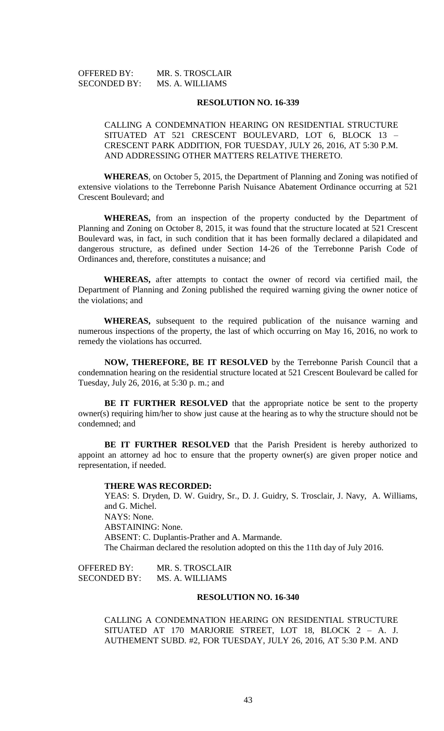| <b>OFFERED BY:</b>  | MR. S. TROSCLAIR |
|---------------------|------------------|
| <b>SECONDED BY:</b> | MS. A. WILLIAMS  |

# CALLING A CONDEMNATION HEARING ON RESIDENTIAL STRUCTURE SITUATED AT 521 CRESCENT BOULEVARD, LOT 6, BLOCK 13 – CRESCENT PARK ADDITION, FOR TUESDAY, JULY 26, 2016, AT 5:30 P.M. AND ADDRESSING OTHER MATTERS RELATIVE THERETO.

**WHEREAS**, on October 5, 2015, the Department of Planning and Zoning was notified of extensive violations to the Terrebonne Parish Nuisance Abatement Ordinance occurring at 521 Crescent Boulevard; and

**WHEREAS,** from an inspection of the property conducted by the Department of Planning and Zoning on October 8, 2015, it was found that the structure located at 521 Crescent Boulevard was, in fact, in such condition that it has been formally declared a dilapidated and dangerous structure, as defined under Section 14-26 of the Terrebonne Parish Code of Ordinances and, therefore, constitutes a nuisance; and

**WHEREAS,** after attempts to contact the owner of record via certified mail, the Department of Planning and Zoning published the required warning giving the owner notice of the violations; and

**WHEREAS,** subsequent to the required publication of the nuisance warning and numerous inspections of the property, the last of which occurring on May 16, 2016, no work to remedy the violations has occurred.

**NOW, THEREFORE, BE IT RESOLVED** by the Terrebonne Parish Council that a condemnation hearing on the residential structure located at 521 Crescent Boulevard be called for Tuesday, July 26, 2016, at 5:30 p. m.; and

**BE IT FURTHER RESOLVED** that the appropriate notice be sent to the property owner(s) requiring him/her to show just cause at the hearing as to why the structure should not be condemned; and

BE IT FURTHER RESOLVED that the Parish President is hereby authorized to appoint an attorney ad hoc to ensure that the property owner(s) are given proper notice and representation, if needed.

#### **THERE WAS RECORDED:**

YEAS: S. Dryden, D. W. Guidry, Sr., D. J. Guidry, S. Trosclair, J. Navy, A. Williams, and G. Michel. NAYS: None. ABSTAINING: None. ABSENT: C. Duplantis-Prather and A. Marmande. The Chairman declared the resolution adopted on this the 11th day of July 2016.

OFFERED BY: MR. S. TROSCLAIR SECONDED BY: MS. A. WILLIAMS

# **RESOLUTION NO. 16-340**

CALLING A CONDEMNATION HEARING ON RESIDENTIAL STRUCTURE SITUATED AT 170 MARJORIE STREET, LOT 18, BLOCK 2 – A. J. AUTHEMENT SUBD. #2, FOR TUESDAY, JULY 26, 2016, AT 5:30 P.M. AND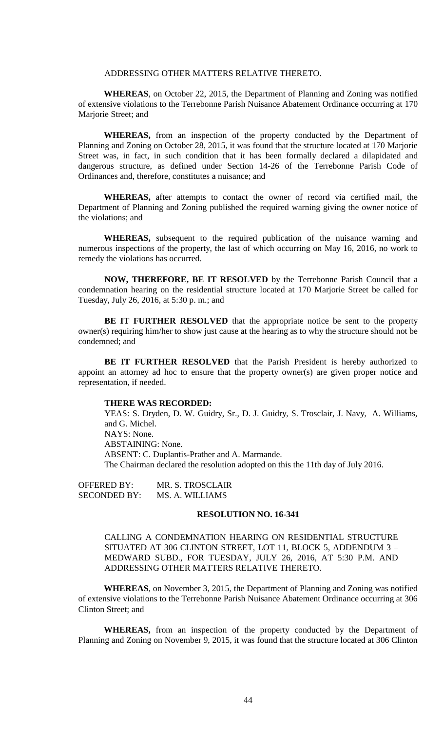## ADDRESSING OTHER MATTERS RELATIVE THERETO.

**WHEREAS**, on October 22, 2015, the Department of Planning and Zoning was notified of extensive violations to the Terrebonne Parish Nuisance Abatement Ordinance occurring at 170 Marjorie Street; and

**WHEREAS,** from an inspection of the property conducted by the Department of Planning and Zoning on October 28, 2015, it was found that the structure located at 170 Marjorie Street was, in fact, in such condition that it has been formally declared a dilapidated and dangerous structure, as defined under Section 14-26 of the Terrebonne Parish Code of Ordinances and, therefore, constitutes a nuisance; and

**WHEREAS,** after attempts to contact the owner of record via certified mail, the Department of Planning and Zoning published the required warning giving the owner notice of the violations; and

**WHEREAS,** subsequent to the required publication of the nuisance warning and numerous inspections of the property, the last of which occurring on May 16, 2016, no work to remedy the violations has occurred.

**NOW, THEREFORE, BE IT RESOLVED** by the Terrebonne Parish Council that a condemnation hearing on the residential structure located at 170 Marjorie Street be called for Tuesday, July 26, 2016, at 5:30 p. m.; and

**BE IT FURTHER RESOLVED** that the appropriate notice be sent to the property owner(s) requiring him/her to show just cause at the hearing as to why the structure should not be condemned; and

**BE IT FURTHER RESOLVED** that the Parish President is hereby authorized to appoint an attorney ad hoc to ensure that the property owner(s) are given proper notice and representation, if needed.

#### **THERE WAS RECORDED:**

YEAS: S. Dryden, D. W. Guidry, Sr., D. J. Guidry, S. Trosclair, J. Navy, A. Williams, and G. Michel. NAYS: None. ABSTAINING: None. ABSENT: C. Duplantis-Prather and A. Marmande. The Chairman declared the resolution adopted on this the 11th day of July 2016.

OFFERED BY: MR. S. TROSCLAIR SECONDED BY: MS. A. WILLIAMS

### **RESOLUTION NO. 16-341**

CALLING A CONDEMNATION HEARING ON RESIDENTIAL STRUCTURE SITUATED AT 306 CLINTON STREET, LOT 11, BLOCK 5, ADDENDUM 3 – MEDWARD SUBD., FOR TUESDAY, JULY 26, 2016, AT 5:30 P.M. AND ADDRESSING OTHER MATTERS RELATIVE THERETO.

**WHEREAS**, on November 3, 2015, the Department of Planning and Zoning was notified of extensive violations to the Terrebonne Parish Nuisance Abatement Ordinance occurring at 306 Clinton Street; and

**WHEREAS,** from an inspection of the property conducted by the Department of Planning and Zoning on November 9, 2015, it was found that the structure located at 306 Clinton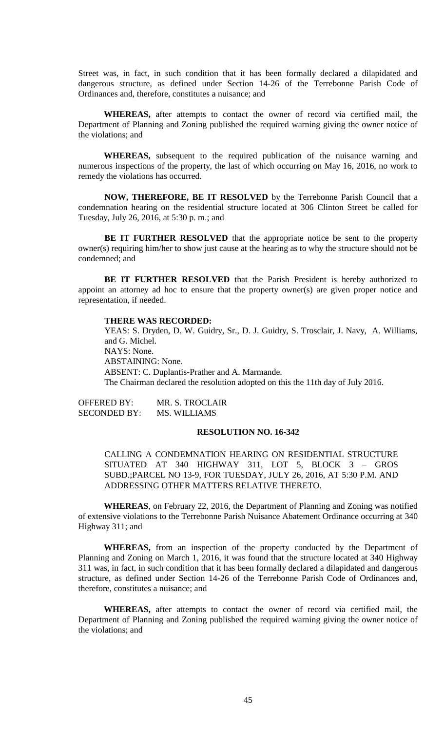Street was, in fact, in such condition that it has been formally declared a dilapidated and dangerous structure, as defined under Section 14-26 of the Terrebonne Parish Code of Ordinances and, therefore, constitutes a nuisance; and

**WHEREAS,** after attempts to contact the owner of record via certified mail, the Department of Planning and Zoning published the required warning giving the owner notice of the violations; and

**WHEREAS,** subsequent to the required publication of the nuisance warning and numerous inspections of the property, the last of which occurring on May 16, 2016, no work to remedy the violations has occurred.

**NOW, THEREFORE, BE IT RESOLVED** by the Terrebonne Parish Council that a condemnation hearing on the residential structure located at 306 Clinton Street be called for Tuesday, July 26, 2016, at 5:30 p. m.; and

**BE IT FURTHER RESOLVED** that the appropriate notice be sent to the property owner(s) requiring him/her to show just cause at the hearing as to why the structure should not be condemned; and

**BE IT FURTHER RESOLVED** that the Parish President is hereby authorized to appoint an attorney ad hoc to ensure that the property owner(s) are given proper notice and representation, if needed.

# **THERE WAS RECORDED:**

YEAS: S. Dryden, D. W. Guidry, Sr., D. J. Guidry, S. Trosclair, J. Navy, A. Williams, and G. Michel. NAYS: None. ABSTAINING: None. ABSENT: C. Duplantis-Prather and A. Marmande. The Chairman declared the resolution adopted on this the 11th day of July 2016.

OFFERED BY: MR. S. TROCLAIR SECONDED BY: MS. WILLIAMS

# **RESOLUTION NO. 16-342**

CALLING A CONDEMNATION HEARING ON RESIDENTIAL STRUCTURE SITUATED AT 340 HIGHWAY 311, LOT 5, BLOCK 3 – GROS SUBD.;PARCEL NO 13-9, FOR TUESDAY, JULY 26, 2016, AT 5:30 P.M. AND ADDRESSING OTHER MATTERS RELATIVE THERETO.

**WHEREAS**, on February 22, 2016, the Department of Planning and Zoning was notified of extensive violations to the Terrebonne Parish Nuisance Abatement Ordinance occurring at 340 Highway 311; and

**WHEREAS,** from an inspection of the property conducted by the Department of Planning and Zoning on March 1, 2016, it was found that the structure located at 340 Highway 311 was, in fact, in such condition that it has been formally declared a dilapidated and dangerous structure, as defined under Section 14-26 of the Terrebonne Parish Code of Ordinances and, therefore, constitutes a nuisance; and

**WHEREAS,** after attempts to contact the owner of record via certified mail, the Department of Planning and Zoning published the required warning giving the owner notice of the violations; and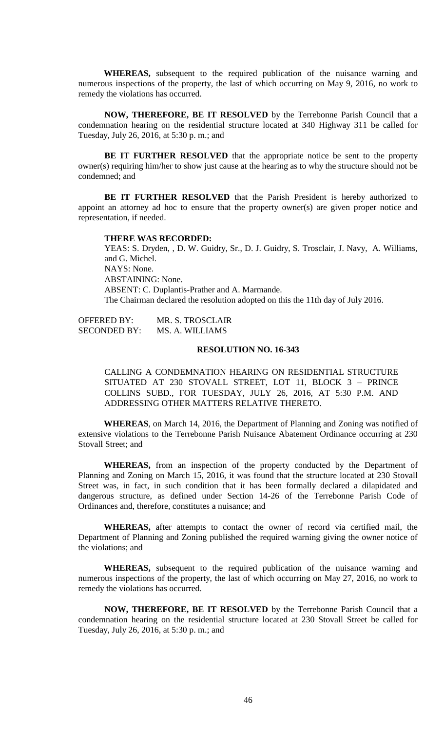**WHEREAS,** subsequent to the required publication of the nuisance warning and numerous inspections of the property, the last of which occurring on May 9, 2016, no work to remedy the violations has occurred.

**NOW, THEREFORE, BE IT RESOLVED** by the Terrebonne Parish Council that a condemnation hearing on the residential structure located at 340 Highway 311 be called for Tuesday, July 26, 2016, at 5:30 p. m.; and

**BE IT FURTHER RESOLVED** that the appropriate notice be sent to the property owner(s) requiring him/her to show just cause at the hearing as to why the structure should not be condemned; and

**BE IT FURTHER RESOLVED** that the Parish President is hereby authorized to appoint an attorney ad hoc to ensure that the property owner(s) are given proper notice and representation, if needed.

#### **THERE WAS RECORDED:**

YEAS: S. Dryden, , D. W. Guidry, Sr., D. J. Guidry, S. Trosclair, J. Navy, A. Williams, and G. Michel. NAYS: None. ABSTAINING: None. ABSENT: C. Duplantis-Prather and A. Marmande. The Chairman declared the resolution adopted on this the 11th day of July 2016.

OFFERED BY: MR. S. TROSCLAIR SECONDED BY: MS. A. WILLIAMS

## **RESOLUTION NO. 16-343**

CALLING A CONDEMNATION HEARING ON RESIDENTIAL STRUCTURE SITUATED AT 230 STOVALL STREET, LOT 11, BLOCK 3 – PRINCE COLLINS SUBD., FOR TUESDAY, JULY 26, 2016, AT 5:30 P.M. AND ADDRESSING OTHER MATTERS RELATIVE THERETO.

**WHEREAS**, on March 14, 2016, the Department of Planning and Zoning was notified of extensive violations to the Terrebonne Parish Nuisance Abatement Ordinance occurring at 230 Stovall Street; and

**WHEREAS,** from an inspection of the property conducted by the Department of Planning and Zoning on March 15, 2016, it was found that the structure located at 230 Stovall Street was, in fact, in such condition that it has been formally declared a dilapidated and dangerous structure, as defined under Section 14-26 of the Terrebonne Parish Code of Ordinances and, therefore, constitutes a nuisance; and

**WHEREAS,** after attempts to contact the owner of record via certified mail, the Department of Planning and Zoning published the required warning giving the owner notice of the violations; and

**WHEREAS,** subsequent to the required publication of the nuisance warning and numerous inspections of the property, the last of which occurring on May 27, 2016, no work to remedy the violations has occurred.

**NOW, THEREFORE, BE IT RESOLVED** by the Terrebonne Parish Council that a condemnation hearing on the residential structure located at 230 Stovall Street be called for Tuesday, July 26, 2016, at 5:30 p. m.; and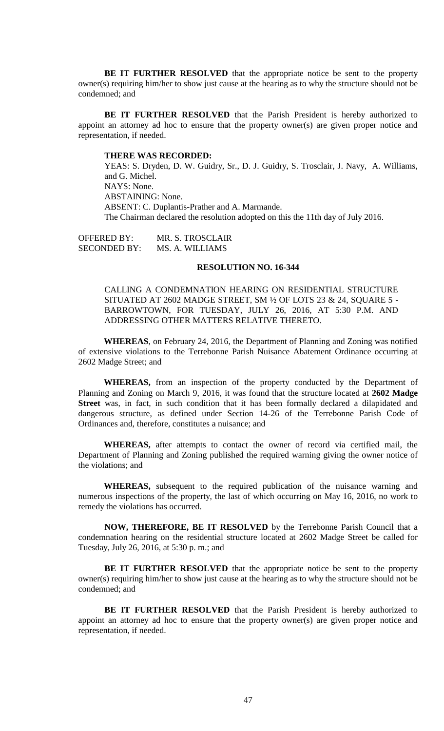**BE IT FURTHER RESOLVED** that the appropriate notice be sent to the property owner(s) requiring him/her to show just cause at the hearing as to why the structure should not be condemned; and

**BE IT FURTHER RESOLVED** that the Parish President is hereby authorized to appoint an attorney ad hoc to ensure that the property owner(s) are given proper notice and representation, if needed.

#### **THERE WAS RECORDED:**

YEAS: S. Dryden, D. W. Guidry, Sr., D. J. Guidry, S. Trosclair, J. Navy, A. Williams, and G. Michel. NAYS: None. ABSTAINING: None. ABSENT: C. Duplantis-Prather and A. Marmande. The Chairman declared the resolution adopted on this the 11th day of July 2016.

OFFERED BY: MR. S. TROSCLAIR SECONDED BY: MS. A. WILLIAMS

### **RESOLUTION NO. 16-344**

CALLING A CONDEMNATION HEARING ON RESIDENTIAL STRUCTURE SITUATED AT 2602 MADGE STREET, SM  $\frac{1}{2}$  OF LOTS 23 & 24, SOUARE 5 -BARROWTOWN, FOR TUESDAY, JULY 26, 2016, AT 5:30 P.M. AND ADDRESSING OTHER MATTERS RELATIVE THERETO.

**WHEREAS**, on February 24, 2016, the Department of Planning and Zoning was notified of extensive violations to the Terrebonne Parish Nuisance Abatement Ordinance occurring at 2602 Madge Street; and

**WHEREAS,** from an inspection of the property conducted by the Department of Planning and Zoning on March 9, 2016, it was found that the structure located at **2602 Madge Street** was, in fact, in such condition that it has been formally declared a dilapidated and dangerous structure, as defined under Section 14-26 of the Terrebonne Parish Code of Ordinances and, therefore, constitutes a nuisance; and

**WHEREAS,** after attempts to contact the owner of record via certified mail, the Department of Planning and Zoning published the required warning giving the owner notice of the violations; and

**WHEREAS,** subsequent to the required publication of the nuisance warning and numerous inspections of the property, the last of which occurring on May 16, 2016, no work to remedy the violations has occurred.

**NOW, THEREFORE, BE IT RESOLVED** by the Terrebonne Parish Council that a condemnation hearing on the residential structure located at 2602 Madge Street be called for Tuesday, July 26, 2016, at 5:30 p. m.; and

**BE IT FURTHER RESOLVED** that the appropriate notice be sent to the property owner(s) requiring him/her to show just cause at the hearing as to why the structure should not be condemned; and

**BE IT FURTHER RESOLVED** that the Parish President is hereby authorized to appoint an attorney ad hoc to ensure that the property owner(s) are given proper notice and representation, if needed.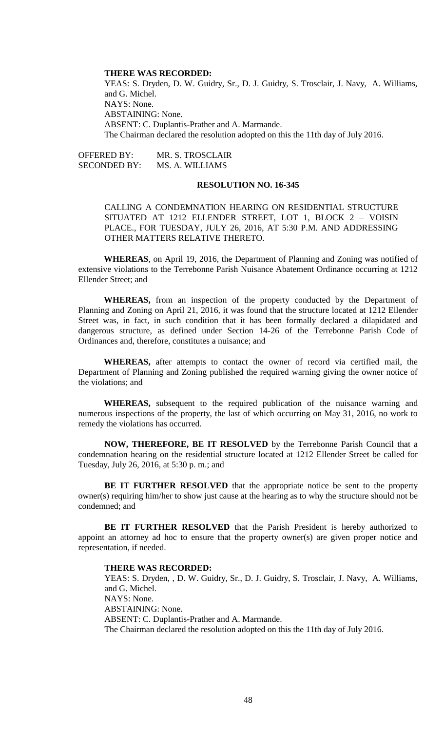### **THERE WAS RECORDED:**

YEAS: S. Dryden, D. W. Guidry, Sr., D. J. Guidry, S. Trosclair, J. Navy, A. Williams, and G. Michel. NAYS: None. ABSTAINING: None. ABSENT: C. Duplantis-Prather and A. Marmande. The Chairman declared the resolution adopted on this the 11th day of July 2016.

OFFERED BY: MR. S. TROSCLAIR SECONDED BY: MS. A. WILLIAMS

### **RESOLUTION NO. 16-345**

CALLING A CONDEMNATION HEARING ON RESIDENTIAL STRUCTURE SITUATED AT 1212 ELLENDER STREET, LOT 1, BLOCK 2 – VOISIN PLACE., FOR TUESDAY, JULY 26, 2016, AT 5:30 P.M. AND ADDRESSING OTHER MATTERS RELATIVE THERETO.

**WHEREAS**, on April 19, 2016, the Department of Planning and Zoning was notified of extensive violations to the Terrebonne Parish Nuisance Abatement Ordinance occurring at 1212 Ellender Street; and

**WHEREAS,** from an inspection of the property conducted by the Department of Planning and Zoning on April 21, 2016, it was found that the structure located at 1212 Ellender Street was, in fact, in such condition that it has been formally declared a dilapidated and dangerous structure, as defined under Section 14-26 of the Terrebonne Parish Code of Ordinances and, therefore, constitutes a nuisance; and

**WHEREAS,** after attempts to contact the owner of record via certified mail, the Department of Planning and Zoning published the required warning giving the owner notice of the violations; and

**WHEREAS,** subsequent to the required publication of the nuisance warning and numerous inspections of the property, the last of which occurring on May 31, 2016, no work to remedy the violations has occurred.

**NOW, THEREFORE, BE IT RESOLVED** by the Terrebonne Parish Council that a condemnation hearing on the residential structure located at 1212 Ellender Street be called for Tuesday, July 26, 2016, at 5:30 p. m.; and

**BE IT FURTHER RESOLVED** that the appropriate notice be sent to the property owner(s) requiring him/her to show just cause at the hearing as to why the structure should not be condemned; and

**BE IT FURTHER RESOLVED** that the Parish President is hereby authorized to appoint an attorney ad hoc to ensure that the property owner(s) are given proper notice and representation, if needed.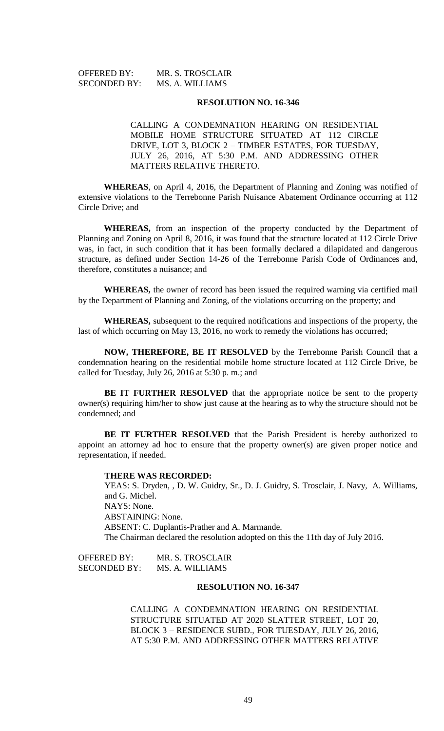| OFFERED BY:         | MR. S. TROSCLAIR |
|---------------------|------------------|
| <b>SECONDED BY:</b> | MS. A. WILLIAMS  |

CALLING A CONDEMNATION HEARING ON RESIDENTIAL MOBILE HOME STRUCTURE SITUATED AT 112 CIRCLE DRIVE, LOT 3, BLOCK 2 – TIMBER ESTATES, FOR TUESDAY, JULY 26, 2016, AT 5:30 P.M. AND ADDRESSING OTHER MATTERS RELATIVE THERETO.

**WHEREAS**, on April 4, 2016, the Department of Planning and Zoning was notified of extensive violations to the Terrebonne Parish Nuisance Abatement Ordinance occurring at 112 Circle Drive; and

**WHEREAS,** from an inspection of the property conducted by the Department of Planning and Zoning on April 8, 2016, it was found that the structure located at 112 Circle Drive was, in fact, in such condition that it has been formally declared a dilapidated and dangerous structure, as defined under Section 14-26 of the Terrebonne Parish Code of Ordinances and, therefore, constitutes a nuisance; and

**WHEREAS,** the owner of record has been issued the required warning via certified mail by the Department of Planning and Zoning, of the violations occurring on the property; and

**WHEREAS,** subsequent to the required notifications and inspections of the property, the last of which occurring on May 13, 2016, no work to remedy the violations has occurred;

**NOW, THEREFORE, BE IT RESOLVED** by the Terrebonne Parish Council that a condemnation hearing on the residential mobile home structure located at 112 Circle Drive, be called for Tuesday, July 26, 2016 at 5:30 p. m.; and

**BE IT FURTHER RESOLVED** that the appropriate notice be sent to the property owner(s) requiring him/her to show just cause at the hearing as to why the structure should not be condemned; and

**BE IT FURTHER RESOLVED** that the Parish President is hereby authorized to appoint an attorney ad hoc to ensure that the property owner(s) are given proper notice and representation, if needed.

### **THERE WAS RECORDED:**

YEAS: S. Dryden, , D. W. Guidry, Sr., D. J. Guidry, S. Trosclair, J. Navy, A. Williams, and G. Michel. NAYS: None. ABSTAINING: None. ABSENT: C. Duplantis-Prather and A. Marmande. The Chairman declared the resolution adopted on this the 11th day of July 2016.

OFFERED BY: MR. S. TROSCLAIR SECONDED BY: MS. A. WILLIAMS

## **RESOLUTION NO. 16-347**

CALLING A CONDEMNATION HEARING ON RESIDENTIAL STRUCTURE SITUATED AT 2020 SLATTER STREET, LOT 20, BLOCK 3 – RESIDENCE SUBD., FOR TUESDAY, JULY 26, 2016, AT 5:30 P.M. AND ADDRESSING OTHER MATTERS RELATIVE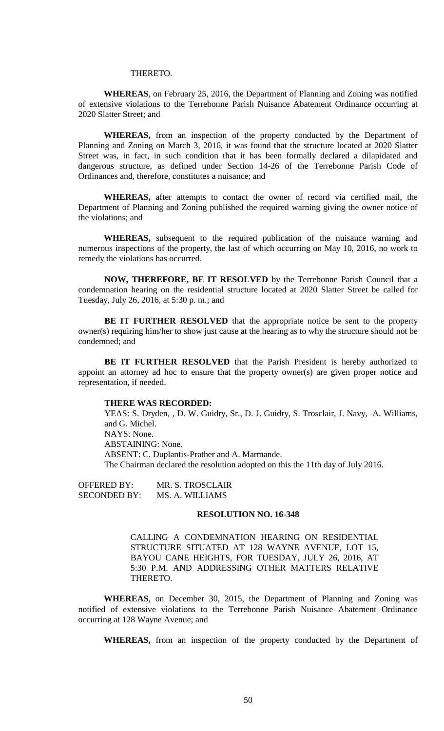#### THERETO.

**WHEREAS**, on February 25, 2016, the Department of Planning and Zoning was notified of extensive violations to the Terrebonne Parish Nuisance Abatement Ordinance occurring at 2020 Slatter Street; and

**WHEREAS,** from an inspection of the property conducted by the Department of Planning and Zoning on March 3, 2016, it was found that the structure located at 2020 Slatter Street was, in fact, in such condition that it has been formally declared a dilapidated and dangerous structure, as defined under Section 14-26 of the Terrebonne Parish Code of Ordinances and, therefore, constitutes a nuisance; and

**WHEREAS,** after attempts to contact the owner of record via certified mail, the Department of Planning and Zoning published the required warning giving the owner notice of the violations; and

**WHEREAS,** subsequent to the required publication of the nuisance warning and numerous inspections of the property, the last of which occurring on May 10, 2016, no work to remedy the violations has occurred.

**NOW, THEREFORE, BE IT RESOLVED** by the Terrebonne Parish Council that a condemnation hearing on the residential structure located at 2020 Slatter Street be called for Tuesday, July 26, 2016, at 5:30 p. m.; and

**BE IT FURTHER RESOLVED** that the appropriate notice be sent to the property owner(s) requiring him/her to show just cause at the hearing as to why the structure should not be condemned; and

**BE IT FURTHER RESOLVED** that the Parish President is hereby authorized to appoint an attorney ad hoc to ensure that the property owner(s) are given proper notice and representation, if needed.

#### **THERE WAS RECORDED:**

YEAS: S. Dryden, , D. W. Guidry, Sr., D. J. Guidry, S. Trosclair, J. Navy, A. Williams, and G. Michel. NAYS: None. ABSTAINING: None. ABSENT: C. Duplantis-Prather and A. Marmande. The Chairman declared the resolution adopted on this the 11th day of July 2016.

OFFERED BY: MR. S. TROSCLAIR SECONDED BY: MS. A. WILLIAMS

#### **RESOLUTION NO. 16-348**

CALLING A CONDEMNATION HEARING ON RESIDENTIAL STRUCTURE SITUATED AT 128 WAYNE AVENUE, LOT 15, BAYOU CANE HEIGHTS, FOR TUESDAY, JULY 26, 2016, AT 5:30 P.M. AND ADDRESSING OTHER MATTERS RELATIVE THERETO.

**WHEREAS**, on December 30, 2015, the Department of Planning and Zoning was notified of extensive violations to the Terrebonne Parish Nuisance Abatement Ordinance occurring at 128 Wayne Avenue; and

**WHEREAS,** from an inspection of the property conducted by the Department of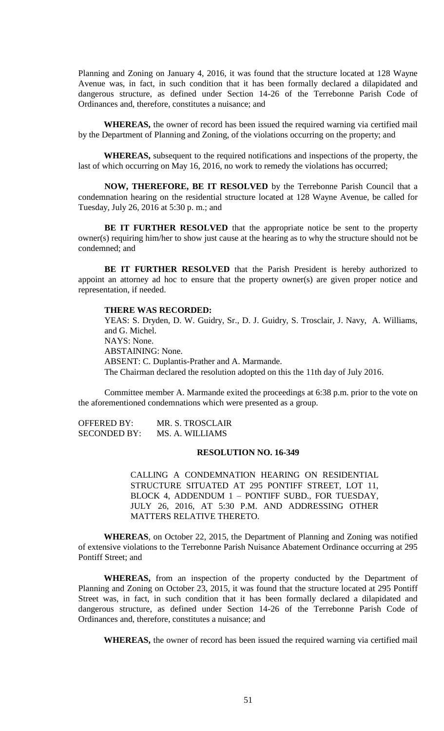Planning and Zoning on January 4, 2016, it was found that the structure located at 128 Wayne Avenue was, in fact, in such condition that it has been formally declared a dilapidated and dangerous structure, as defined under Section 14-26 of the Terrebonne Parish Code of Ordinances and, therefore, constitutes a nuisance; and

**WHEREAS,** the owner of record has been issued the required warning via certified mail by the Department of Planning and Zoning, of the violations occurring on the property; and

**WHEREAS,** subsequent to the required notifications and inspections of the property, the last of which occurring on May 16, 2016, no work to remedy the violations has occurred;

**NOW, THEREFORE, BE IT RESOLVED** by the Terrebonne Parish Council that a condemnation hearing on the residential structure located at 128 Wayne Avenue, be called for Tuesday, July 26, 2016 at 5:30 p. m.; and

**BE IT FURTHER RESOLVED** that the appropriate notice be sent to the property owner(s) requiring him/her to show just cause at the hearing as to why the structure should not be condemned; and

**BE IT FURTHER RESOLVED** that the Parish President is hereby authorized to appoint an attorney ad hoc to ensure that the property owner(s) are given proper notice and representation, if needed.

#### **THERE WAS RECORDED:**

YEAS: S. Dryden, D. W. Guidry, Sr., D. J. Guidry, S. Trosclair, J. Navy, A. Williams, and G. Michel. NAYS: None. ABSTAINING: None. ABSENT: C. Duplantis-Prather and A. Marmande. The Chairman declared the resolution adopted on this the 11th day of July 2016.

Committee member A. Marmande exited the proceedings at 6:38 p.m. prior to the vote on the aforementioned condemnations which were presented as a group.

OFFERED BY: MR. S. TROSCLAIR SECONDED BY: MS. A. WILLIAMS

### **RESOLUTION NO. 16-349**

CALLING A CONDEMNATION HEARING ON RESIDENTIAL STRUCTURE SITUATED AT 295 PONTIFF STREET, LOT 11, BLOCK 4, ADDENDUM 1 – PONTIFF SUBD., FOR TUESDAY, JULY 26, 2016, AT 5:30 P.M. AND ADDRESSING OTHER MATTERS RELATIVE THERETO.

**WHEREAS**, on October 22, 2015, the Department of Planning and Zoning was notified of extensive violations to the Terrebonne Parish Nuisance Abatement Ordinance occurring at 295 Pontiff Street; and

**WHEREAS,** from an inspection of the property conducted by the Department of Planning and Zoning on October 23, 2015, it was found that the structure located at 295 Pontiff Street was, in fact, in such condition that it has been formally declared a dilapidated and dangerous structure, as defined under Section 14-26 of the Terrebonne Parish Code of Ordinances and, therefore, constitutes a nuisance; and

**WHEREAS,** the owner of record has been issued the required warning via certified mail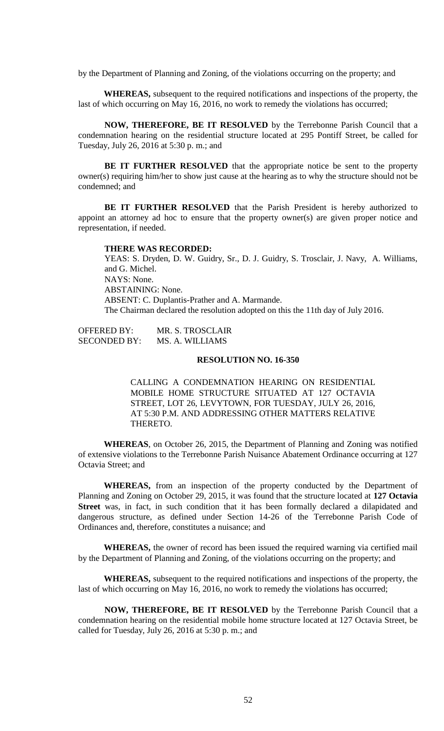by the Department of Planning and Zoning, of the violations occurring on the property; and

**WHEREAS,** subsequent to the required notifications and inspections of the property, the last of which occurring on May 16, 2016, no work to remedy the violations has occurred;

**NOW, THEREFORE, BE IT RESOLVED** by the Terrebonne Parish Council that a condemnation hearing on the residential structure located at 295 Pontiff Street, be called for Tuesday, July 26, 2016 at 5:30 p. m.; and

**BE IT FURTHER RESOLVED** that the appropriate notice be sent to the property owner(s) requiring him/her to show just cause at the hearing as to why the structure should not be condemned; and

**BE IT FURTHER RESOLVED** that the Parish President is hereby authorized to appoint an attorney ad hoc to ensure that the property owner(s) are given proper notice and representation, if needed.

#### **THERE WAS RECORDED:**

YEAS: S. Dryden, D. W. Guidry, Sr., D. J. Guidry, S. Trosclair, J. Navy, A. Williams, and G. Michel. NAYS: None. ABSTAINING: None. ABSENT: C. Duplantis-Prather and A. Marmande. The Chairman declared the resolution adopted on this the 11th day of July 2016.

OFFERED BY: MR. S. TROSCLAIR SECONDED BY: MS. A. WILLIAMS

### **RESOLUTION NO. 16-350**

CALLING A CONDEMNATION HEARING ON RESIDENTIAL MOBILE HOME STRUCTURE SITUATED AT 127 OCTAVIA STREET, LOT 26, LEVYTOWN, FOR TUESDAY, JULY 26, 2016, AT 5:30 P.M. AND ADDRESSING OTHER MATTERS RELATIVE THERETO.

**WHEREAS**, on October 26, 2015, the Department of Planning and Zoning was notified of extensive violations to the Terrebonne Parish Nuisance Abatement Ordinance occurring at 127 Octavia Street; and

**WHEREAS,** from an inspection of the property conducted by the Department of Planning and Zoning on October 29, 2015, it was found that the structure located at **127 Octavia**  Street was, in fact, in such condition that it has been formally declared a dilapidated and dangerous structure, as defined under Section 14-26 of the Terrebonne Parish Code of Ordinances and, therefore, constitutes a nuisance; and

**WHEREAS,** the owner of record has been issued the required warning via certified mail by the Department of Planning and Zoning, of the violations occurring on the property; and

**WHEREAS,** subsequent to the required notifications and inspections of the property, the last of which occurring on May 16, 2016, no work to remedy the violations has occurred;

**NOW, THEREFORE, BE IT RESOLVED** by the Terrebonne Parish Council that a condemnation hearing on the residential mobile home structure located at 127 Octavia Street, be called for Tuesday, July 26, 2016 at 5:30 p. m.; and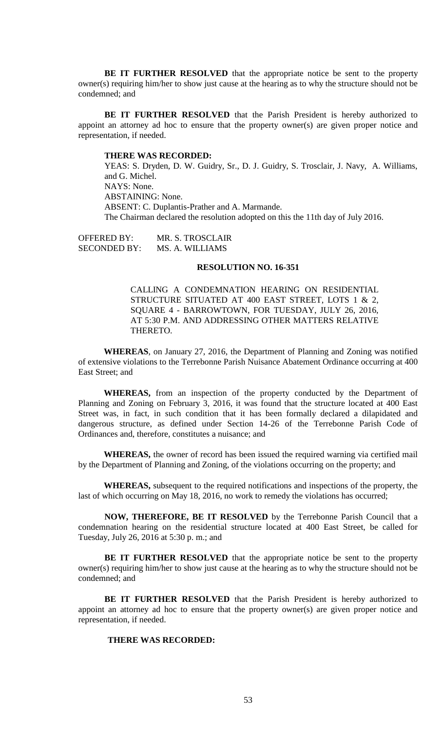**BE IT FURTHER RESOLVED** that the appropriate notice be sent to the property owner(s) requiring him/her to show just cause at the hearing as to why the structure should not be condemned; and

**BE IT FURTHER RESOLVED** that the Parish President is hereby authorized to appoint an attorney ad hoc to ensure that the property owner(s) are given proper notice and representation, if needed.

#### **THERE WAS RECORDED:**

YEAS: S. Dryden, D. W. Guidry, Sr., D. J. Guidry, S. Trosclair, J. Navy, A. Williams, and G. Michel. NAYS: None. ABSTAINING: None. ABSENT: C. Duplantis-Prather and A. Marmande. The Chairman declared the resolution adopted on this the 11th day of July 2016.

OFFERED BY: MR. S. TROSCLAIR SECONDED BY: MS. A. WILLIAMS

# **RESOLUTION NO. 16-351**

CALLING A CONDEMNATION HEARING ON RESIDENTIAL STRUCTURE SITUATED AT 400 EAST STREET, LOTS 1 & 2, SQUARE 4 - BARROWTOWN, FOR TUESDAY, JULY 26, 2016, AT 5:30 P.M. AND ADDRESSING OTHER MATTERS RELATIVE THERETO.

**WHEREAS**, on January 27, 2016, the Department of Planning and Zoning was notified of extensive violations to the Terrebonne Parish Nuisance Abatement Ordinance occurring at 400 East Street; and

**WHEREAS,** from an inspection of the property conducted by the Department of Planning and Zoning on February 3, 2016, it was found that the structure located at 400 East Street was, in fact, in such condition that it has been formally declared a dilapidated and dangerous structure, as defined under Section 14-26 of the Terrebonne Parish Code of Ordinances and, therefore, constitutes a nuisance; and

**WHEREAS,** the owner of record has been issued the required warning via certified mail by the Department of Planning and Zoning, of the violations occurring on the property; and

**WHEREAS,** subsequent to the required notifications and inspections of the property, the last of which occurring on May 18, 2016, no work to remedy the violations has occurred;

**NOW, THEREFORE, BE IT RESOLVED** by the Terrebonne Parish Council that a condemnation hearing on the residential structure located at 400 East Street, be called for Tuesday, July 26, 2016 at 5:30 p. m.; and

**BE IT FURTHER RESOLVED** that the appropriate notice be sent to the property owner(s) requiring him/her to show just cause at the hearing as to why the structure should not be condemned; and

**BE IT FURTHER RESOLVED** that the Parish President is hereby authorized to appoint an attorney ad hoc to ensure that the property owner(s) are given proper notice and representation, if needed.

## **THERE WAS RECORDED:**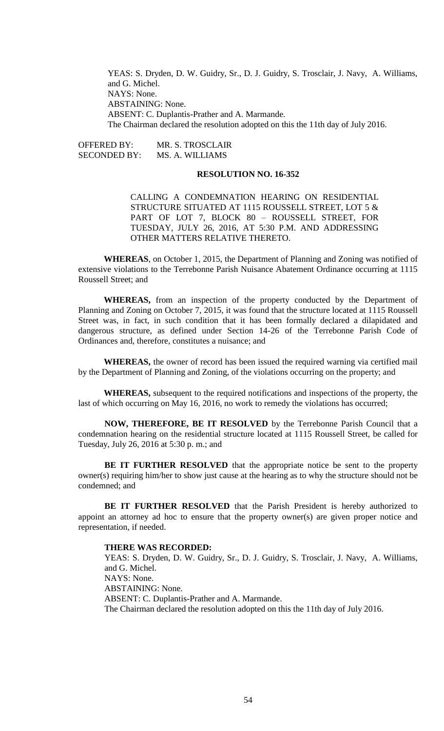YEAS: S. Dryden, D. W. Guidry, Sr., D. J. Guidry, S. Trosclair, J. Navy, A. Williams, and G. Michel. NAYS: None. ABSTAINING: None. ABSENT: C. Duplantis-Prather and A. Marmande. The Chairman declared the resolution adopted on this the 11th day of July 2016.

OFFERED BY: MR. S. TROSCLAIR SECONDED BY: MS. A. WILLIAMS

# **RESOLUTION NO. 16-352**

CALLING A CONDEMNATION HEARING ON RESIDENTIAL STRUCTURE SITUATED AT 1115 ROUSSELL STREET, LOT 5 & PART OF LOT 7, BLOCK 80 - ROUSSELL STREET, FOR TUESDAY, JULY 26, 2016, AT 5:30 P.M. AND ADDRESSING OTHER MATTERS RELATIVE THERETO.

**WHEREAS**, on October 1, 2015, the Department of Planning and Zoning was notified of extensive violations to the Terrebonne Parish Nuisance Abatement Ordinance occurring at 1115 Roussell Street; and

**WHEREAS,** from an inspection of the property conducted by the Department of Planning and Zoning on October 7, 2015, it was found that the structure located at 1115 Roussell Street was, in fact, in such condition that it has been formally declared a dilapidated and dangerous structure, as defined under Section 14-26 of the Terrebonne Parish Code of Ordinances and, therefore, constitutes a nuisance; and

**WHEREAS,** the owner of record has been issued the required warning via certified mail by the Department of Planning and Zoning, of the violations occurring on the property; and

**WHEREAS,** subsequent to the required notifications and inspections of the property, the last of which occurring on May 16, 2016, no work to remedy the violations has occurred;

**NOW, THEREFORE, BE IT RESOLVED** by the Terrebonne Parish Council that a condemnation hearing on the residential structure located at 1115 Roussell Street, be called for Tuesday, July 26, 2016 at 5:30 p. m.; and

**BE IT FURTHER RESOLVED** that the appropriate notice be sent to the property owner(s) requiring him/her to show just cause at the hearing as to why the structure should not be condemned; and

**BE IT FURTHER RESOLVED** that the Parish President is hereby authorized to appoint an attorney ad hoc to ensure that the property owner(s) are given proper notice and representation, if needed.

#### **THERE WAS RECORDED:**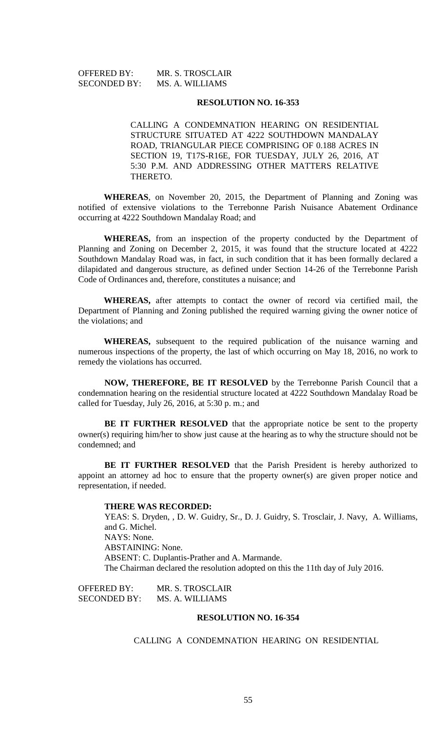| <b>OFFERED BY:</b>  | MR. S. TROSCLAIR |
|---------------------|------------------|
| <b>SECONDED BY:</b> | MS. A. WILLIAMS  |

CALLING A CONDEMNATION HEARING ON RESIDENTIAL STRUCTURE SITUATED AT 4222 SOUTHDOWN MANDALAY ROAD, TRIANGULAR PIECE COMPRISING OF 0.188 ACRES IN SECTION 19, T17S-R16E, FOR TUESDAY, JULY 26, 2016, AT 5:30 P.M. AND ADDRESSING OTHER MATTERS RELATIVE THERETO.

**WHEREAS**, on November 20, 2015, the Department of Planning and Zoning was notified of extensive violations to the Terrebonne Parish Nuisance Abatement Ordinance occurring at 4222 Southdown Mandalay Road; and

**WHEREAS,** from an inspection of the property conducted by the Department of Planning and Zoning on December 2, 2015, it was found that the structure located at 4222 Southdown Mandalay Road was, in fact, in such condition that it has been formally declared a dilapidated and dangerous structure, as defined under Section 14-26 of the Terrebonne Parish Code of Ordinances and, therefore, constitutes a nuisance; and

**WHEREAS,** after attempts to contact the owner of record via certified mail, the Department of Planning and Zoning published the required warning giving the owner notice of the violations; and

**WHEREAS,** subsequent to the required publication of the nuisance warning and numerous inspections of the property, the last of which occurring on May 18, 2016, no work to remedy the violations has occurred.

**NOW, THEREFORE, BE IT RESOLVED** by the Terrebonne Parish Council that a condemnation hearing on the residential structure located at 4222 Southdown Mandalay Road be called for Tuesday, July 26, 2016, at 5:30 p. m.; and

**BE IT FURTHER RESOLVED** that the appropriate notice be sent to the property owner(s) requiring him/her to show just cause at the hearing as to why the structure should not be condemned; and

**BE IT FURTHER RESOLVED** that the Parish President is hereby authorized to appoint an attorney ad hoc to ensure that the property owner(s) are given proper notice and representation, if needed.

#### **THERE WAS RECORDED:**

YEAS: S. Dryden, , D. W. Guidry, Sr., D. J. Guidry, S. Trosclair, J. Navy, A. Williams, and G. Michel. NAYS: None. ABSTAINING: None. ABSENT: C. Duplantis-Prather and A. Marmande. The Chairman declared the resolution adopted on this the 11th day of July 2016.

OFFERED BY: MR. S. TROSCLAIR SECONDED BY: MS. A. WILLIAMS

# **RESOLUTION NO. 16-354**

CALLING A CONDEMNATION HEARING ON RESIDENTIAL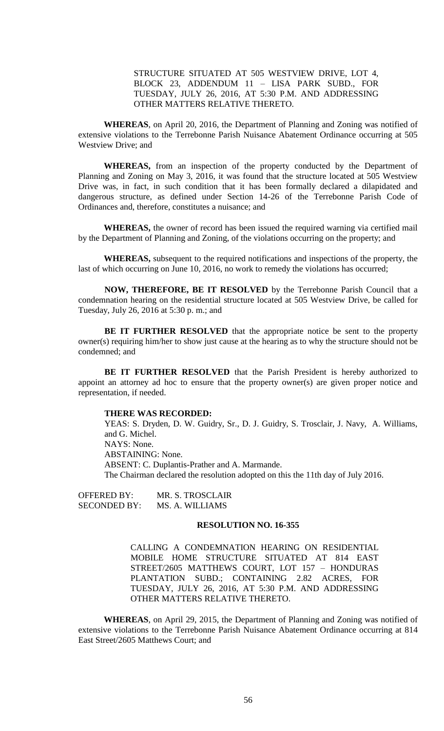STRUCTURE SITUATED AT 505 WESTVIEW DRIVE, LOT 4, BLOCK 23, ADDENDUM 11 – LISA PARK SUBD., FOR TUESDAY, JULY 26, 2016, AT 5:30 P.M. AND ADDRESSING OTHER MATTERS RELATIVE THERETO.

**WHEREAS**, on April 20, 2016, the Department of Planning and Zoning was notified of extensive violations to the Terrebonne Parish Nuisance Abatement Ordinance occurring at 505 Westview Drive; and

**WHEREAS,** from an inspection of the property conducted by the Department of Planning and Zoning on May 3, 2016, it was found that the structure located at 505 Westview Drive was, in fact, in such condition that it has been formally declared a dilapidated and dangerous structure, as defined under Section 14-26 of the Terrebonne Parish Code of Ordinances and, therefore, constitutes a nuisance; and

**WHEREAS,** the owner of record has been issued the required warning via certified mail by the Department of Planning and Zoning, of the violations occurring on the property; and

**WHEREAS,** subsequent to the required notifications and inspections of the property, the last of which occurring on June 10, 2016, no work to remedy the violations has occurred;

**NOW, THEREFORE, BE IT RESOLVED** by the Terrebonne Parish Council that a condemnation hearing on the residential structure located at 505 Westview Drive, be called for Tuesday, July 26, 2016 at 5:30 p. m.; and

**BE IT FURTHER RESOLVED** that the appropriate notice be sent to the property owner(s) requiring him/her to show just cause at the hearing as to why the structure should not be condemned; and

**BE IT FURTHER RESOLVED** that the Parish President is hereby authorized to appoint an attorney ad hoc to ensure that the property owner(s) are given proper notice and representation, if needed.

### **THERE WAS RECORDED:**

YEAS: S. Dryden, D. W. Guidry, Sr., D. J. Guidry, S. Trosclair, J. Navy, A. Williams, and G. Michel. NAYS: None. ABSTAINING: None. ABSENT: C. Duplantis-Prather and A. Marmande. The Chairman declared the resolution adopted on this the 11th day of July 2016.

OFFERED BY: MR. S. TROSCLAIR SECONDED BY: MS. A. WILLIAMS

### **RESOLUTION NO. 16-355**

CALLING A CONDEMNATION HEARING ON RESIDENTIAL MOBILE HOME STRUCTURE SITUATED AT 814 EAST STREET/2605 MATTHEWS COURT, LOT 157 – HONDURAS PLANTATION SUBD.; CONTAINING 2.82 ACRES, FOR TUESDAY, JULY 26, 2016, AT 5:30 P.M. AND ADDRESSING OTHER MATTERS RELATIVE THERETO.

**WHEREAS**, on April 29, 2015, the Department of Planning and Zoning was notified of extensive violations to the Terrebonne Parish Nuisance Abatement Ordinance occurring at 814 East Street/2605 Matthews Court; and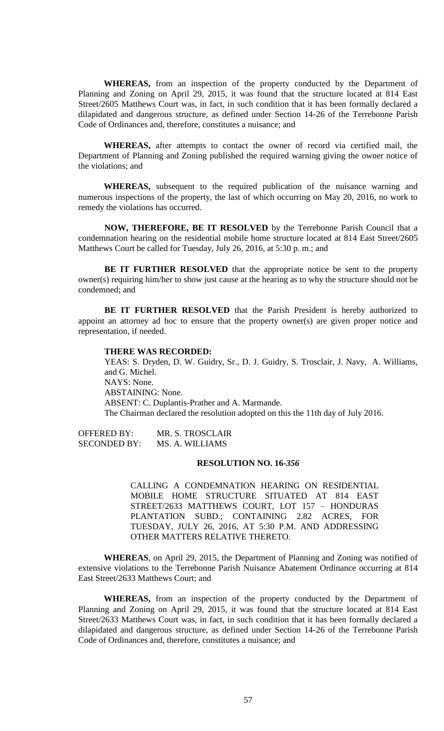**WHEREAS,** from an inspection of the property conducted by the Department of Planning and Zoning on April 29, 2015, it was found that the structure located at 814 East Street/2605 Matthews Court was, in fact, in such condition that it has been formally declared a dilapidated and dangerous structure, as defined under Section 14-26 of the Terrebonne Parish Code of Ordinances and, therefore, constitutes a nuisance; and

**WHEREAS,** after attempts to contact the owner of record via certified mail, the Department of Planning and Zoning published the required warning giving the owner notice of the violations; and

**WHEREAS,** subsequent to the required publication of the nuisance warning and numerous inspections of the property, the last of which occurring on May 20, 2016, no work to remedy the violations has occurred.

**NOW, THEREFORE, BE IT RESOLVED** by the Terrebonne Parish Council that a condemnation hearing on the residential mobile home structure located at 814 East Street/2605 Matthews Court be called for Tuesday, July 26, 2016, at 5:30 p. m.; and

**BE IT FURTHER RESOLVED** that the appropriate notice be sent to the property owner(s) requiring him/her to show just cause at the hearing as to why the structure should not be condemned; and

**BE IT FURTHER RESOLVED** that the Parish President is hereby authorized to appoint an attorney ad hoc to ensure that the property owner(s) are given proper notice and representation, if needed.

### **THERE WAS RECORDED:**

YEAS: S. Dryden, D. W. Guidry, Sr., D. J. Guidry, S. Trosclair, J. Navy, A. Williams, and G. Michel. NAYS: None. ABSTAINING: None. ABSENT: C. Duplantis-Prather and A. Marmande. The Chairman declared the resolution adopted on this the 11th day of July 2016.

OFFERED BY: MR. S. TROSCLAIR SECONDED BY: MS. A. WILLIAMS

## **RESOLUTION NO. 16-***356*

CALLING A CONDEMNATION HEARING ON RESIDENTIAL MOBILE HOME STRUCTURE SITUATED AT 814 EAST STREET/2633 MATTHEWS COURT, LOT 157 – HONDURAS PLANTATION SUBD.; CONTAINING 2.82 ACRES, FOR TUESDAY, JULY 26, 2016, AT 5:30 P.M. AND ADDRESSING OTHER MATTERS RELATIVE THERETO.

**WHEREAS**, on April 29, 2015, the Department of Planning and Zoning was notified of extensive violations to the Terrebonne Parish Nuisance Abatement Ordinance occurring at 814 East Street/2633 Matthews Court; and

**WHEREAS,** from an inspection of the property conducted by the Department of Planning and Zoning on April 29, 2015, it was found that the structure located at 814 East Street/2633 Matthews Court was, in fact, in such condition that it has been formally declared a dilapidated and dangerous structure, as defined under Section 14-26 of the Terrebonne Parish Code of Ordinances and, therefore, constitutes a nuisance; and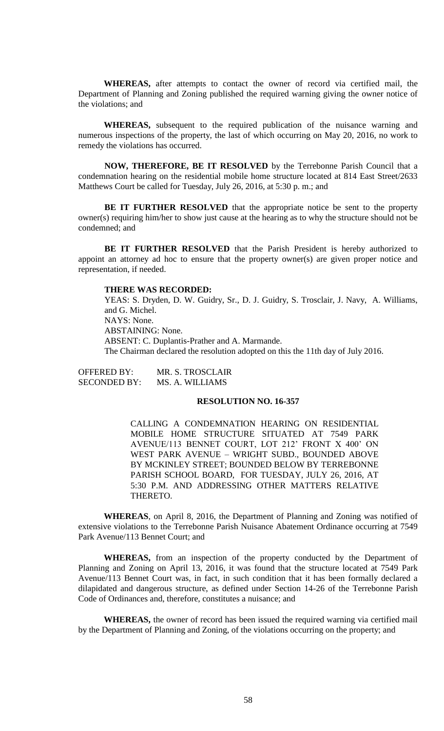**WHEREAS,** after attempts to contact the owner of record via certified mail, the Department of Planning and Zoning published the required warning giving the owner notice of the violations; and

**WHEREAS,** subsequent to the required publication of the nuisance warning and numerous inspections of the property, the last of which occurring on May 20, 2016, no work to remedy the violations has occurred.

**NOW, THEREFORE, BE IT RESOLVED** by the Terrebonne Parish Council that a condemnation hearing on the residential mobile home structure located at 814 East Street/2633 Matthews Court be called for Tuesday, July 26, 2016, at 5:30 p. m.; and

**BE IT FURTHER RESOLVED** that the appropriate notice be sent to the property owner(s) requiring him/her to show just cause at the hearing as to why the structure should not be condemned; and

**BE IT FURTHER RESOLVED** that the Parish President is hereby authorized to appoint an attorney ad hoc to ensure that the property owner(s) are given proper notice and representation, if needed.

#### **THERE WAS RECORDED:**

YEAS: S. Dryden, D. W. Guidry, Sr., D. J. Guidry, S. Trosclair, J. Navy, A. Williams, and G. Michel. NAYS: None. ABSTAINING: None. ABSENT: C. Duplantis-Prather and A. Marmande. The Chairman declared the resolution adopted on this the 11th day of July 2016.

| <b>OFFERED BY:</b>  | MR. S. TROSCLAIR |
|---------------------|------------------|
| <b>SECONDED BY:</b> | MS. A. WILLIAMS  |

## **RESOLUTION NO. 16-357**

CALLING A CONDEMNATION HEARING ON RESIDENTIAL MOBILE HOME STRUCTURE SITUATED AT 7549 PARK AVENUE/113 BENNET COURT, LOT 212' FRONT X 400' ON WEST PARK AVENUE – WRIGHT SUBD., BOUNDED ABOVE BY MCKINLEY STREET; BOUNDED BELOW BY TERREBONNE PARISH SCHOOL BOARD, FOR TUESDAY, JULY 26, 2016, AT 5:30 P.M. AND ADDRESSING OTHER MATTERS RELATIVE THERETO.

**WHEREAS**, on April 8, 2016, the Department of Planning and Zoning was notified of extensive violations to the Terrebonne Parish Nuisance Abatement Ordinance occurring at 7549 Park Avenue/113 Bennet Court; and

**WHEREAS,** from an inspection of the property conducted by the Department of Planning and Zoning on April 13, 2016, it was found that the structure located at 7549 Park Avenue/113 Bennet Court was, in fact, in such condition that it has been formally declared a dilapidated and dangerous structure, as defined under Section 14-26 of the Terrebonne Parish Code of Ordinances and, therefore, constitutes a nuisance; and

**WHEREAS,** the owner of record has been issued the required warning via certified mail by the Department of Planning and Zoning, of the violations occurring on the property; and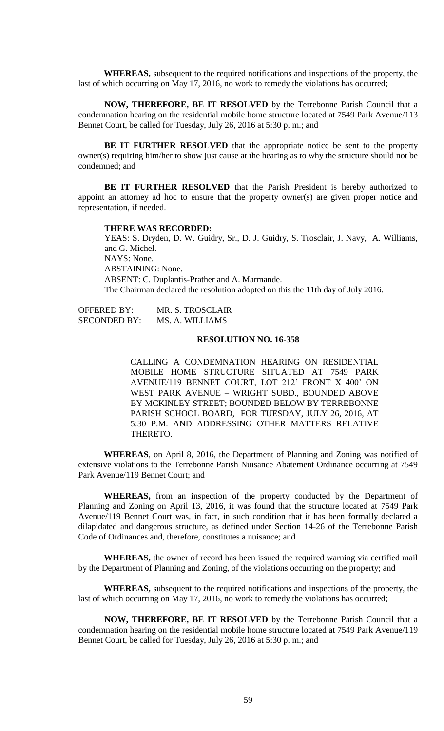**WHEREAS,** subsequent to the required notifications and inspections of the property, the last of which occurring on May 17, 2016, no work to remedy the violations has occurred;

**NOW, THEREFORE, BE IT RESOLVED** by the Terrebonne Parish Council that a condemnation hearing on the residential mobile home structure located at 7549 Park Avenue/113 Bennet Court, be called for Tuesday, July 26, 2016 at 5:30 p. m.; and

**BE IT FURTHER RESOLVED** that the appropriate notice be sent to the property owner(s) requiring him/her to show just cause at the hearing as to why the structure should not be condemned; and

**BE IT FURTHER RESOLVED** that the Parish President is hereby authorized to appoint an attorney ad hoc to ensure that the property owner(s) are given proper notice and representation, if needed.

#### **THERE WAS RECORDED:**

YEAS: S. Dryden, D. W. Guidry, Sr., D. J. Guidry, S. Trosclair, J. Navy, A. Williams, and G. Michel. NAYS: None. ABSTAINING: None. ABSENT: C. Duplantis-Prather and A. Marmande. The Chairman declared the resolution adopted on this the 11th day of July 2016.

OFFERED BY: MR. S. TROSCLAIR SECONDED BY: MS. A. WILLIAMS

### **RESOLUTION NO. 16-358**

CALLING A CONDEMNATION HEARING ON RESIDENTIAL MOBILE HOME STRUCTURE SITUATED AT 7549 PARK AVENUE/119 BENNET COURT, LOT 212' FRONT X 400' ON WEST PARK AVENUE – WRIGHT SUBD., BOUNDED ABOVE BY MCKINLEY STREET; BOUNDED BELOW BY TERREBONNE PARISH SCHOOL BOARD, FOR TUESDAY, JULY 26, 2016, AT 5:30 P.M. AND ADDRESSING OTHER MATTERS RELATIVE THERETO.

**WHEREAS**, on April 8, 2016, the Department of Planning and Zoning was notified of extensive violations to the Terrebonne Parish Nuisance Abatement Ordinance occurring at 7549 Park Avenue/119 Bennet Court; and

**WHEREAS,** from an inspection of the property conducted by the Department of Planning and Zoning on April 13, 2016, it was found that the structure located at 7549 Park Avenue/119 Bennet Court was, in fact, in such condition that it has been formally declared a dilapidated and dangerous structure, as defined under Section 14-26 of the Terrebonne Parish Code of Ordinances and, therefore, constitutes a nuisance; and

**WHEREAS,** the owner of record has been issued the required warning via certified mail by the Department of Planning and Zoning, of the violations occurring on the property; and

**WHEREAS,** subsequent to the required notifications and inspections of the property, the last of which occurring on May 17, 2016, no work to remedy the violations has occurred;

**NOW, THEREFORE, BE IT RESOLVED** by the Terrebonne Parish Council that a condemnation hearing on the residential mobile home structure located at 7549 Park Avenue/119 Bennet Court, be called for Tuesday, July 26, 2016 at 5:30 p. m.; and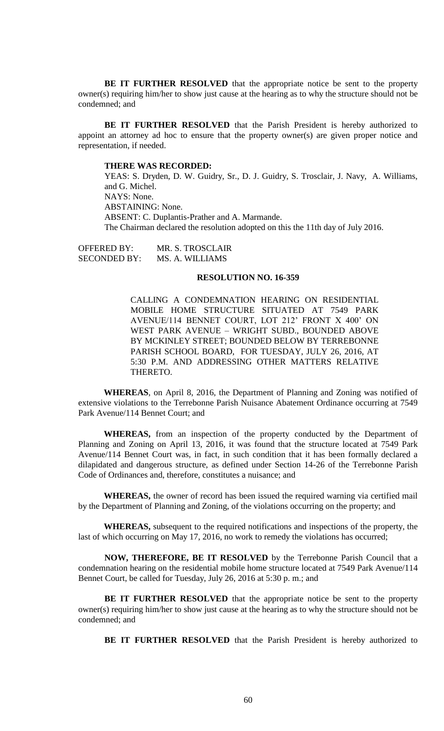**BE IT FURTHER RESOLVED** that the appropriate notice be sent to the property owner(s) requiring him/her to show just cause at the hearing as to why the structure should not be condemned; and

**BE IT FURTHER RESOLVED** that the Parish President is hereby authorized to appoint an attorney ad hoc to ensure that the property owner(s) are given proper notice and representation, if needed.

## **THERE WAS RECORDED:**

YEAS: S. Dryden, D. W. Guidry, Sr., D. J. Guidry, S. Trosclair, J. Navy, A. Williams, and G. Michel. NAYS: None. ABSTAINING: None. ABSENT: C. Duplantis-Prather and A. Marmande. The Chairman declared the resolution adopted on this the 11th day of July 2016.

OFFERED BY: MR. S. TROSCLAIR SECONDED BY: MS. A. WILLIAMS

#### **RESOLUTION NO. 16-359**

CALLING A CONDEMNATION HEARING ON RESIDENTIAL MOBILE HOME STRUCTURE SITUATED AT 7549 PARK AVENUE/114 BENNET COURT, LOT 212' FRONT X 400' ON WEST PARK AVENUE – WRIGHT SUBD., BOUNDED ABOVE BY MCKINLEY STREET; BOUNDED BELOW BY TERREBONNE PARISH SCHOOL BOARD, FOR TUESDAY, JULY 26, 2016, AT 5:30 P.M. AND ADDRESSING OTHER MATTERS RELATIVE THERETO.

**WHEREAS**, on April 8, 2016, the Department of Planning and Zoning was notified of extensive violations to the Terrebonne Parish Nuisance Abatement Ordinance occurring at 7549 Park Avenue/114 Bennet Court; and

**WHEREAS,** from an inspection of the property conducted by the Department of Planning and Zoning on April 13, 2016, it was found that the structure located at 7549 Park Avenue/114 Bennet Court was, in fact, in such condition that it has been formally declared a dilapidated and dangerous structure, as defined under Section 14-26 of the Terrebonne Parish Code of Ordinances and, therefore, constitutes a nuisance; and

**WHEREAS,** the owner of record has been issued the required warning via certified mail by the Department of Planning and Zoning, of the violations occurring on the property; and

**WHEREAS,** subsequent to the required notifications and inspections of the property, the last of which occurring on May 17, 2016, no work to remedy the violations has occurred;

**NOW, THEREFORE, BE IT RESOLVED** by the Terrebonne Parish Council that a condemnation hearing on the residential mobile home structure located at 7549 Park Avenue/114 Bennet Court, be called for Tuesday, July 26, 2016 at 5:30 p. m.; and

**BE IT FURTHER RESOLVED** that the appropriate notice be sent to the property owner(s) requiring him/her to show just cause at the hearing as to why the structure should not be condemned; and

**BE IT FURTHER RESOLVED** that the Parish President is hereby authorized to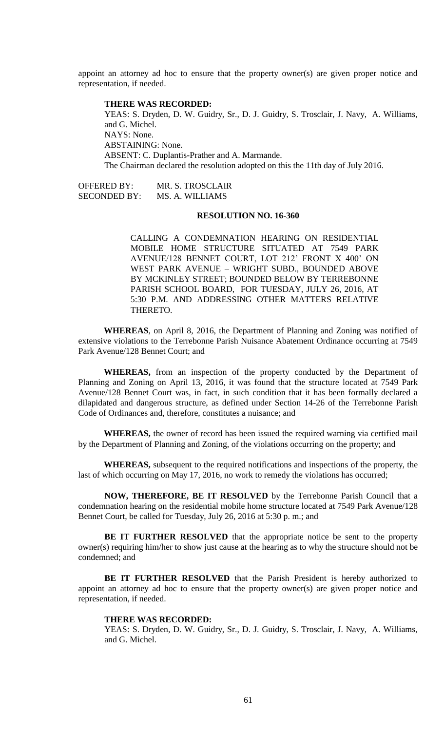appoint an attorney ad hoc to ensure that the property owner(s) are given proper notice and representation, if needed.

## **THERE WAS RECORDED:**

YEAS: S. Dryden, D. W. Guidry, Sr., D. J. Guidry, S. Trosclair, J. Navy, A. Williams, and G. Michel. NAYS: None. ABSTAINING: None. ABSENT: C. Duplantis-Prather and A. Marmande. The Chairman declared the resolution adopted on this the 11th day of July 2016.

OFFERED BY: MR. S. TROSCLAIR SECONDED BY: MS. A. WILLIAMS

# **RESOLUTION NO. 16-360**

CALLING A CONDEMNATION HEARING ON RESIDENTIAL MOBILE HOME STRUCTURE SITUATED AT 7549 PARK AVENUE/128 BENNET COURT, LOT 212' FRONT X 400' ON WEST PARK AVENUE – WRIGHT SUBD., BOUNDED ABOVE BY MCKINLEY STREET; BOUNDED BELOW BY TERREBONNE PARISH SCHOOL BOARD, FOR TUESDAY, JULY 26, 2016, AT 5:30 P.M. AND ADDRESSING OTHER MATTERS RELATIVE THERETO.

**WHEREAS**, on April 8, 2016, the Department of Planning and Zoning was notified of extensive violations to the Terrebonne Parish Nuisance Abatement Ordinance occurring at 7549 Park Avenue/128 Bennet Court; and

**WHEREAS,** from an inspection of the property conducted by the Department of Planning and Zoning on April 13, 2016, it was found that the structure located at 7549 Park Avenue/128 Bennet Court was, in fact, in such condition that it has been formally declared a dilapidated and dangerous structure, as defined under Section 14-26 of the Terrebonne Parish Code of Ordinances and, therefore, constitutes a nuisance; and

**WHEREAS,** the owner of record has been issued the required warning via certified mail by the Department of Planning and Zoning, of the violations occurring on the property; and

**WHEREAS,** subsequent to the required notifications and inspections of the property, the last of which occurring on May 17, 2016, no work to remedy the violations has occurred;

**NOW, THEREFORE, BE IT RESOLVED** by the Terrebonne Parish Council that a condemnation hearing on the residential mobile home structure located at 7549 Park Avenue/128 Bennet Court, be called for Tuesday, July 26, 2016 at 5:30 p. m.; and

**BE IT FURTHER RESOLVED** that the appropriate notice be sent to the property owner(s) requiring him/her to show just cause at the hearing as to why the structure should not be condemned; and

**BE IT FURTHER RESOLVED** that the Parish President is hereby authorized to appoint an attorney ad hoc to ensure that the property owner(s) are given proper notice and representation, if needed.

#### **THERE WAS RECORDED:**

YEAS: S. Dryden, D. W. Guidry, Sr., D. J. Guidry, S. Trosclair, J. Navy, A. Williams, and G. Michel.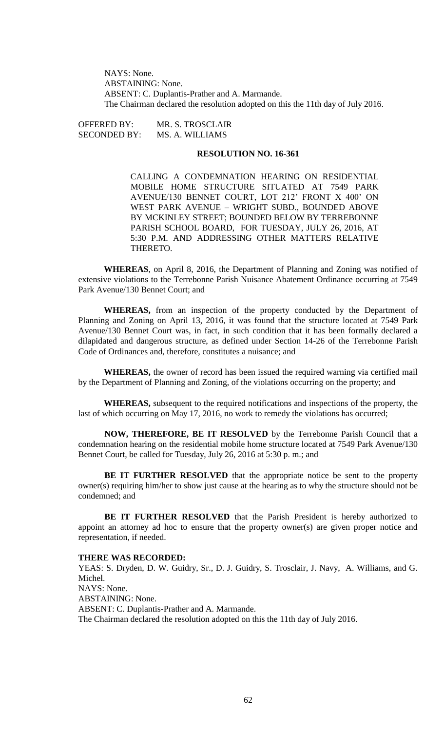NAYS: None. ABSTAINING: None. ABSENT: C. Duplantis-Prather and A. Marmande. The Chairman declared the resolution adopted on this the 11th day of July 2016.

OFFERED BY: MR. S. TROSCLAIR SECONDED BY: MS. A. WILLIAMS

# **RESOLUTION NO. 16-361**

CALLING A CONDEMNATION HEARING ON RESIDENTIAL MOBILE HOME STRUCTURE SITUATED AT 7549 PARK AVENUE/130 BENNET COURT, LOT 212' FRONT X 400' ON WEST PARK AVENUE – WRIGHT SUBD., BOUNDED ABOVE BY MCKINLEY STREET; BOUNDED BELOW BY TERREBONNE PARISH SCHOOL BOARD, FOR TUESDAY, JULY 26, 2016, AT 5:30 P.M. AND ADDRESSING OTHER MATTERS RELATIVE THERETO.

**WHEREAS**, on April 8, 2016, the Department of Planning and Zoning was notified of extensive violations to the Terrebonne Parish Nuisance Abatement Ordinance occurring at 7549 Park Avenue/130 Bennet Court; and

**WHEREAS,** from an inspection of the property conducted by the Department of Planning and Zoning on April 13, 2016, it was found that the structure located at 7549 Park Avenue/130 Bennet Court was, in fact, in such condition that it has been formally declared a dilapidated and dangerous structure, as defined under Section 14-26 of the Terrebonne Parish Code of Ordinances and, therefore, constitutes a nuisance; and

**WHEREAS,** the owner of record has been issued the required warning via certified mail by the Department of Planning and Zoning, of the violations occurring on the property; and

**WHEREAS,** subsequent to the required notifications and inspections of the property, the last of which occurring on May 17, 2016, no work to remedy the violations has occurred;

**NOW, THEREFORE, BE IT RESOLVED** by the Terrebonne Parish Council that a condemnation hearing on the residential mobile home structure located at 7549 Park Avenue/130 Bennet Court, be called for Tuesday, July 26, 2016 at 5:30 p. m.; and

**BE IT FURTHER RESOLVED** that the appropriate notice be sent to the property owner(s) requiring him/her to show just cause at the hearing as to why the structure should not be condemned; and

**BE IT FURTHER RESOLVED** that the Parish President is hereby authorized to appoint an attorney ad hoc to ensure that the property owner(s) are given proper notice and representation, if needed.

#### **THERE WAS RECORDED:**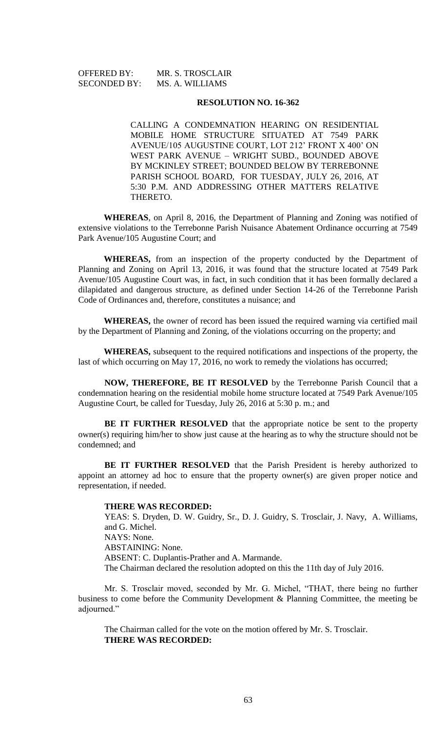SECONDED BY: MS. A. WILLIAMS

OFFERED BY: MR. S. TROSCLAIR

### **RESOLUTION NO. 16-362**

CALLING A CONDEMNATION HEARING ON RESIDENTIAL MOBILE HOME STRUCTURE SITUATED AT 7549 PARK AVENUE/105 AUGUSTINE COURT, LOT 212' FRONT X 400' ON WEST PARK AVENUE – WRIGHT SUBD., BOUNDED ABOVE BY MCKINLEY STREET; BOUNDED BELOW BY TERREBONNE PARISH SCHOOL BOARD, FOR TUESDAY, JULY 26, 2016, AT 5:30 P.M. AND ADDRESSING OTHER MATTERS RELATIVE THERETO.

**WHEREAS**, on April 8, 2016, the Department of Planning and Zoning was notified of extensive violations to the Terrebonne Parish Nuisance Abatement Ordinance occurring at 7549 Park Avenue/105 Augustine Court; and

**WHEREAS,** from an inspection of the property conducted by the Department of Planning and Zoning on April 13, 2016, it was found that the structure located at 7549 Park Avenue/105 Augustine Court was, in fact, in such condition that it has been formally declared a dilapidated and dangerous structure, as defined under Section 14-26 of the Terrebonne Parish Code of Ordinances and, therefore, constitutes a nuisance; and

**WHEREAS,** the owner of record has been issued the required warning via certified mail by the Department of Planning and Zoning, of the violations occurring on the property; and

**WHEREAS,** subsequent to the required notifications and inspections of the property, the last of which occurring on May 17, 2016, no work to remedy the violations has occurred;

**NOW, THEREFORE, BE IT RESOLVED** by the Terrebonne Parish Council that a condemnation hearing on the residential mobile home structure located at 7549 Park Avenue/105 Augustine Court, be called for Tuesday, July 26, 2016 at 5:30 p. m.; and

**BE IT FURTHER RESOLVED** that the appropriate notice be sent to the property owner(s) requiring him/her to show just cause at the hearing as to why the structure should not be condemned; and

**BE IT FURTHER RESOLVED** that the Parish President is hereby authorized to appoint an attorney ad hoc to ensure that the property owner(s) are given proper notice and representation, if needed.

#### **THERE WAS RECORDED:**

YEAS: S. Dryden, D. W. Guidry, Sr., D. J. Guidry, S. Trosclair, J. Navy, A. Williams, and G. Michel. NAYS: None. ABSTAINING: None. ABSENT: C. Duplantis-Prather and A. Marmande. The Chairman declared the resolution adopted on this the 11th day of July 2016.

Mr. S. Trosclair moved, seconded by Mr. G. Michel, "THAT, there being no further business to come before the Community Development & Planning Committee, the meeting be adjourned."

The Chairman called for the vote on the motion offered by Mr. S. Trosclair. **THERE WAS RECORDED:**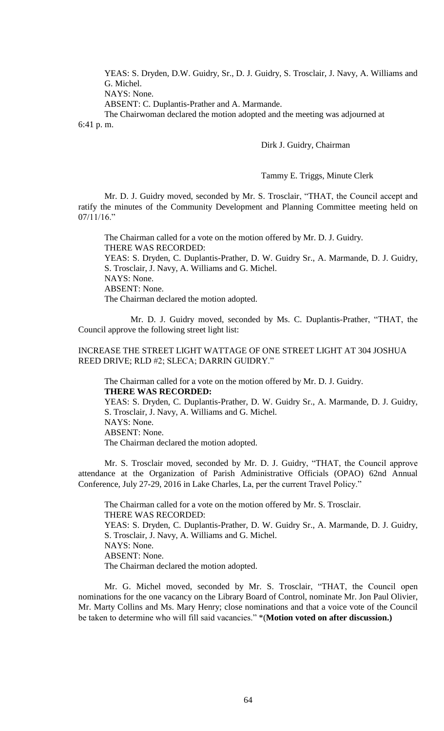YEAS: S. Dryden, D.W. Guidry, Sr., D. J. Guidry, S. Trosclair, J. Navy, A. Williams and G. Michel.

NAYS: None.

ABSENT: C. Duplantis-Prather and A. Marmande.

The Chairwoman declared the motion adopted and the meeting was adjourned at 6:41 p. m.

Dirk J. Guidry, Chairman

Tammy E. Triggs, Minute Clerk

Mr. D. J. Guidry moved, seconded by Mr. S. Trosclair, "THAT, the Council accept and ratify the minutes of the Community Development and Planning Committee meeting held on 07/11/16."

The Chairman called for a vote on the motion offered by Mr. D. J. Guidry. THERE WAS RECORDED: YEAS: S. Dryden, C. Duplantis-Prather, D. W. Guidry Sr., A. Marmande, D. J. Guidry, S. Trosclair, J. Navy, A. Williams and G. Michel. NAYS: None. ABSENT: None. The Chairman declared the motion adopted.

Mr. D. J. Guidry moved, seconded by Ms. C. Duplantis-Prather, "THAT, the Council approve the following street light list:

INCREASE THE STREET LIGHT WATTAGE OF ONE STREET LIGHT AT 304 JOSHUA REED DRIVE; RLD #2; SLECA; DARRIN GUIDRY."

The Chairman called for a vote on the motion offered by Mr. D. J. Guidry. **THERE WAS RECORDED:** YEAS: S. Dryden, C. Duplantis-Prather, D. W. Guidry Sr., A. Marmande, D. J. Guidry,

S. Trosclair, J. Navy, A. Williams and G. Michel. NAYS: None. ABSENT: None. The Chairman declared the motion adopted.

Mr. S. Trosclair moved, seconded by Mr. D. J. Guidry, "THAT, the Council approve attendance at the Organization of Parish Administrative Officials (OPAO) 62nd Annual Conference, July 27-29, 2016 in Lake Charles, La, per the current Travel Policy."

The Chairman called for a vote on the motion offered by Mr. S. Trosclair. THERE WAS RECORDED: YEAS: S. Dryden, C. Duplantis-Prather, D. W. Guidry Sr., A. Marmande, D. J. Guidry, S. Trosclair, J. Navy, A. Williams and G. Michel. NAYS: None. ABSENT: None. The Chairman declared the motion adopted.

Mr. G. Michel moved, seconded by Mr. S. Trosclair, "THAT, the Council open nominations for the one vacancy on the Library Board of Control, nominate Mr. Jon Paul Olivier, Mr. Marty Collins and Ms. Mary Henry; close nominations and that a voice vote of the Council be taken to determine who will fill said vacancies." \*(**Motion voted on after discussion.)**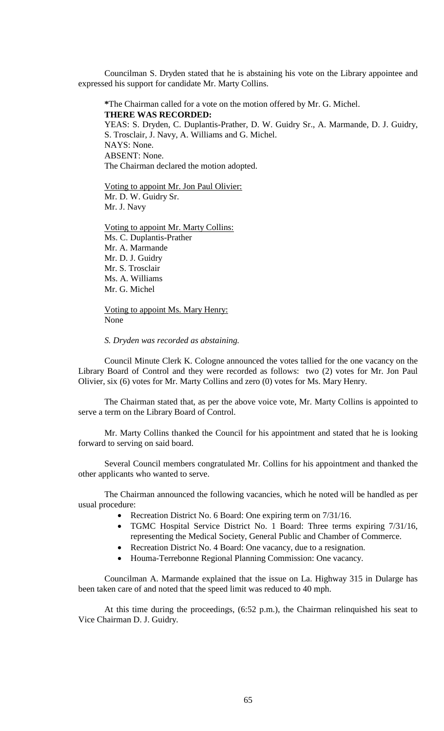Councilman S. Dryden stated that he is abstaining his vote on the Library appointee and expressed his support for candidate Mr. Marty Collins.

**\***The Chairman called for a vote on the motion offered by Mr. G. Michel. **THERE WAS RECORDED:** YEAS: S. Dryden, C. Duplantis-Prather, D. W. Guidry Sr., A. Marmande, D. J. Guidry, S. Trosclair, J. Navy, A. Williams and G. Michel. NAYS: None. ABSENT: None. The Chairman declared the motion adopted.

Voting to appoint Mr. Jon Paul Olivier: Mr. D. W. Guidry Sr. Mr. J. Navy

Voting to appoint Mr. Marty Collins: Ms. C. Duplantis-Prather Mr. A. Marmande Mr. D. J. Guidry Mr. S. Trosclair Ms. A. Williams Mr. G. Michel

Voting to appoint Ms. Mary Henry: None

*S. Dryden was recorded as abstaining.* 

Council Minute Clerk K. Cologne announced the votes tallied for the one vacancy on the Library Board of Control and they were recorded as follows: two (2) votes for Mr. Jon Paul Olivier, six (6) votes for Mr. Marty Collins and zero (0) votes for Ms. Mary Henry.

The Chairman stated that, as per the above voice vote, Mr. Marty Collins is appointed to serve a term on the Library Board of Control.

Mr. Marty Collins thanked the Council for his appointment and stated that he is looking forward to serving on said board.

Several Council members congratulated Mr. Collins for his appointment and thanked the other applicants who wanted to serve.

The Chairman announced the following vacancies, which he noted will be handled as per usual procedure:

- Recreation District No. 6 Board: One expiring term on 7/31/16.
- TGMC Hospital Service District No. 1 Board: Three terms expiring 7/31/16, representing the Medical Society, General Public and Chamber of Commerce.
- Recreation District No. 4 Board: One vacancy, due to a resignation.
- Houma-Terrebonne Regional Planning Commission: One vacancy.

Councilman A. Marmande explained that the issue on La. Highway 315 in Dularge has been taken care of and noted that the speed limit was reduced to 40 mph.

At this time during the proceedings, (6:52 p.m.), the Chairman relinquished his seat to Vice Chairman D. J. Guidry.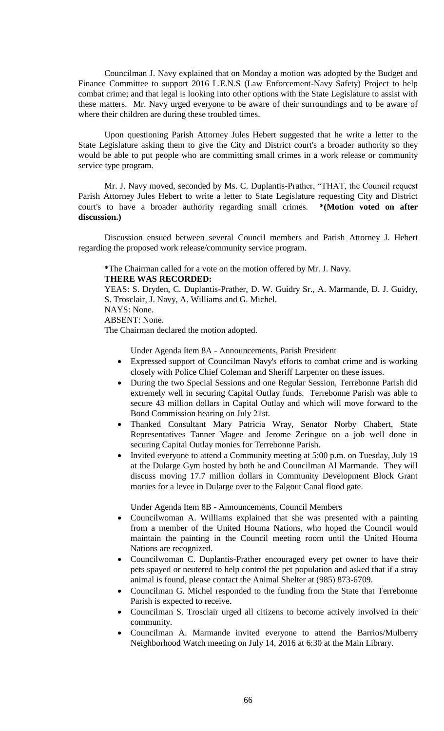Councilman J. Navy explained that on Monday a motion was adopted by the Budget and Finance Committee to support 2016 L.E.N.S (Law Enforcement-Navy Safety) Project to help combat crime; and that legal is looking into other options with the State Legislature to assist with these matters. Mr. Navy urged everyone to be aware of their surroundings and to be aware of where their children are during these troubled times.

Upon questioning Parish Attorney Jules Hebert suggested that he write a letter to the State Legislature asking them to give the City and District court's a broader authority so they would be able to put people who are committing small crimes in a work release or community service type program.

Mr. J. Navy moved, seconded by Ms. C. Duplantis-Prather, "THAT, the Council request Parish Attorney Jules Hebert to write a letter to State Legislature requesting City and District court's to have a broader authority regarding small crimes. **\*(Motion voted on after discussion.)**

Discussion ensued between several Council members and Parish Attorney J. Hebert regarding the proposed work release/community service program.

**\***The Chairman called for a vote on the motion offered by Mr. J. Navy.

# **THERE WAS RECORDED:**

YEAS: S. Dryden, C. Duplantis-Prather, D. W. Guidry Sr., A. Marmande, D. J. Guidry, S. Trosclair, J. Navy, A. Williams and G. Michel.

NAYS: None.

ABSENT: None.

The Chairman declared the motion adopted.

Under Agenda Item 8A - Announcements, Parish President

- Expressed support of Councilman Navy's efforts to combat crime and is working closely with Police Chief Coleman and Sheriff Larpenter on these issues.
- During the two Special Sessions and one Regular Session, Terrebonne Parish did extremely well in securing Capital Outlay funds. Terrebonne Parish was able to secure 43 million dollars in Capital Outlay and which will move forward to the Bond Commission hearing on July 21st.
- Thanked Consultant Mary Patricia Wray, Senator Norby Chabert, State Representatives Tanner Magee and Jerome Zeringue on a job well done in securing Capital Outlay monies for Terrebonne Parish.
- Invited everyone to attend a Community meeting at 5:00 p.m. on Tuesday, July 19 at the Dularge Gym hosted by both he and Councilman Al Marmande. They will discuss moving 17.7 million dollars in Community Development Block Grant monies for a levee in Dularge over to the Falgout Canal flood gate.

Under Agenda Item 8B - Announcements, Council Members

- Councilwoman A. Williams explained that she was presented with a painting from a member of the United Houma Nations, who hoped the Council would maintain the painting in the Council meeting room until the United Houma Nations are recognized.
- Councilwoman C. Duplantis-Prather encouraged every pet owner to have their pets spayed or neutered to help control the pet population and asked that if a stray animal is found, please contact the Animal Shelter at (985) 873-6709.
- Councilman G. Michel responded to the funding from the State that Terrebonne Parish is expected to receive.
- Councilman S. Trosclair urged all citizens to become actively involved in their community.
- Councilman A. Marmande invited everyone to attend the Barrios/Mulberry Neighborhood Watch meeting on July 14, 2016 at 6:30 at the Main Library.